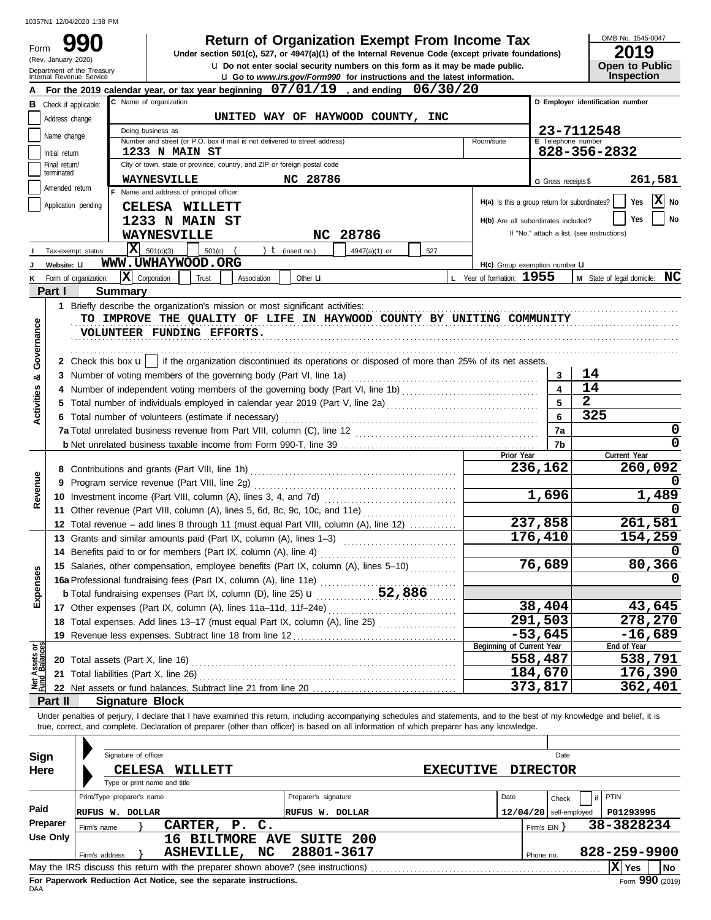Department of the Treasury

(Rev. January 2020)

Form

**u** Do not enter social security numbers on this form as it may be made public.<br>  $\frac{1}{2}$  Ce to *ULUSE 15 GOVERNOOL* for instructions and the latest information. **990 2000 2019 2019 2019 Depend From Income Tax 2019 Depend Find Conder Section 501(c), 527, or 4947(a)(1) of the Internal Revenue Code (except private foundations)** 

OMB No. 1545-0047

|  | ZV I J                |
|--|-----------------------|
|  | <b>Open to Public</b> |
|  | <b>Inspection</b>     |

|                                |                 | Internal Revenue Service               |                                                                                                                                                                            |             |                      | u Go to www.irs.gov/Form990 for instructions and the latest information. |                  |                                                 |                                            |                     | <b>Inspection</b>                |
|--------------------------------|-----------------|----------------------------------------|----------------------------------------------------------------------------------------------------------------------------------------------------------------------------|-------------|----------------------|--------------------------------------------------------------------------|------------------|-------------------------------------------------|--------------------------------------------|---------------------|----------------------------------|
|                                |                 |                                        | For the 2019 calendar year, or tax year beginning 07/01/19                                                                                                                 |             |                      | , and ending                                                             | 06/30/20         |                                                 |                                            |                     |                                  |
|                                |                 | <b>B</b> Check if applicable:          | C Name of organization                                                                                                                                                     |             |                      |                                                                          |                  |                                                 |                                            |                     | D Employer identification number |
|                                | Address change  |                                        |                                                                                                                                                                            |             |                      | UNITED WAY OF HAYWOOD COUNTY, INC                                        |                  |                                                 |                                            |                     |                                  |
|                                |                 |                                        | Doing business as                                                                                                                                                          |             |                      |                                                                          |                  |                                                 |                                            | 23-7112548          |                                  |
|                                | Name change     |                                        | Number and street (or P.O. box if mail is not delivered to street address)                                                                                                 |             |                      |                                                                          |                  | Room/suite                                      |                                            | E Telephone number  |                                  |
|                                | Initial return  |                                        | <b>1233 N MAIN ST</b>                                                                                                                                                      |             |                      |                                                                          |                  |                                                 |                                            |                     | 828-356-2832                     |
|                                | Final return/   |                                        | City or town, state or province, country, and ZIP or foreign postal code                                                                                                   |             |                      |                                                                          |                  |                                                 |                                            |                     |                                  |
|                                | terminated      |                                        | <b>WAYNESVILLE</b>                                                                                                                                                         |             | NC 28786             |                                                                          |                  |                                                 |                                            | G Gross receipts \$ | 261,581                          |
|                                | Amended return  |                                        | F Name and address of principal officer:                                                                                                                                   |             |                      |                                                                          |                  |                                                 |                                            |                     |                                  |
|                                |                 | Application pending                    | CELESA WILLETT                                                                                                                                                             |             |                      |                                                                          |                  | $H(a)$ Is this a group return for subordinates? |                                            |                     | X No<br>Yes                      |
|                                |                 |                                        | <b>1233 N MAIN ST</b>                                                                                                                                                      |             |                      |                                                                          |                  | H(b) Are all subordinates included?             |                                            |                     | No<br>Yes                        |
|                                |                 |                                        | <b>WAYNESVILLE</b>                                                                                                                                                         |             |                      | NC 28786                                                                 |                  |                                                 | If "No," attach a list. (see instructions) |                     |                                  |
|                                |                 | X                                      |                                                                                                                                                                            |             |                      |                                                                          |                  |                                                 |                                            |                     |                                  |
|                                |                 | Tax-exempt status:                     | 501(c)(3)<br>501(c)                                                                                                                                                        |             | ) $t$ (insert no.)   | 4947(a)(1) or                                                            | 527              |                                                 |                                            |                     |                                  |
|                                | Website: U      |                                        | WWW.UWHAYWOOD.ORG                                                                                                                                                          |             |                      |                                                                          |                  | H(c) Group exemption number LI                  |                                            |                     |                                  |
| κ                              |                 | Form of organization:                  | $ \mathbf{X} $ Corporation<br>Trust                                                                                                                                        | Association | Other $\mathbf u$    |                                                                          |                  | L Year of formation: 1955                       |                                            |                     | M State of legal domicile: NC    |
|                                | Part I          | <b>Summary</b>                         |                                                                                                                                                                            |             |                      |                                                                          |                  |                                                 |                                            |                     |                                  |
|                                |                 |                                        |                                                                                                                                                                            |             |                      |                                                                          |                  |                                                 |                                            |                     |                                  |
|                                |                 |                                        | TO IMPROVE THE QUALITY OF LIFE IN HAYWOOD COUNTY BY UNITING COMMUNITY                                                                                                      |             |                      |                                                                          |                  |                                                 |                                            |                     |                                  |
|                                |                 |                                        | VOLUNTEER FUNDING EFFORTS.                                                                                                                                                 |             |                      |                                                                          |                  |                                                 |                                            |                     |                                  |
|                                |                 |                                        |                                                                                                                                                                            |             |                      |                                                                          |                  |                                                 |                                            |                     |                                  |
| Governance                     |                 |                                        | 2 Check this box $\mathbf{u}$ if the organization discontinued its operations or disposed of more than 25% of its net assets.                                              |             |                      |                                                                          |                  |                                                 |                                            |                     |                                  |
|                                |                 |                                        |                                                                                                                                                                            |             |                      |                                                                          |                  |                                                 |                                            | 14                  |                                  |
| ೲ                              |                 |                                        |                                                                                                                                                                            |             |                      |                                                                          |                  |                                                 |                                            | 14<br>4             |                                  |
|                                |                 |                                        |                                                                                                                                                                            |             |                      |                                                                          |                  |                                                 |                                            | $\overline{2}$      |                                  |
| Activities                     |                 |                                        |                                                                                                                                                                            |             |                      |                                                                          |                  |                                                 |                                            |                     |                                  |
|                                |                 |                                        |                                                                                                                                                                            |             |                      |                                                                          |                  |                                                 | 6                                          |                     | 325                              |
|                                |                 |                                        |                                                                                                                                                                            |             |                      |                                                                          |                  |                                                 | 7a                                         |                     | O                                |
|                                |                 |                                        |                                                                                                                                                                            |             |                      |                                                                          |                  |                                                 | 7b                                         |                     | 0                                |
|                                |                 |                                        |                                                                                                                                                                            |             |                      |                                                                          |                  | Prior Year                                      |                                            |                     | Current Year                     |
|                                |                 |                                        |                                                                                                                                                                            |             |                      |                                                                          |                  |                                                 | 236,162                                    |                     | 260,092                          |
| Revenue                        | 9               |                                        | Program service revenue (Part VIII, line 2g)                                                                                                                               |             |                      |                                                                          |                  |                                                 |                                            |                     |                                  |
|                                |                 |                                        |                                                                                                                                                                            |             |                      |                                                                          |                  |                                                 | 1,696                                      |                     | 1,489                            |
|                                |                 |                                        | 11 Other revenue (Part VIII, column (A), lines 5, 6d, 8c, 9c, 10c, and 11e)                                                                                                |             |                      |                                                                          |                  |                                                 |                                            |                     |                                  |
|                                |                 |                                        | 12 Total revenue - add lines 8 through 11 (must equal Part VIII, column (A), line 12)                                                                                      |             |                      |                                                                          |                  |                                                 | 237,858                                    |                     | 261,581                          |
|                                |                 |                                        | 13 Grants and similar amounts paid (Part IX, column (A), lines 1-3)                                                                                                        |             |                      |                                                                          |                  |                                                 | 176,410                                    |                     | 154,259                          |
|                                |                 |                                        | 14 Benefits paid to or for members (Part IX, column (A), line 4)                                                                                                           |             |                      |                                                                          |                  |                                                 |                                            |                     |                                  |
|                                |                 |                                        | 15 Salaries, other compensation, employee benefits (Part IX, column (A), lines 5-10)                                                                                       |             |                      |                                                                          |                  |                                                 | 76,689                                     |                     | 80,366                           |
| penses                         |                 |                                        | 16a Professional fundraising fees (Part IX, column (A), line 11e)                                                                                                          |             |                      |                                                                          |                  |                                                 |                                            |                     | 0                                |
|                                |                 |                                        | <b>b</b> Total fundraising expenses (Part IX, column (D), line 25) <b>u</b>                                                                                                |             |                      | 52,886                                                                   |                  |                                                 |                                            |                     |                                  |
| 囚                              |                 |                                        |                                                                                                                                                                            |             |                      |                                                                          |                  |                                                 | 38,404                                     |                     | 43,645                           |
|                                |                 |                                        | 17 Other expenses (Part IX, column (A), lines 11a-11d, 11f-24e)                                                                                                            |             |                      |                                                                          |                  |                                                 |                                            |                     |                                  |
|                                |                 |                                        | 18 Total expenses. Add lines 13-17 (must equal Part IX, column (A), line 25) [                                                                                             |             |                      |                                                                          |                  |                                                 | 291,503                                    |                     | 278,270                          |
|                                |                 |                                        | 19 Revenue less expenses. Subtract line 18 from line 12                                                                                                                    |             |                      |                                                                          |                  |                                                 | $-53,645$                                  |                     | $-16,689$                        |
| Net Assets or<br>Fund Balances |                 |                                        |                                                                                                                                                                            |             |                      |                                                                          |                  | Beginning of Current Year                       | 558,487                                    |                     | End of Year<br>538,791           |
|                                |                 |                                        |                                                                                                                                                                            |             |                      |                                                                          |                  |                                                 |                                            |                     |                                  |
|                                |                 | 21 Total liabilities (Part X, line 26) |                                                                                                                                                                            |             |                      |                                                                          |                  |                                                 | 184,670                                    |                     | 176,390                          |
|                                |                 |                                        |                                                                                                                                                                            |             |                      |                                                                          |                  |                                                 | 373,817                                    |                     | 362,401                          |
|                                | Part II         | <b>Signature Block</b>                 |                                                                                                                                                                            |             |                      |                                                                          |                  |                                                 |                                            |                     |                                  |
|                                |                 |                                        | Under penalties of perjury, I declare that I have examined this return, including accompanying schedules and statements, and to the best of my knowledge and belief, it is |             |                      |                                                                          |                  |                                                 |                                            |                     |                                  |
|                                |                 |                                        | true, correct, and complete. Declaration of preparer (other than officer) is based on all information of which preparer has any knowledge.                                 |             |                      |                                                                          |                  |                                                 |                                            |                     |                                  |
|                                |                 |                                        |                                                                                                                                                                            |             |                      |                                                                          |                  |                                                 |                                            |                     |                                  |
| Sign                           |                 | Signature of officer                   |                                                                                                                                                                            |             |                      |                                                                          |                  |                                                 |                                            | Date                |                                  |
| Here                           |                 | <b>CELESA</b>                          | WILLETT                                                                                                                                                                    |             |                      |                                                                          | <b>EXECUTIVE</b> |                                                 | <b>DIRECTOR</b>                            |                     |                                  |
|                                |                 |                                        | Type or print name and title                                                                                                                                               |             |                      |                                                                          |                  |                                                 |                                            |                     |                                  |
|                                |                 | Print/Type preparer's name             |                                                                                                                                                                            |             | Preparer's signature |                                                                          |                  | Date                                            |                                            | Check               | PTIN                             |
| Paid                           |                 |                                        |                                                                                                                                                                            |             |                      |                                                                          |                  |                                                 |                                            |                     |                                  |
|                                | Preparer        | RUFUS W. DOLLAR                        |                                                                                                                                                                            |             | RUFUS W. DOLLAR      |                                                                          |                  |                                                 | $12/04/20$ self-employed                   |                     | P01293995                        |
|                                | <b>Use Only</b> | Firm's name                            | CARTER, P. C.                                                                                                                                                              |             |                      |                                                                          |                  |                                                 | Firm's EIN                                 |                     | 38-3828234                       |
|                                |                 |                                        | 16 BILTMORE AVE SUITE 200                                                                                                                                                  |             |                      |                                                                          |                  |                                                 |                                            |                     |                                  |
|                                |                 | Firm's address                         | ASHEVILLE, NC                                                                                                                                                              |             | 28801-3617           |                                                                          |                  |                                                 | Phone no.                                  |                     | 828-259-9900                     |
|                                |                 |                                        | May the IRS discuss this return with the preparer shown above? (see instructions)                                                                                          |             |                      |                                                                          |                  |                                                 |                                            |                     | $ \mathbf{X} $ Yes<br>No         |

DAA **For Paperwork Reduction Act Notice, see the separate instructions.**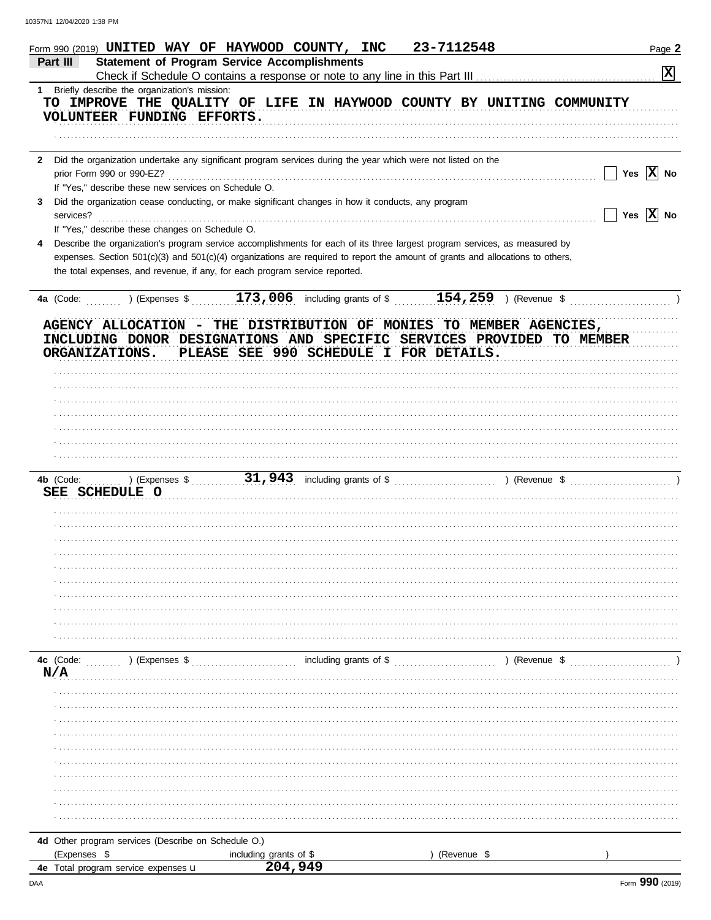| <b>Statement of Program Service Accomplishments</b><br>Part III<br>Briefly describe the organization's mission:<br>$\mathbf 1$<br>TO IMPROVE THE QUALITY OF LIFE IN HAYWOOD COUNTY BY UNITING COMMUNITY<br>VOLUNTEER FUNDING EFFORTS.<br>Did the organization undertake any significant program services during the year which were not listed on the<br>$\mathbf{2}$<br>If "Yes," describe these new services on Schedule O.<br>Did the organization cease conducting, or make significant changes in how it conducts, any program<br>3<br>services?<br>If "Yes," describe these changes on Schedule O.<br>Describe the organization's program service accomplishments for each of its three largest program services, as measured by<br>expenses. Section 501(c)(3) and 501(c)(4) organizations are required to report the amount of grants and allocations to others,<br>the total expenses, and revenue, if any, for each program service reported.<br>AGENCY ALLOCATION - THE DISTRIBUTION OF MONIES TO MEMBER AGENCIES,<br>INCLUDING DONOR DESIGNATIONS AND SPECIFIC SERVICES PROVIDED TO MEMBER<br>ORGANIZATIONS. PLEASE SEE 990 SCHEDULE I FOR DETAILS.<br>) (Expenses $\frac{31,943}{1}$ including grants of $\frac{1}{2}$ (Revenue $\frac{1}{2}$ (Revenue $\frac{1}{2}$ )<br>4b (Code:<br>SEE SCHEDULE O | $\boxed{\mathbf{X}}$<br>$\Box$ Yes $\overline{X}$ No<br>Yes $\boxed{\mathbf{X}}$ No |
|--------------------------------------------------------------------------------------------------------------------------------------------------------------------------------------------------------------------------------------------------------------------------------------------------------------------------------------------------------------------------------------------------------------------------------------------------------------------------------------------------------------------------------------------------------------------------------------------------------------------------------------------------------------------------------------------------------------------------------------------------------------------------------------------------------------------------------------------------------------------------------------------------------------------------------------------------------------------------------------------------------------------------------------------------------------------------------------------------------------------------------------------------------------------------------------------------------------------------------------------------------------------------------------------------------------------|-------------------------------------------------------------------------------------|
|                                                                                                                                                                                                                                                                                                                                                                                                                                                                                                                                                                                                                                                                                                                                                                                                                                                                                                                                                                                                                                                                                                                                                                                                                                                                                                                    |                                                                                     |
|                                                                                                                                                                                                                                                                                                                                                                                                                                                                                                                                                                                                                                                                                                                                                                                                                                                                                                                                                                                                                                                                                                                                                                                                                                                                                                                    |                                                                                     |
|                                                                                                                                                                                                                                                                                                                                                                                                                                                                                                                                                                                                                                                                                                                                                                                                                                                                                                                                                                                                                                                                                                                                                                                                                                                                                                                    |                                                                                     |
|                                                                                                                                                                                                                                                                                                                                                                                                                                                                                                                                                                                                                                                                                                                                                                                                                                                                                                                                                                                                                                                                                                                                                                                                                                                                                                                    |                                                                                     |
|                                                                                                                                                                                                                                                                                                                                                                                                                                                                                                                                                                                                                                                                                                                                                                                                                                                                                                                                                                                                                                                                                                                                                                                                                                                                                                                    |                                                                                     |
|                                                                                                                                                                                                                                                                                                                                                                                                                                                                                                                                                                                                                                                                                                                                                                                                                                                                                                                                                                                                                                                                                                                                                                                                                                                                                                                    |                                                                                     |
|                                                                                                                                                                                                                                                                                                                                                                                                                                                                                                                                                                                                                                                                                                                                                                                                                                                                                                                                                                                                                                                                                                                                                                                                                                                                                                                    |                                                                                     |
|                                                                                                                                                                                                                                                                                                                                                                                                                                                                                                                                                                                                                                                                                                                                                                                                                                                                                                                                                                                                                                                                                                                                                                                                                                                                                                                    |                                                                                     |
|                                                                                                                                                                                                                                                                                                                                                                                                                                                                                                                                                                                                                                                                                                                                                                                                                                                                                                                                                                                                                                                                                                                                                                                                                                                                                                                    |                                                                                     |
|                                                                                                                                                                                                                                                                                                                                                                                                                                                                                                                                                                                                                                                                                                                                                                                                                                                                                                                                                                                                                                                                                                                                                                                                                                                                                                                    |                                                                                     |
|                                                                                                                                                                                                                                                                                                                                                                                                                                                                                                                                                                                                                                                                                                                                                                                                                                                                                                                                                                                                                                                                                                                                                                                                                                                                                                                    |                                                                                     |
|                                                                                                                                                                                                                                                                                                                                                                                                                                                                                                                                                                                                                                                                                                                                                                                                                                                                                                                                                                                                                                                                                                                                                                                                                                                                                                                    |                                                                                     |
|                                                                                                                                                                                                                                                                                                                                                                                                                                                                                                                                                                                                                                                                                                                                                                                                                                                                                                                                                                                                                                                                                                                                                                                                                                                                                                                    |                                                                                     |
|                                                                                                                                                                                                                                                                                                                                                                                                                                                                                                                                                                                                                                                                                                                                                                                                                                                                                                                                                                                                                                                                                                                                                                                                                                                                                                                    |                                                                                     |
|                                                                                                                                                                                                                                                                                                                                                                                                                                                                                                                                                                                                                                                                                                                                                                                                                                                                                                                                                                                                                                                                                                                                                                                                                                                                                                                    |                                                                                     |
|                                                                                                                                                                                                                                                                                                                                                                                                                                                                                                                                                                                                                                                                                                                                                                                                                                                                                                                                                                                                                                                                                                                                                                                                                                                                                                                    |                                                                                     |
|                                                                                                                                                                                                                                                                                                                                                                                                                                                                                                                                                                                                                                                                                                                                                                                                                                                                                                                                                                                                                                                                                                                                                                                                                                                                                                                    |                                                                                     |
|                                                                                                                                                                                                                                                                                                                                                                                                                                                                                                                                                                                                                                                                                                                                                                                                                                                                                                                                                                                                                                                                                                                                                                                                                                                                                                                    |                                                                                     |
|                                                                                                                                                                                                                                                                                                                                                                                                                                                                                                                                                                                                                                                                                                                                                                                                                                                                                                                                                                                                                                                                                                                                                                                                                                                                                                                    |                                                                                     |
|                                                                                                                                                                                                                                                                                                                                                                                                                                                                                                                                                                                                                                                                                                                                                                                                                                                                                                                                                                                                                                                                                                                                                                                                                                                                                                                    |                                                                                     |
|                                                                                                                                                                                                                                                                                                                                                                                                                                                                                                                                                                                                                                                                                                                                                                                                                                                                                                                                                                                                                                                                                                                                                                                                                                                                                                                    |                                                                                     |
|                                                                                                                                                                                                                                                                                                                                                                                                                                                                                                                                                                                                                                                                                                                                                                                                                                                                                                                                                                                                                                                                                                                                                                                                                                                                                                                    |                                                                                     |
|                                                                                                                                                                                                                                                                                                                                                                                                                                                                                                                                                                                                                                                                                                                                                                                                                                                                                                                                                                                                                                                                                                                                                                                                                                                                                                                    |                                                                                     |
|                                                                                                                                                                                                                                                                                                                                                                                                                                                                                                                                                                                                                                                                                                                                                                                                                                                                                                                                                                                                                                                                                                                                                                                                                                                                                                                    |                                                                                     |
|                                                                                                                                                                                                                                                                                                                                                                                                                                                                                                                                                                                                                                                                                                                                                                                                                                                                                                                                                                                                                                                                                                                                                                                                                                                                                                                    |                                                                                     |
|                                                                                                                                                                                                                                                                                                                                                                                                                                                                                                                                                                                                                                                                                                                                                                                                                                                                                                                                                                                                                                                                                                                                                                                                                                                                                                                    |                                                                                     |
|                                                                                                                                                                                                                                                                                                                                                                                                                                                                                                                                                                                                                                                                                                                                                                                                                                                                                                                                                                                                                                                                                                                                                                                                                                                                                                                    |                                                                                     |
|                                                                                                                                                                                                                                                                                                                                                                                                                                                                                                                                                                                                                                                                                                                                                                                                                                                                                                                                                                                                                                                                                                                                                                                                                                                                                                                    |                                                                                     |
|                                                                                                                                                                                                                                                                                                                                                                                                                                                                                                                                                                                                                                                                                                                                                                                                                                                                                                                                                                                                                                                                                                                                                                                                                                                                                                                    |                                                                                     |
| 4c (Code:                                                                                                                                                                                                                                                                                                                                                                                                                                                                                                                                                                                                                                                                                                                                                                                                                                                                                                                                                                                                                                                                                                                                                                                                                                                                                                          |                                                                                     |
| N/A                                                                                                                                                                                                                                                                                                                                                                                                                                                                                                                                                                                                                                                                                                                                                                                                                                                                                                                                                                                                                                                                                                                                                                                                                                                                                                                |                                                                                     |
|                                                                                                                                                                                                                                                                                                                                                                                                                                                                                                                                                                                                                                                                                                                                                                                                                                                                                                                                                                                                                                                                                                                                                                                                                                                                                                                    |                                                                                     |
|                                                                                                                                                                                                                                                                                                                                                                                                                                                                                                                                                                                                                                                                                                                                                                                                                                                                                                                                                                                                                                                                                                                                                                                                                                                                                                                    |                                                                                     |
|                                                                                                                                                                                                                                                                                                                                                                                                                                                                                                                                                                                                                                                                                                                                                                                                                                                                                                                                                                                                                                                                                                                                                                                                                                                                                                                    |                                                                                     |
|                                                                                                                                                                                                                                                                                                                                                                                                                                                                                                                                                                                                                                                                                                                                                                                                                                                                                                                                                                                                                                                                                                                                                                                                                                                                                                                    |                                                                                     |
|                                                                                                                                                                                                                                                                                                                                                                                                                                                                                                                                                                                                                                                                                                                                                                                                                                                                                                                                                                                                                                                                                                                                                                                                                                                                                                                    |                                                                                     |
|                                                                                                                                                                                                                                                                                                                                                                                                                                                                                                                                                                                                                                                                                                                                                                                                                                                                                                                                                                                                                                                                                                                                                                                                                                                                                                                    |                                                                                     |
|                                                                                                                                                                                                                                                                                                                                                                                                                                                                                                                                                                                                                                                                                                                                                                                                                                                                                                                                                                                                                                                                                                                                                                                                                                                                                                                    |                                                                                     |
|                                                                                                                                                                                                                                                                                                                                                                                                                                                                                                                                                                                                                                                                                                                                                                                                                                                                                                                                                                                                                                                                                                                                                                                                                                                                                                                    |                                                                                     |
|                                                                                                                                                                                                                                                                                                                                                                                                                                                                                                                                                                                                                                                                                                                                                                                                                                                                                                                                                                                                                                                                                                                                                                                                                                                                                                                    |                                                                                     |
|                                                                                                                                                                                                                                                                                                                                                                                                                                                                                                                                                                                                                                                                                                                                                                                                                                                                                                                                                                                                                                                                                                                                                                                                                                                                                                                    |                                                                                     |
| 4d Other program services (Describe on Schedule O.)                                                                                                                                                                                                                                                                                                                                                                                                                                                                                                                                                                                                                                                                                                                                                                                                                                                                                                                                                                                                                                                                                                                                                                                                                                                                |                                                                                     |
| (Expenses \$<br>including grants of \$<br>(Revenue \$<br>204,949<br>4e Total program service expenses u                                                                                                                                                                                                                                                                                                                                                                                                                                                                                                                                                                                                                                                                                                                                                                                                                                                                                                                                                                                                                                                                                                                                                                                                            |                                                                                     |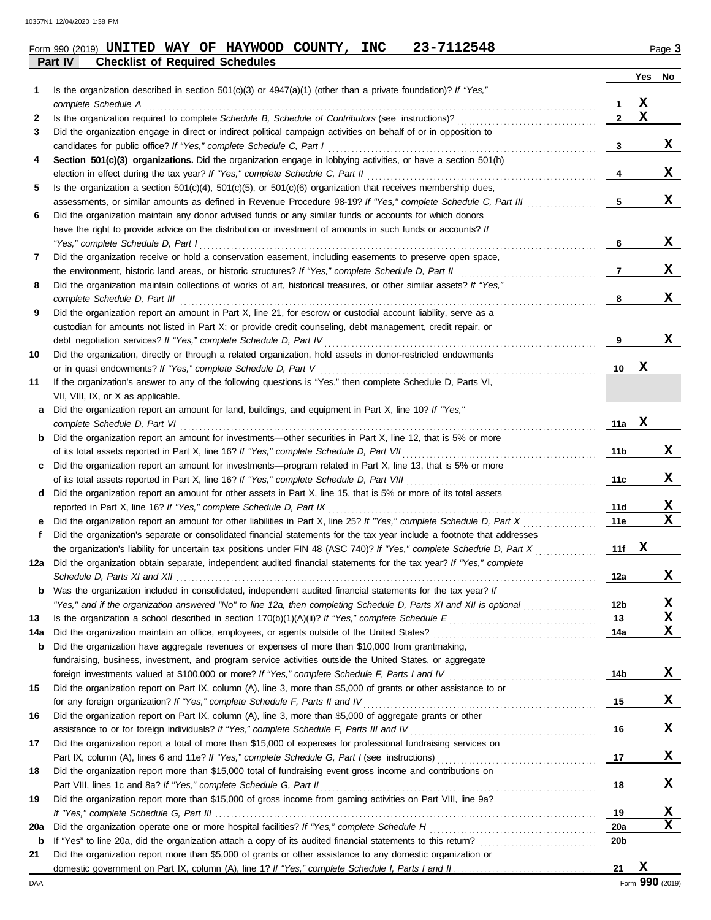**Part IV Checklist of Required Schedules**

| Form 990 (2019) UNITED WAY OF HAYWOOD |  |  | COUNTY, | <b>INC</b> | 23-7112548 | Page J |
|---------------------------------------|--|--|---------|------------|------------|--------|
|                                       |  |  |         |            |            |        |

|             |                                                                                                                                                                                                                                                                                   |                 | Yes | No               |
|-------------|-----------------------------------------------------------------------------------------------------------------------------------------------------------------------------------------------------------------------------------------------------------------------------------|-----------------|-----|------------------|
| 1           | Is the organization described in section $501(c)(3)$ or $4947(a)(1)$ (other than a private foundation)? If "Yes,"                                                                                                                                                                 |                 |     |                  |
|             | complete Schedule A                                                                                                                                                                                                                                                               | 1               | х   |                  |
| 2           |                                                                                                                                                                                                                                                                                   | $\mathbf{2}$    | x   |                  |
| 3           | Did the organization engage in direct or indirect political campaign activities on behalf of or in opposition to                                                                                                                                                                  |                 |     |                  |
|             | candidates for public office? If "Yes," complete Schedule C, Part I                                                                                                                                                                                                               | 3               |     | X.               |
| 4           | Section 501(c)(3) organizations. Did the organization engage in lobbying activities, or have a section 501(h)                                                                                                                                                                     |                 |     | X                |
|             | election in effect during the tax year? If "Yes," complete Schedule C, Part II                                                                                                                                                                                                    | 4               |     |                  |
| 5           | Is the organization a section $501(c)(4)$ , $501(c)(5)$ , or $501(c)(6)$ organization that receives membership dues,<br>assessments, or similar amounts as defined in Revenue Procedure 98-19? If "Yes," complete Schedule C, Part III                                            | 5               |     | x                |
| 6           | Did the organization maintain any donor advised funds or any similar funds or accounts for which donors                                                                                                                                                                           |                 |     |                  |
|             | have the right to provide advice on the distribution or investment of amounts in such funds or accounts? If                                                                                                                                                                       |                 |     |                  |
|             | "Yes," complete Schedule D, Part I                                                                                                                                                                                                                                                | 6               |     | x                |
| 7           | Did the organization receive or hold a conservation easement, including easements to preserve open space,                                                                                                                                                                         |                 |     |                  |
|             |                                                                                                                                                                                                                                                                                   | 7               |     | x                |
| 8           | Did the organization maintain collections of works of art, historical treasures, or other similar assets? If "Yes,"                                                                                                                                                               |                 |     |                  |
|             | complete Schedule D, Part III                                                                                                                                                                                                                                                     | 8               |     | x                |
| 9           | Did the organization report an amount in Part X, line 21, for escrow or custodial account liability, serve as a                                                                                                                                                                   |                 |     |                  |
|             | custodian for amounts not listed in Part X; or provide credit counseling, debt management, credit repair, or                                                                                                                                                                      |                 |     |                  |
|             | debt negotiation services? If "Yes," complete Schedule D, Part IV                                                                                                                                                                                                                 | 9               |     | x                |
| 10          | Did the organization, directly or through a related organization, hold assets in donor-restricted endowments                                                                                                                                                                      |                 |     |                  |
|             | or in quasi endowments? If "Yes," complete Schedule D, Part V                                                                                                                                                                                                                     | 10              | x   |                  |
| 11          | If the organization's answer to any of the following questions is "Yes," then complete Schedule D, Parts VI,                                                                                                                                                                      |                 |     |                  |
|             | VII, VIII, IX, or X as applicable.                                                                                                                                                                                                                                                |                 |     |                  |
| a           | Did the organization report an amount for land, buildings, and equipment in Part X, line 10? If "Yes,"                                                                                                                                                                            |                 |     |                  |
|             | complete Schedule D, Part VI                                                                                                                                                                                                                                                      | 11a             | x   |                  |
| $\mathbf b$ | Did the organization report an amount for investments—other securities in Part X, line 12, that is 5% or more                                                                                                                                                                     |                 |     |                  |
|             |                                                                                                                                                                                                                                                                                   | 11b             |     | x                |
| C           | Did the organization report an amount for investments—program related in Part X, line 13, that is 5% or more                                                                                                                                                                      |                 |     |                  |
|             |                                                                                                                                                                                                                                                                                   | 11c             |     | X                |
| d           | Did the organization report an amount for other assets in Part X, line 15, that is 5% or more of its total assets                                                                                                                                                                 |                 |     |                  |
|             | reported in Part X, line 16? If "Yes," complete Schedule D, Part IX                                                                                                                                                                                                               | 11d             |     | X<br>$\mathbf x$ |
| е           |                                                                                                                                                                                                                                                                                   | 11e             |     |                  |
| f           | Did the organization's separate or consolidated financial statements for the tax year include a footnote that addresses                                                                                                                                                           |                 | X   |                  |
|             | the organization's liability for uncertain tax positions under FIN 48 (ASC 740)? If "Yes," complete Schedule D, Part X [[[[[[[[[[[[[[[[[[[[[[[[[[]]]]]]]]]<br>Did the organization obtain separate, independent audited financial statements for the tax year? If "Yes," complete | 11f             |     |                  |
| 12a         |                                                                                                                                                                                                                                                                                   |                 |     | X                |
|             | <b>b</b> Was the organization included in consolidated, independent audited financial statements for the tax year? If                                                                                                                                                             | 12a             |     |                  |
|             | "Yes," and if the organization answered "No" to line 12a, then completing Schedule D, Parts XI and XII is optional                                                                                                                                                                | 12 <sub>b</sub> |     | х                |
| 13          |                                                                                                                                                                                                                                                                                   | 13              |     | X                |
| 14a         |                                                                                                                                                                                                                                                                                   | 14a             |     | x                |
| b           | Did the organization have aggregate revenues or expenses of more than \$10,000 from grantmaking,                                                                                                                                                                                  |                 |     |                  |
|             | fundraising, business, investment, and program service activities outside the United States, or aggregate                                                                                                                                                                         |                 |     |                  |
|             | foreign investments valued at \$100,000 or more? If "Yes," complete Schedule F, Parts I and IV [[[[[[[[[[[[[[[[                                                                                                                                                                   | 14b             |     | X                |
| 15          | Did the organization report on Part IX, column (A), line 3, more than \$5,000 of grants or other assistance to or                                                                                                                                                                 |                 |     |                  |
|             | for any foreign organization? If "Yes," complete Schedule F, Parts II and IV [[[[[[[[[[[[[[[[[[[[[[[[[[[[[[[[                                                                                                                                                                     | 15              |     | x                |
| 16          | Did the organization report on Part IX, column (A), line 3, more than \$5,000 of aggregate grants or other                                                                                                                                                                        |                 |     |                  |
|             |                                                                                                                                                                                                                                                                                   | 16              |     | X                |
| 17          | Did the organization report a total of more than \$15,000 of expenses for professional fundraising services on                                                                                                                                                                    |                 |     |                  |
|             |                                                                                                                                                                                                                                                                                   | 17              |     | X                |
| 18          | Did the organization report more than \$15,000 total of fundraising event gross income and contributions on                                                                                                                                                                       |                 |     |                  |
|             |                                                                                                                                                                                                                                                                                   | 18              |     | X                |
| 19          | Did the organization report more than \$15,000 of gross income from gaming activities on Part VIII, line 9a?                                                                                                                                                                      |                 |     |                  |
|             |                                                                                                                                                                                                                                                                                   | 19              |     | x                |
| 20a         |                                                                                                                                                                                                                                                                                   | <b>20a</b>      |     | X                |
| b           |                                                                                                                                                                                                                                                                                   | 20 <sub>b</sub> |     |                  |
| 21          | Did the organization report more than \$5,000 of grants or other assistance to any domestic organization or                                                                                                                                                                       |                 |     |                  |
|             |                                                                                                                                                                                                                                                                                   | 21              | X   |                  |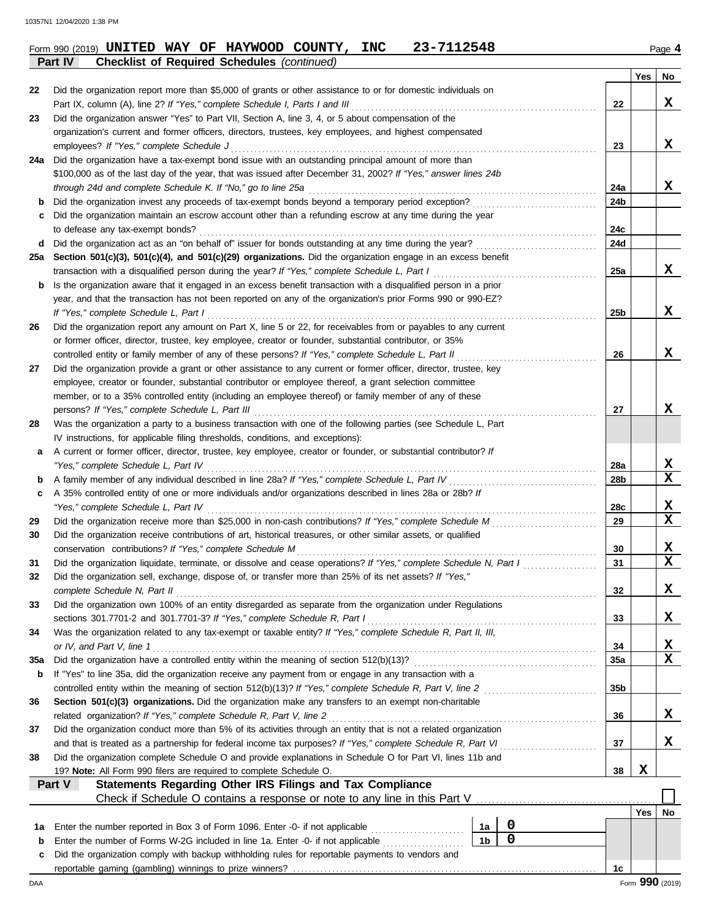**Part IV Checklist of Required Schedules** *(continued)*

| 22          | Did the organization report more than \$5,000 of grants or other assistance to or for domestic individuals on                                   |                |             |                 |                 | X           |
|-------------|-------------------------------------------------------------------------------------------------------------------------------------------------|----------------|-------------|-----------------|-----------------|-------------|
|             | Part IX, column (A), line 2? If "Yes," complete Schedule I, Parts I and III                                                                     |                |             | 22              |                 |             |
| 23          | Did the organization answer "Yes" to Part VII, Section A, line 3, 4, or 5 about compensation of the                                             |                |             |                 |                 |             |
|             | organization's current and former officers, directors, trustees, key employees, and highest compensated                                         |                |             |                 |                 | X           |
| 24a         | employees? If "Yes," complete Schedule J<br>Did the organization have a tax-exempt bond issue with an outstanding principal amount of more than |                |             | 23              |                 |             |
|             | \$100,000 as of the last day of the year, that was issued after December 31, 2002? If "Yes," answer lines 24b                                   |                |             |                 |                 |             |
|             | through 24d and complete Schedule K. If "No," go to line 25a                                                                                    |                |             | 24a             |                 | X           |
| b           |                                                                                                                                                 |                |             | 24 <sub>b</sub> |                 |             |
| с           | Did the organization maintain an escrow account other than a refunding escrow at any time during the year                                       |                |             |                 |                 |             |
|             | to defease any tax-exempt bonds?                                                                                                                |                |             | 24c             |                 |             |
| d           |                                                                                                                                                 |                |             | 24d             |                 |             |
| 25a         | Section 501(c)(3), 501(c)(4), and 501(c)(29) organizations. Did the organization engage in an excess benefit                                    |                |             |                 |                 |             |
|             | transaction with a disqualified person during the year? If "Yes," complete Schedule L, Part I                                                   |                |             | 25a             |                 | х           |
| b           | Is the organization aware that it engaged in an excess benefit transaction with a disqualified person in a prior                                |                |             |                 |                 |             |
|             | year, and that the transaction has not been reported on any of the organization's prior Forms 990 or 990-EZ?                                    |                |             |                 |                 |             |
|             | If "Yes," complete Schedule L, Part I                                                                                                           |                |             | 25 <sub>b</sub> |                 | X           |
| 26          | Did the organization report any amount on Part X, line 5 or 22, for receivables from or payables to any current                                 |                |             |                 |                 |             |
|             | or former officer, director, trustee, key employee, creator or founder, substantial contributor, or 35%                                         |                |             |                 |                 |             |
|             | controlled entity or family member of any of these persons? If "Yes," complete Schedule L, Part II                                              |                |             | 26              |                 | х           |
| 27          | Did the organization provide a grant or other assistance to any current or former officer, director, trustee, key                               |                |             |                 |                 |             |
|             | employee, creator or founder, substantial contributor or employee thereof, a grant selection committee                                          |                |             |                 |                 |             |
|             | member, or to a 35% controlled entity (including an employee thereof) or family member of any of these                                          |                |             |                 |                 |             |
|             | persons? If "Yes," complete Schedule L, Part III                                                                                                |                |             | 27              |                 | x           |
| 28          | Was the organization a party to a business transaction with one of the following parties (see Schedule L, Part                                  |                |             |                 |                 |             |
|             | IV instructions, for applicable filing thresholds, conditions, and exceptions):                                                                 |                |             |                 |                 |             |
| a           | A current or former officer, director, trustee, key employee, creator or founder, or substantial contributor? If                                |                |             |                 |                 |             |
|             | "Yes," complete Schedule L, Part IV                                                                                                             |                |             | 28a             |                 | $\mathbf x$ |
| b           |                                                                                                                                                 |                |             | 28b             |                 | $\mathbf x$ |
| c           | A 35% controlled entity of one or more individuals and/or organizations described in lines 28a or 28b? If                                       |                |             |                 |                 |             |
|             | "Yes," complete Schedule L, Part IV                                                                                                             |                |             | 28c             |                 | X           |
| 29          |                                                                                                                                                 |                |             | 29              |                 | $\mathbf x$ |
| 30          | Did the organization receive contributions of art, historical treasures, or other similar assets, or qualified                                  |                |             |                 |                 |             |
|             | conservation contributions? If "Yes," complete Schedule M                                                                                       |                |             | 30              |                 | X           |
| 31          | Did the organization liquidate, terminate, or dissolve and cease operations? If "Yes," complete Schedule N, Part I                              |                |             | 31              |                 | $\mathbf x$ |
| 32          | Did the organization sell, exchange, dispose of, or transfer more than 25% of its net assets? If "Yes,"                                         |                |             |                 |                 |             |
|             | complete Schedule N, Part II                                                                                                                    |                |             | 32              |                 | X           |
| 33          | Did the organization own 100% of an entity disregarded as separate from the organization under Regulations                                      |                |             |                 |                 |             |
|             |                                                                                                                                                 |                |             | 33              |                 | X           |
| 34          | Was the organization related to any tax-exempt or taxable entity? If "Yes," complete Schedule R, Part II, III,                                  |                |             |                 |                 |             |
|             | or IV, and Part V, line 1                                                                                                                       |                |             | 34              |                 | х           |
| 35a         |                                                                                                                                                 |                |             | 35a             |                 | $\mathbf x$ |
| $\mathbf b$ | If "Yes" to line 35a, did the organization receive any payment from or engage in any transaction with a                                         |                |             |                 |                 |             |
|             | controlled entity within the meaning of section 512(b)(13)? If "Yes," complete Schedule R, Part V, line 2                                       |                |             | 35 <sub>b</sub> |                 |             |
| 36          | Section 501(c)(3) organizations. Did the organization make any transfers to an exempt non-charitable                                            |                |             |                 |                 |             |
|             | related organization? If "Yes," complete Schedule R, Part V, line 2                                                                             |                |             | 36              |                 | X           |
| 37          | Did the organization conduct more than 5% of its activities through an entity that is not a related organization                                |                |             |                 |                 |             |
|             | and that is treated as a partnership for federal income tax purposes? If "Yes," complete Schedule R, Part VI                                    |                |             | 37              |                 | x           |
| 38          | Did the organization complete Schedule O and provide explanations in Schedule O for Part VI, lines 11b and                                      |                |             |                 |                 |             |
|             | 19? Note: All Form 990 filers are required to complete Schedule O.                                                                              |                |             | 38              | X               |             |
|             | Statements Regarding Other IRS Filings and Tax Compliance<br>Part V                                                                             |                |             |                 |                 |             |
|             | Check if Schedule O contains a response or note to any line in this Part V                                                                      |                |             |                 |                 |             |
|             |                                                                                                                                                 |                |             |                 | Yes             | No          |
| 1а          | Enter the number reported in Box 3 of Form 1096. Enter -0- if not applicable                                                                    | 1а             | $\mathbf 0$ |                 |                 |             |
| $\mathbf b$ | Enter the number of Forms W-2G included in line 1a. Enter -0- if not applicable                                                                 | 1 <sub>b</sub> | $\mathbf 0$ |                 |                 |             |
| c           | Did the organization comply with backup withholding rules for reportable payments to vendors and                                                |                |             |                 |                 |             |
|             |                                                                                                                                                 |                |             | 1c              |                 |             |
| DAA         |                                                                                                                                                 |                |             |                 | Form 990 (2019) |             |

**UNITED WAY OF HAYWOOD COUNTY, INC 23-7112548**

**X**

**X**

**X**

**X X**

**X**

**X**

**X X**

**X**

**Yes No**

 $\mathsf{r}$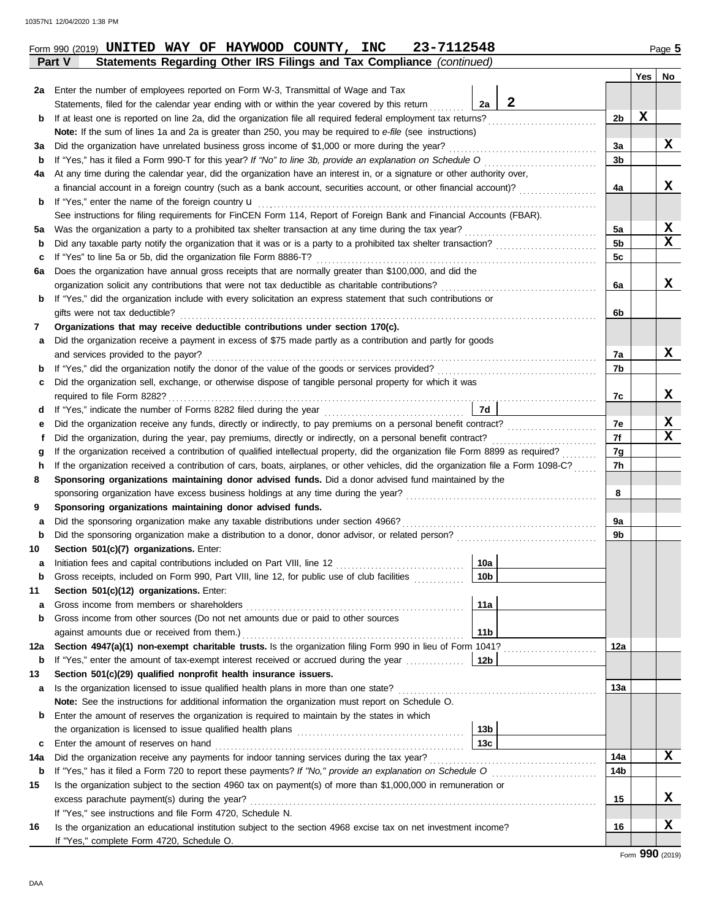| Enter the number of employees reported on Form W-3, Transmittal of Wage and Tax<br>2a<br>$\mathbf{2}$<br>2a<br>Statements, filed for the calendar year ending with or within the year covered by this return<br>X<br>2 <sub>b</sub><br>b<br>Note: If the sum of lines 1a and 2a is greater than 250, you may be required to e-file (see instructions)<br>x<br>Did the organization have unrelated business gross income of \$1,000 or more during the year?<br>За<br>За<br>If "Yes," has it filed a Form 990-T for this year? If "No" to line 3b, provide an explanation on Schedule O consequences<br>3b<br>b<br>At any time during the calendar year, did the organization have an interest in, or a signature or other authority over,<br>4a<br>x<br>a financial account in a foreign country (such as a bank account, securities account, or other financial account)?<br>4a<br>If "Yes," enter the name of the foreign country u<br>b<br>See instructions for filing requirements for FinCEN Form 114, Report of Foreign Bank and Financial Accounts (FBAR).<br>X<br>Was the organization a party to a prohibited tax shelter transaction at any time during the tax year?<br>5a<br>5а<br>x<br>5 <sub>b</sub><br>b<br>5c<br>If "Yes" to line 5a or 5b, did the organization file Form 8886-T?<br>c<br>Does the organization have annual gross receipts that are normally greater than \$100,000, and did the<br>6а<br>x<br>organization solicit any contributions that were not tax deductible as charitable contributions?<br>6a<br>If "Yes," did the organization include with every solicitation an express statement that such contributions or<br>b<br>gifts were not tax deductible?<br>6b<br>Organizations that may receive deductible contributions under section 170(c).<br>7<br>Did the organization receive a payment in excess of \$75 made partly as a contribution and partly for goods<br>а<br>X<br>and services provided to the payor?<br>7а<br>7b<br>b<br>Did the organization sell, exchange, or otherwise dispose of tangible personal property for which it was<br>с<br>X<br>required to file Form 8282?<br>7c<br><b>7d</b><br>d<br>X<br>7e<br>е<br>x<br>7f<br>Did the organization, during the year, pay premiums, directly or indirectly, on a personal benefit contract?<br>f<br>If the organization received a contribution of qualified intellectual property, did the organization file Form 8899 as required?<br>7g<br>g<br>If the organization received a contribution of cars, boats, airplanes, or other vehicles, did the organization file a Form 1098-C?<br>7h<br>h<br>Sponsoring organizations maintaining donor advised funds. Did a donor advised fund maintained by the<br>8<br>8<br>sponsoring organization have excess business holdings at any time during the year?<br>Sponsoring organizations maintaining donor advised funds.<br>9<br>Did the sponsoring organization make any taxable distributions under section 4966?<br>9a<br>а<br>9b<br>b<br>Section 501(c)(7) organizations. Enter:<br>10<br>Initiation fees and capital contributions included on Part VIII, line 12<br>10a<br>а<br>10 <sub>b</sub><br>Gross receipts, included on Form 990, Part VIII, line 12, for public use of club facilities<br>b<br>Section 501(c)(12) organizations. Enter:<br>11<br>11a<br>Gross income from members or shareholders<br>a<br>Gross income from other sources (Do not net amounts due or paid to other sources<br>b<br>11 <sub>b</sub><br>against amounts due or received from them.)<br>Section 4947(a)(1) non-exempt charitable trusts. Is the organization filing Form 990 in lieu of Form 1041?<br>12a<br>12a<br>If "Yes," enter the amount of tax-exempt interest received or accrued during the year<br>12b<br>b<br>Section 501(c)(29) qualified nonprofit health insurance issuers.<br>13<br>13a<br>Is the organization licensed to issue qualified health plans in more than one state?<br>а<br>Note: See the instructions for additional information the organization must report on Schedule O.<br>Enter the amount of reserves the organization is required to maintain by the states in which<br>b<br>13 <sub>b</sub><br>13 <sub>c</sub><br>Enter the amount of reserves on hand<br>c<br>x<br>Did the organization receive any payments for indoor tanning services during the tax year?<br>14a<br>14a<br>If "Yes," has it filed a Form 720 to report these payments? If "No," provide an explanation on Schedule O<br>14b<br>b<br>Is the organization subject to the section 4960 tax on payment(s) of more than \$1,000,000 in remuneration or<br>15<br>x<br>excess parachute payment(s) during the year?<br>15<br>If "Yes," see instructions and file Form 4720, Schedule N.<br>X<br>16<br>Is the organization an educational institution subject to the section 4968 excise tax on net investment income?<br>16<br>If "Yes," complete Form 4720, Schedule O.<br>Form 990 (2019) |  |  | Yes | No |
|-------------------------------------------------------------------------------------------------------------------------------------------------------------------------------------------------------------------------------------------------------------------------------------------------------------------------------------------------------------------------------------------------------------------------------------------------------------------------------------------------------------------------------------------------------------------------------------------------------------------------------------------------------------------------------------------------------------------------------------------------------------------------------------------------------------------------------------------------------------------------------------------------------------------------------------------------------------------------------------------------------------------------------------------------------------------------------------------------------------------------------------------------------------------------------------------------------------------------------------------------------------------------------------------------------------------------------------------------------------------------------------------------------------------------------------------------------------------------------------------------------------------------------------------------------------------------------------------------------------------------------------------------------------------------------------------------------------------------------------------------------------------------------------------------------------------------------------------------------------------------------------------------------------------------------------------------------------------------------------------------------------------------------------------------------------------------------------------------------------------------------------------------------------------------------------------------------------------------------------------------------------------------------------------------------------------------------------------------------------------------------------------------------------------------------------------------------------------------------------------------------------------------------------------------------------------------------------------------------------------------------------------------------------------------------------------------------------------------------------------------------------------------------------------------------------------------------------------------------------------------------------------------------------------------------------------------------------------------------------------------------------------------------------------------------------------------------------------------------------------------------------------------------------------------------------------------------------------------------------------------------------------------------------------------------------------------------------------------------------------------------------------------------------------------------------------------------------------------------------------------------------------------------------------------------------------------------------------------------------------------------------------------------------------------------------------------------------------------------------------------------------------------------------------------------------------------------------------------------------------------------------------------------------------------------------------------------------------------------------------------------------------------------------------------------------------------------------------------------------------------------------------------------------------------------------------------------------------------------------------------------------------------------------------------------------------------------------------------------------------------------------------------------------------------------------------------------------------------------------------------------------------------------------------------------------------------------------------------------------------------------------------------------------------------------------------------------------------------------------------------------------------------------------------------------------------------------------------------------------------------------------------------------------------------------------------------|--|--|-----|----|
|                                                                                                                                                                                                                                                                                                                                                                                                                                                                                                                                                                                                                                                                                                                                                                                                                                                                                                                                                                                                                                                                                                                                                                                                                                                                                                                                                                                                                                                                                                                                                                                                                                                                                                                                                                                                                                                                                                                                                                                                                                                                                                                                                                                                                                                                                                                                                                                                                                                                                                                                                                                                                                                                                                                                                                                                                                                                                                                                                                                                                                                                                                                                                                                                                                                                                                                                                                                                                                                                                                                                                                                                                                                                                                                                                                                                                                                                                                                                                                                                                                                                                                                                                                                                                                                                                                                                                                                                                                                                                                                                                                                                                                                                                                                                                                                                                                                                                                                                                 |  |  |     |    |
|                                                                                                                                                                                                                                                                                                                                                                                                                                                                                                                                                                                                                                                                                                                                                                                                                                                                                                                                                                                                                                                                                                                                                                                                                                                                                                                                                                                                                                                                                                                                                                                                                                                                                                                                                                                                                                                                                                                                                                                                                                                                                                                                                                                                                                                                                                                                                                                                                                                                                                                                                                                                                                                                                                                                                                                                                                                                                                                                                                                                                                                                                                                                                                                                                                                                                                                                                                                                                                                                                                                                                                                                                                                                                                                                                                                                                                                                                                                                                                                                                                                                                                                                                                                                                                                                                                                                                                                                                                                                                                                                                                                                                                                                                                                                                                                                                                                                                                                                                 |  |  |     |    |
|                                                                                                                                                                                                                                                                                                                                                                                                                                                                                                                                                                                                                                                                                                                                                                                                                                                                                                                                                                                                                                                                                                                                                                                                                                                                                                                                                                                                                                                                                                                                                                                                                                                                                                                                                                                                                                                                                                                                                                                                                                                                                                                                                                                                                                                                                                                                                                                                                                                                                                                                                                                                                                                                                                                                                                                                                                                                                                                                                                                                                                                                                                                                                                                                                                                                                                                                                                                                                                                                                                                                                                                                                                                                                                                                                                                                                                                                                                                                                                                                                                                                                                                                                                                                                                                                                                                                                                                                                                                                                                                                                                                                                                                                                                                                                                                                                                                                                                                                                 |  |  |     |    |
|                                                                                                                                                                                                                                                                                                                                                                                                                                                                                                                                                                                                                                                                                                                                                                                                                                                                                                                                                                                                                                                                                                                                                                                                                                                                                                                                                                                                                                                                                                                                                                                                                                                                                                                                                                                                                                                                                                                                                                                                                                                                                                                                                                                                                                                                                                                                                                                                                                                                                                                                                                                                                                                                                                                                                                                                                                                                                                                                                                                                                                                                                                                                                                                                                                                                                                                                                                                                                                                                                                                                                                                                                                                                                                                                                                                                                                                                                                                                                                                                                                                                                                                                                                                                                                                                                                                                                                                                                                                                                                                                                                                                                                                                                                                                                                                                                                                                                                                                                 |  |  |     |    |
|                                                                                                                                                                                                                                                                                                                                                                                                                                                                                                                                                                                                                                                                                                                                                                                                                                                                                                                                                                                                                                                                                                                                                                                                                                                                                                                                                                                                                                                                                                                                                                                                                                                                                                                                                                                                                                                                                                                                                                                                                                                                                                                                                                                                                                                                                                                                                                                                                                                                                                                                                                                                                                                                                                                                                                                                                                                                                                                                                                                                                                                                                                                                                                                                                                                                                                                                                                                                                                                                                                                                                                                                                                                                                                                                                                                                                                                                                                                                                                                                                                                                                                                                                                                                                                                                                                                                                                                                                                                                                                                                                                                                                                                                                                                                                                                                                                                                                                                                                 |  |  |     |    |
|                                                                                                                                                                                                                                                                                                                                                                                                                                                                                                                                                                                                                                                                                                                                                                                                                                                                                                                                                                                                                                                                                                                                                                                                                                                                                                                                                                                                                                                                                                                                                                                                                                                                                                                                                                                                                                                                                                                                                                                                                                                                                                                                                                                                                                                                                                                                                                                                                                                                                                                                                                                                                                                                                                                                                                                                                                                                                                                                                                                                                                                                                                                                                                                                                                                                                                                                                                                                                                                                                                                                                                                                                                                                                                                                                                                                                                                                                                                                                                                                                                                                                                                                                                                                                                                                                                                                                                                                                                                                                                                                                                                                                                                                                                                                                                                                                                                                                                                                                 |  |  |     |    |
|                                                                                                                                                                                                                                                                                                                                                                                                                                                                                                                                                                                                                                                                                                                                                                                                                                                                                                                                                                                                                                                                                                                                                                                                                                                                                                                                                                                                                                                                                                                                                                                                                                                                                                                                                                                                                                                                                                                                                                                                                                                                                                                                                                                                                                                                                                                                                                                                                                                                                                                                                                                                                                                                                                                                                                                                                                                                                                                                                                                                                                                                                                                                                                                                                                                                                                                                                                                                                                                                                                                                                                                                                                                                                                                                                                                                                                                                                                                                                                                                                                                                                                                                                                                                                                                                                                                                                                                                                                                                                                                                                                                                                                                                                                                                                                                                                                                                                                                                                 |  |  |     |    |
|                                                                                                                                                                                                                                                                                                                                                                                                                                                                                                                                                                                                                                                                                                                                                                                                                                                                                                                                                                                                                                                                                                                                                                                                                                                                                                                                                                                                                                                                                                                                                                                                                                                                                                                                                                                                                                                                                                                                                                                                                                                                                                                                                                                                                                                                                                                                                                                                                                                                                                                                                                                                                                                                                                                                                                                                                                                                                                                                                                                                                                                                                                                                                                                                                                                                                                                                                                                                                                                                                                                                                                                                                                                                                                                                                                                                                                                                                                                                                                                                                                                                                                                                                                                                                                                                                                                                                                                                                                                                                                                                                                                                                                                                                                                                                                                                                                                                                                                                                 |  |  |     |    |
|                                                                                                                                                                                                                                                                                                                                                                                                                                                                                                                                                                                                                                                                                                                                                                                                                                                                                                                                                                                                                                                                                                                                                                                                                                                                                                                                                                                                                                                                                                                                                                                                                                                                                                                                                                                                                                                                                                                                                                                                                                                                                                                                                                                                                                                                                                                                                                                                                                                                                                                                                                                                                                                                                                                                                                                                                                                                                                                                                                                                                                                                                                                                                                                                                                                                                                                                                                                                                                                                                                                                                                                                                                                                                                                                                                                                                                                                                                                                                                                                                                                                                                                                                                                                                                                                                                                                                                                                                                                                                                                                                                                                                                                                                                                                                                                                                                                                                                                                                 |  |  |     |    |
|                                                                                                                                                                                                                                                                                                                                                                                                                                                                                                                                                                                                                                                                                                                                                                                                                                                                                                                                                                                                                                                                                                                                                                                                                                                                                                                                                                                                                                                                                                                                                                                                                                                                                                                                                                                                                                                                                                                                                                                                                                                                                                                                                                                                                                                                                                                                                                                                                                                                                                                                                                                                                                                                                                                                                                                                                                                                                                                                                                                                                                                                                                                                                                                                                                                                                                                                                                                                                                                                                                                                                                                                                                                                                                                                                                                                                                                                                                                                                                                                                                                                                                                                                                                                                                                                                                                                                                                                                                                                                                                                                                                                                                                                                                                                                                                                                                                                                                                                                 |  |  |     |    |
|                                                                                                                                                                                                                                                                                                                                                                                                                                                                                                                                                                                                                                                                                                                                                                                                                                                                                                                                                                                                                                                                                                                                                                                                                                                                                                                                                                                                                                                                                                                                                                                                                                                                                                                                                                                                                                                                                                                                                                                                                                                                                                                                                                                                                                                                                                                                                                                                                                                                                                                                                                                                                                                                                                                                                                                                                                                                                                                                                                                                                                                                                                                                                                                                                                                                                                                                                                                                                                                                                                                                                                                                                                                                                                                                                                                                                                                                                                                                                                                                                                                                                                                                                                                                                                                                                                                                                                                                                                                                                                                                                                                                                                                                                                                                                                                                                                                                                                                                                 |  |  |     |    |
|                                                                                                                                                                                                                                                                                                                                                                                                                                                                                                                                                                                                                                                                                                                                                                                                                                                                                                                                                                                                                                                                                                                                                                                                                                                                                                                                                                                                                                                                                                                                                                                                                                                                                                                                                                                                                                                                                                                                                                                                                                                                                                                                                                                                                                                                                                                                                                                                                                                                                                                                                                                                                                                                                                                                                                                                                                                                                                                                                                                                                                                                                                                                                                                                                                                                                                                                                                                                                                                                                                                                                                                                                                                                                                                                                                                                                                                                                                                                                                                                                                                                                                                                                                                                                                                                                                                                                                                                                                                                                                                                                                                                                                                                                                                                                                                                                                                                                                                                                 |  |  |     |    |
|                                                                                                                                                                                                                                                                                                                                                                                                                                                                                                                                                                                                                                                                                                                                                                                                                                                                                                                                                                                                                                                                                                                                                                                                                                                                                                                                                                                                                                                                                                                                                                                                                                                                                                                                                                                                                                                                                                                                                                                                                                                                                                                                                                                                                                                                                                                                                                                                                                                                                                                                                                                                                                                                                                                                                                                                                                                                                                                                                                                                                                                                                                                                                                                                                                                                                                                                                                                                                                                                                                                                                                                                                                                                                                                                                                                                                                                                                                                                                                                                                                                                                                                                                                                                                                                                                                                                                                                                                                                                                                                                                                                                                                                                                                                                                                                                                                                                                                                                                 |  |  |     |    |
|                                                                                                                                                                                                                                                                                                                                                                                                                                                                                                                                                                                                                                                                                                                                                                                                                                                                                                                                                                                                                                                                                                                                                                                                                                                                                                                                                                                                                                                                                                                                                                                                                                                                                                                                                                                                                                                                                                                                                                                                                                                                                                                                                                                                                                                                                                                                                                                                                                                                                                                                                                                                                                                                                                                                                                                                                                                                                                                                                                                                                                                                                                                                                                                                                                                                                                                                                                                                                                                                                                                                                                                                                                                                                                                                                                                                                                                                                                                                                                                                                                                                                                                                                                                                                                                                                                                                                                                                                                                                                                                                                                                                                                                                                                                                                                                                                                                                                                                                                 |  |  |     |    |
|                                                                                                                                                                                                                                                                                                                                                                                                                                                                                                                                                                                                                                                                                                                                                                                                                                                                                                                                                                                                                                                                                                                                                                                                                                                                                                                                                                                                                                                                                                                                                                                                                                                                                                                                                                                                                                                                                                                                                                                                                                                                                                                                                                                                                                                                                                                                                                                                                                                                                                                                                                                                                                                                                                                                                                                                                                                                                                                                                                                                                                                                                                                                                                                                                                                                                                                                                                                                                                                                                                                                                                                                                                                                                                                                                                                                                                                                                                                                                                                                                                                                                                                                                                                                                                                                                                                                                                                                                                                                                                                                                                                                                                                                                                                                                                                                                                                                                                                                                 |  |  |     |    |
|                                                                                                                                                                                                                                                                                                                                                                                                                                                                                                                                                                                                                                                                                                                                                                                                                                                                                                                                                                                                                                                                                                                                                                                                                                                                                                                                                                                                                                                                                                                                                                                                                                                                                                                                                                                                                                                                                                                                                                                                                                                                                                                                                                                                                                                                                                                                                                                                                                                                                                                                                                                                                                                                                                                                                                                                                                                                                                                                                                                                                                                                                                                                                                                                                                                                                                                                                                                                                                                                                                                                                                                                                                                                                                                                                                                                                                                                                                                                                                                                                                                                                                                                                                                                                                                                                                                                                                                                                                                                                                                                                                                                                                                                                                                                                                                                                                                                                                                                                 |  |  |     |    |
|                                                                                                                                                                                                                                                                                                                                                                                                                                                                                                                                                                                                                                                                                                                                                                                                                                                                                                                                                                                                                                                                                                                                                                                                                                                                                                                                                                                                                                                                                                                                                                                                                                                                                                                                                                                                                                                                                                                                                                                                                                                                                                                                                                                                                                                                                                                                                                                                                                                                                                                                                                                                                                                                                                                                                                                                                                                                                                                                                                                                                                                                                                                                                                                                                                                                                                                                                                                                                                                                                                                                                                                                                                                                                                                                                                                                                                                                                                                                                                                                                                                                                                                                                                                                                                                                                                                                                                                                                                                                                                                                                                                                                                                                                                                                                                                                                                                                                                                                                 |  |  |     |    |
|                                                                                                                                                                                                                                                                                                                                                                                                                                                                                                                                                                                                                                                                                                                                                                                                                                                                                                                                                                                                                                                                                                                                                                                                                                                                                                                                                                                                                                                                                                                                                                                                                                                                                                                                                                                                                                                                                                                                                                                                                                                                                                                                                                                                                                                                                                                                                                                                                                                                                                                                                                                                                                                                                                                                                                                                                                                                                                                                                                                                                                                                                                                                                                                                                                                                                                                                                                                                                                                                                                                                                                                                                                                                                                                                                                                                                                                                                                                                                                                                                                                                                                                                                                                                                                                                                                                                                                                                                                                                                                                                                                                                                                                                                                                                                                                                                                                                                                                                                 |  |  |     |    |
|                                                                                                                                                                                                                                                                                                                                                                                                                                                                                                                                                                                                                                                                                                                                                                                                                                                                                                                                                                                                                                                                                                                                                                                                                                                                                                                                                                                                                                                                                                                                                                                                                                                                                                                                                                                                                                                                                                                                                                                                                                                                                                                                                                                                                                                                                                                                                                                                                                                                                                                                                                                                                                                                                                                                                                                                                                                                                                                                                                                                                                                                                                                                                                                                                                                                                                                                                                                                                                                                                                                                                                                                                                                                                                                                                                                                                                                                                                                                                                                                                                                                                                                                                                                                                                                                                                                                                                                                                                                                                                                                                                                                                                                                                                                                                                                                                                                                                                                                                 |  |  |     |    |
|                                                                                                                                                                                                                                                                                                                                                                                                                                                                                                                                                                                                                                                                                                                                                                                                                                                                                                                                                                                                                                                                                                                                                                                                                                                                                                                                                                                                                                                                                                                                                                                                                                                                                                                                                                                                                                                                                                                                                                                                                                                                                                                                                                                                                                                                                                                                                                                                                                                                                                                                                                                                                                                                                                                                                                                                                                                                                                                                                                                                                                                                                                                                                                                                                                                                                                                                                                                                                                                                                                                                                                                                                                                                                                                                                                                                                                                                                                                                                                                                                                                                                                                                                                                                                                                                                                                                                                                                                                                                                                                                                                                                                                                                                                                                                                                                                                                                                                                                                 |  |  |     |    |
|                                                                                                                                                                                                                                                                                                                                                                                                                                                                                                                                                                                                                                                                                                                                                                                                                                                                                                                                                                                                                                                                                                                                                                                                                                                                                                                                                                                                                                                                                                                                                                                                                                                                                                                                                                                                                                                                                                                                                                                                                                                                                                                                                                                                                                                                                                                                                                                                                                                                                                                                                                                                                                                                                                                                                                                                                                                                                                                                                                                                                                                                                                                                                                                                                                                                                                                                                                                                                                                                                                                                                                                                                                                                                                                                                                                                                                                                                                                                                                                                                                                                                                                                                                                                                                                                                                                                                                                                                                                                                                                                                                                                                                                                                                                                                                                                                                                                                                                                                 |  |  |     |    |
|                                                                                                                                                                                                                                                                                                                                                                                                                                                                                                                                                                                                                                                                                                                                                                                                                                                                                                                                                                                                                                                                                                                                                                                                                                                                                                                                                                                                                                                                                                                                                                                                                                                                                                                                                                                                                                                                                                                                                                                                                                                                                                                                                                                                                                                                                                                                                                                                                                                                                                                                                                                                                                                                                                                                                                                                                                                                                                                                                                                                                                                                                                                                                                                                                                                                                                                                                                                                                                                                                                                                                                                                                                                                                                                                                                                                                                                                                                                                                                                                                                                                                                                                                                                                                                                                                                                                                                                                                                                                                                                                                                                                                                                                                                                                                                                                                                                                                                                                                 |  |  |     |    |
|                                                                                                                                                                                                                                                                                                                                                                                                                                                                                                                                                                                                                                                                                                                                                                                                                                                                                                                                                                                                                                                                                                                                                                                                                                                                                                                                                                                                                                                                                                                                                                                                                                                                                                                                                                                                                                                                                                                                                                                                                                                                                                                                                                                                                                                                                                                                                                                                                                                                                                                                                                                                                                                                                                                                                                                                                                                                                                                                                                                                                                                                                                                                                                                                                                                                                                                                                                                                                                                                                                                                                                                                                                                                                                                                                                                                                                                                                                                                                                                                                                                                                                                                                                                                                                                                                                                                                                                                                                                                                                                                                                                                                                                                                                                                                                                                                                                                                                                                                 |  |  |     |    |
|                                                                                                                                                                                                                                                                                                                                                                                                                                                                                                                                                                                                                                                                                                                                                                                                                                                                                                                                                                                                                                                                                                                                                                                                                                                                                                                                                                                                                                                                                                                                                                                                                                                                                                                                                                                                                                                                                                                                                                                                                                                                                                                                                                                                                                                                                                                                                                                                                                                                                                                                                                                                                                                                                                                                                                                                                                                                                                                                                                                                                                                                                                                                                                                                                                                                                                                                                                                                                                                                                                                                                                                                                                                                                                                                                                                                                                                                                                                                                                                                                                                                                                                                                                                                                                                                                                                                                                                                                                                                                                                                                                                                                                                                                                                                                                                                                                                                                                                                                 |  |  |     |    |
|                                                                                                                                                                                                                                                                                                                                                                                                                                                                                                                                                                                                                                                                                                                                                                                                                                                                                                                                                                                                                                                                                                                                                                                                                                                                                                                                                                                                                                                                                                                                                                                                                                                                                                                                                                                                                                                                                                                                                                                                                                                                                                                                                                                                                                                                                                                                                                                                                                                                                                                                                                                                                                                                                                                                                                                                                                                                                                                                                                                                                                                                                                                                                                                                                                                                                                                                                                                                                                                                                                                                                                                                                                                                                                                                                                                                                                                                                                                                                                                                                                                                                                                                                                                                                                                                                                                                                                                                                                                                                                                                                                                                                                                                                                                                                                                                                                                                                                                                                 |  |  |     |    |
|                                                                                                                                                                                                                                                                                                                                                                                                                                                                                                                                                                                                                                                                                                                                                                                                                                                                                                                                                                                                                                                                                                                                                                                                                                                                                                                                                                                                                                                                                                                                                                                                                                                                                                                                                                                                                                                                                                                                                                                                                                                                                                                                                                                                                                                                                                                                                                                                                                                                                                                                                                                                                                                                                                                                                                                                                                                                                                                                                                                                                                                                                                                                                                                                                                                                                                                                                                                                                                                                                                                                                                                                                                                                                                                                                                                                                                                                                                                                                                                                                                                                                                                                                                                                                                                                                                                                                                                                                                                                                                                                                                                                                                                                                                                                                                                                                                                                                                                                                 |  |  |     |    |
|                                                                                                                                                                                                                                                                                                                                                                                                                                                                                                                                                                                                                                                                                                                                                                                                                                                                                                                                                                                                                                                                                                                                                                                                                                                                                                                                                                                                                                                                                                                                                                                                                                                                                                                                                                                                                                                                                                                                                                                                                                                                                                                                                                                                                                                                                                                                                                                                                                                                                                                                                                                                                                                                                                                                                                                                                                                                                                                                                                                                                                                                                                                                                                                                                                                                                                                                                                                                                                                                                                                                                                                                                                                                                                                                                                                                                                                                                                                                                                                                                                                                                                                                                                                                                                                                                                                                                                                                                                                                                                                                                                                                                                                                                                                                                                                                                                                                                                                                                 |  |  |     |    |
|                                                                                                                                                                                                                                                                                                                                                                                                                                                                                                                                                                                                                                                                                                                                                                                                                                                                                                                                                                                                                                                                                                                                                                                                                                                                                                                                                                                                                                                                                                                                                                                                                                                                                                                                                                                                                                                                                                                                                                                                                                                                                                                                                                                                                                                                                                                                                                                                                                                                                                                                                                                                                                                                                                                                                                                                                                                                                                                                                                                                                                                                                                                                                                                                                                                                                                                                                                                                                                                                                                                                                                                                                                                                                                                                                                                                                                                                                                                                                                                                                                                                                                                                                                                                                                                                                                                                                                                                                                                                                                                                                                                                                                                                                                                                                                                                                                                                                                                                                 |  |  |     |    |
|                                                                                                                                                                                                                                                                                                                                                                                                                                                                                                                                                                                                                                                                                                                                                                                                                                                                                                                                                                                                                                                                                                                                                                                                                                                                                                                                                                                                                                                                                                                                                                                                                                                                                                                                                                                                                                                                                                                                                                                                                                                                                                                                                                                                                                                                                                                                                                                                                                                                                                                                                                                                                                                                                                                                                                                                                                                                                                                                                                                                                                                                                                                                                                                                                                                                                                                                                                                                                                                                                                                                                                                                                                                                                                                                                                                                                                                                                                                                                                                                                                                                                                                                                                                                                                                                                                                                                                                                                                                                                                                                                                                                                                                                                                                                                                                                                                                                                                                                                 |  |  |     |    |
|                                                                                                                                                                                                                                                                                                                                                                                                                                                                                                                                                                                                                                                                                                                                                                                                                                                                                                                                                                                                                                                                                                                                                                                                                                                                                                                                                                                                                                                                                                                                                                                                                                                                                                                                                                                                                                                                                                                                                                                                                                                                                                                                                                                                                                                                                                                                                                                                                                                                                                                                                                                                                                                                                                                                                                                                                                                                                                                                                                                                                                                                                                                                                                                                                                                                                                                                                                                                                                                                                                                                                                                                                                                                                                                                                                                                                                                                                                                                                                                                                                                                                                                                                                                                                                                                                                                                                                                                                                                                                                                                                                                                                                                                                                                                                                                                                                                                                                                                                 |  |  |     |    |
|                                                                                                                                                                                                                                                                                                                                                                                                                                                                                                                                                                                                                                                                                                                                                                                                                                                                                                                                                                                                                                                                                                                                                                                                                                                                                                                                                                                                                                                                                                                                                                                                                                                                                                                                                                                                                                                                                                                                                                                                                                                                                                                                                                                                                                                                                                                                                                                                                                                                                                                                                                                                                                                                                                                                                                                                                                                                                                                                                                                                                                                                                                                                                                                                                                                                                                                                                                                                                                                                                                                                                                                                                                                                                                                                                                                                                                                                                                                                                                                                                                                                                                                                                                                                                                                                                                                                                                                                                                                                                                                                                                                                                                                                                                                                                                                                                                                                                                                                                 |  |  |     |    |
|                                                                                                                                                                                                                                                                                                                                                                                                                                                                                                                                                                                                                                                                                                                                                                                                                                                                                                                                                                                                                                                                                                                                                                                                                                                                                                                                                                                                                                                                                                                                                                                                                                                                                                                                                                                                                                                                                                                                                                                                                                                                                                                                                                                                                                                                                                                                                                                                                                                                                                                                                                                                                                                                                                                                                                                                                                                                                                                                                                                                                                                                                                                                                                                                                                                                                                                                                                                                                                                                                                                                                                                                                                                                                                                                                                                                                                                                                                                                                                                                                                                                                                                                                                                                                                                                                                                                                                                                                                                                                                                                                                                                                                                                                                                                                                                                                                                                                                                                                 |  |  |     |    |
|                                                                                                                                                                                                                                                                                                                                                                                                                                                                                                                                                                                                                                                                                                                                                                                                                                                                                                                                                                                                                                                                                                                                                                                                                                                                                                                                                                                                                                                                                                                                                                                                                                                                                                                                                                                                                                                                                                                                                                                                                                                                                                                                                                                                                                                                                                                                                                                                                                                                                                                                                                                                                                                                                                                                                                                                                                                                                                                                                                                                                                                                                                                                                                                                                                                                                                                                                                                                                                                                                                                                                                                                                                                                                                                                                                                                                                                                                                                                                                                                                                                                                                                                                                                                                                                                                                                                                                                                                                                                                                                                                                                                                                                                                                                                                                                                                                                                                                                                                 |  |  |     |    |
|                                                                                                                                                                                                                                                                                                                                                                                                                                                                                                                                                                                                                                                                                                                                                                                                                                                                                                                                                                                                                                                                                                                                                                                                                                                                                                                                                                                                                                                                                                                                                                                                                                                                                                                                                                                                                                                                                                                                                                                                                                                                                                                                                                                                                                                                                                                                                                                                                                                                                                                                                                                                                                                                                                                                                                                                                                                                                                                                                                                                                                                                                                                                                                                                                                                                                                                                                                                                                                                                                                                                                                                                                                                                                                                                                                                                                                                                                                                                                                                                                                                                                                                                                                                                                                                                                                                                                                                                                                                                                                                                                                                                                                                                                                                                                                                                                                                                                                                                                 |  |  |     |    |
|                                                                                                                                                                                                                                                                                                                                                                                                                                                                                                                                                                                                                                                                                                                                                                                                                                                                                                                                                                                                                                                                                                                                                                                                                                                                                                                                                                                                                                                                                                                                                                                                                                                                                                                                                                                                                                                                                                                                                                                                                                                                                                                                                                                                                                                                                                                                                                                                                                                                                                                                                                                                                                                                                                                                                                                                                                                                                                                                                                                                                                                                                                                                                                                                                                                                                                                                                                                                                                                                                                                                                                                                                                                                                                                                                                                                                                                                                                                                                                                                                                                                                                                                                                                                                                                                                                                                                                                                                                                                                                                                                                                                                                                                                                                                                                                                                                                                                                                                                 |  |  |     |    |
|                                                                                                                                                                                                                                                                                                                                                                                                                                                                                                                                                                                                                                                                                                                                                                                                                                                                                                                                                                                                                                                                                                                                                                                                                                                                                                                                                                                                                                                                                                                                                                                                                                                                                                                                                                                                                                                                                                                                                                                                                                                                                                                                                                                                                                                                                                                                                                                                                                                                                                                                                                                                                                                                                                                                                                                                                                                                                                                                                                                                                                                                                                                                                                                                                                                                                                                                                                                                                                                                                                                                                                                                                                                                                                                                                                                                                                                                                                                                                                                                                                                                                                                                                                                                                                                                                                                                                                                                                                                                                                                                                                                                                                                                                                                                                                                                                                                                                                                                                 |  |  |     |    |
|                                                                                                                                                                                                                                                                                                                                                                                                                                                                                                                                                                                                                                                                                                                                                                                                                                                                                                                                                                                                                                                                                                                                                                                                                                                                                                                                                                                                                                                                                                                                                                                                                                                                                                                                                                                                                                                                                                                                                                                                                                                                                                                                                                                                                                                                                                                                                                                                                                                                                                                                                                                                                                                                                                                                                                                                                                                                                                                                                                                                                                                                                                                                                                                                                                                                                                                                                                                                                                                                                                                                                                                                                                                                                                                                                                                                                                                                                                                                                                                                                                                                                                                                                                                                                                                                                                                                                                                                                                                                                                                                                                                                                                                                                                                                                                                                                                                                                                                                                 |  |  |     |    |
|                                                                                                                                                                                                                                                                                                                                                                                                                                                                                                                                                                                                                                                                                                                                                                                                                                                                                                                                                                                                                                                                                                                                                                                                                                                                                                                                                                                                                                                                                                                                                                                                                                                                                                                                                                                                                                                                                                                                                                                                                                                                                                                                                                                                                                                                                                                                                                                                                                                                                                                                                                                                                                                                                                                                                                                                                                                                                                                                                                                                                                                                                                                                                                                                                                                                                                                                                                                                                                                                                                                                                                                                                                                                                                                                                                                                                                                                                                                                                                                                                                                                                                                                                                                                                                                                                                                                                                                                                                                                                                                                                                                                                                                                                                                                                                                                                                                                                                                                                 |  |  |     |    |
|                                                                                                                                                                                                                                                                                                                                                                                                                                                                                                                                                                                                                                                                                                                                                                                                                                                                                                                                                                                                                                                                                                                                                                                                                                                                                                                                                                                                                                                                                                                                                                                                                                                                                                                                                                                                                                                                                                                                                                                                                                                                                                                                                                                                                                                                                                                                                                                                                                                                                                                                                                                                                                                                                                                                                                                                                                                                                                                                                                                                                                                                                                                                                                                                                                                                                                                                                                                                                                                                                                                                                                                                                                                                                                                                                                                                                                                                                                                                                                                                                                                                                                                                                                                                                                                                                                                                                                                                                                                                                                                                                                                                                                                                                                                                                                                                                                                                                                                                                 |  |  |     |    |
|                                                                                                                                                                                                                                                                                                                                                                                                                                                                                                                                                                                                                                                                                                                                                                                                                                                                                                                                                                                                                                                                                                                                                                                                                                                                                                                                                                                                                                                                                                                                                                                                                                                                                                                                                                                                                                                                                                                                                                                                                                                                                                                                                                                                                                                                                                                                                                                                                                                                                                                                                                                                                                                                                                                                                                                                                                                                                                                                                                                                                                                                                                                                                                                                                                                                                                                                                                                                                                                                                                                                                                                                                                                                                                                                                                                                                                                                                                                                                                                                                                                                                                                                                                                                                                                                                                                                                                                                                                                                                                                                                                                                                                                                                                                                                                                                                                                                                                                                                 |  |  |     |    |
|                                                                                                                                                                                                                                                                                                                                                                                                                                                                                                                                                                                                                                                                                                                                                                                                                                                                                                                                                                                                                                                                                                                                                                                                                                                                                                                                                                                                                                                                                                                                                                                                                                                                                                                                                                                                                                                                                                                                                                                                                                                                                                                                                                                                                                                                                                                                                                                                                                                                                                                                                                                                                                                                                                                                                                                                                                                                                                                                                                                                                                                                                                                                                                                                                                                                                                                                                                                                                                                                                                                                                                                                                                                                                                                                                                                                                                                                                                                                                                                                                                                                                                                                                                                                                                                                                                                                                                                                                                                                                                                                                                                                                                                                                                                                                                                                                                                                                                                                                 |  |  |     |    |
|                                                                                                                                                                                                                                                                                                                                                                                                                                                                                                                                                                                                                                                                                                                                                                                                                                                                                                                                                                                                                                                                                                                                                                                                                                                                                                                                                                                                                                                                                                                                                                                                                                                                                                                                                                                                                                                                                                                                                                                                                                                                                                                                                                                                                                                                                                                                                                                                                                                                                                                                                                                                                                                                                                                                                                                                                                                                                                                                                                                                                                                                                                                                                                                                                                                                                                                                                                                                                                                                                                                                                                                                                                                                                                                                                                                                                                                                                                                                                                                                                                                                                                                                                                                                                                                                                                                                                                                                                                                                                                                                                                                                                                                                                                                                                                                                                                                                                                                                                 |  |  |     |    |
|                                                                                                                                                                                                                                                                                                                                                                                                                                                                                                                                                                                                                                                                                                                                                                                                                                                                                                                                                                                                                                                                                                                                                                                                                                                                                                                                                                                                                                                                                                                                                                                                                                                                                                                                                                                                                                                                                                                                                                                                                                                                                                                                                                                                                                                                                                                                                                                                                                                                                                                                                                                                                                                                                                                                                                                                                                                                                                                                                                                                                                                                                                                                                                                                                                                                                                                                                                                                                                                                                                                                                                                                                                                                                                                                                                                                                                                                                                                                                                                                                                                                                                                                                                                                                                                                                                                                                                                                                                                                                                                                                                                                                                                                                                                                                                                                                                                                                                                                                 |  |  |     |    |
|                                                                                                                                                                                                                                                                                                                                                                                                                                                                                                                                                                                                                                                                                                                                                                                                                                                                                                                                                                                                                                                                                                                                                                                                                                                                                                                                                                                                                                                                                                                                                                                                                                                                                                                                                                                                                                                                                                                                                                                                                                                                                                                                                                                                                                                                                                                                                                                                                                                                                                                                                                                                                                                                                                                                                                                                                                                                                                                                                                                                                                                                                                                                                                                                                                                                                                                                                                                                                                                                                                                                                                                                                                                                                                                                                                                                                                                                                                                                                                                                                                                                                                                                                                                                                                                                                                                                                                                                                                                                                                                                                                                                                                                                                                                                                                                                                                                                                                                                                 |  |  |     |    |
|                                                                                                                                                                                                                                                                                                                                                                                                                                                                                                                                                                                                                                                                                                                                                                                                                                                                                                                                                                                                                                                                                                                                                                                                                                                                                                                                                                                                                                                                                                                                                                                                                                                                                                                                                                                                                                                                                                                                                                                                                                                                                                                                                                                                                                                                                                                                                                                                                                                                                                                                                                                                                                                                                                                                                                                                                                                                                                                                                                                                                                                                                                                                                                                                                                                                                                                                                                                                                                                                                                                                                                                                                                                                                                                                                                                                                                                                                                                                                                                                                                                                                                                                                                                                                                                                                                                                                                                                                                                                                                                                                                                                                                                                                                                                                                                                                                                                                                                                                 |  |  |     |    |
|                                                                                                                                                                                                                                                                                                                                                                                                                                                                                                                                                                                                                                                                                                                                                                                                                                                                                                                                                                                                                                                                                                                                                                                                                                                                                                                                                                                                                                                                                                                                                                                                                                                                                                                                                                                                                                                                                                                                                                                                                                                                                                                                                                                                                                                                                                                                                                                                                                                                                                                                                                                                                                                                                                                                                                                                                                                                                                                                                                                                                                                                                                                                                                                                                                                                                                                                                                                                                                                                                                                                                                                                                                                                                                                                                                                                                                                                                                                                                                                                                                                                                                                                                                                                                                                                                                                                                                                                                                                                                                                                                                                                                                                                                                                                                                                                                                                                                                                                                 |  |  |     |    |
|                                                                                                                                                                                                                                                                                                                                                                                                                                                                                                                                                                                                                                                                                                                                                                                                                                                                                                                                                                                                                                                                                                                                                                                                                                                                                                                                                                                                                                                                                                                                                                                                                                                                                                                                                                                                                                                                                                                                                                                                                                                                                                                                                                                                                                                                                                                                                                                                                                                                                                                                                                                                                                                                                                                                                                                                                                                                                                                                                                                                                                                                                                                                                                                                                                                                                                                                                                                                                                                                                                                                                                                                                                                                                                                                                                                                                                                                                                                                                                                                                                                                                                                                                                                                                                                                                                                                                                                                                                                                                                                                                                                                                                                                                                                                                                                                                                                                                                                                                 |  |  |     |    |
|                                                                                                                                                                                                                                                                                                                                                                                                                                                                                                                                                                                                                                                                                                                                                                                                                                                                                                                                                                                                                                                                                                                                                                                                                                                                                                                                                                                                                                                                                                                                                                                                                                                                                                                                                                                                                                                                                                                                                                                                                                                                                                                                                                                                                                                                                                                                                                                                                                                                                                                                                                                                                                                                                                                                                                                                                                                                                                                                                                                                                                                                                                                                                                                                                                                                                                                                                                                                                                                                                                                                                                                                                                                                                                                                                                                                                                                                                                                                                                                                                                                                                                                                                                                                                                                                                                                                                                                                                                                                                                                                                                                                                                                                                                                                                                                                                                                                                                                                                 |  |  |     |    |
|                                                                                                                                                                                                                                                                                                                                                                                                                                                                                                                                                                                                                                                                                                                                                                                                                                                                                                                                                                                                                                                                                                                                                                                                                                                                                                                                                                                                                                                                                                                                                                                                                                                                                                                                                                                                                                                                                                                                                                                                                                                                                                                                                                                                                                                                                                                                                                                                                                                                                                                                                                                                                                                                                                                                                                                                                                                                                                                                                                                                                                                                                                                                                                                                                                                                                                                                                                                                                                                                                                                                                                                                                                                                                                                                                                                                                                                                                                                                                                                                                                                                                                                                                                                                                                                                                                                                                                                                                                                                                                                                                                                                                                                                                                                                                                                                                                                                                                                                                 |  |  |     |    |
|                                                                                                                                                                                                                                                                                                                                                                                                                                                                                                                                                                                                                                                                                                                                                                                                                                                                                                                                                                                                                                                                                                                                                                                                                                                                                                                                                                                                                                                                                                                                                                                                                                                                                                                                                                                                                                                                                                                                                                                                                                                                                                                                                                                                                                                                                                                                                                                                                                                                                                                                                                                                                                                                                                                                                                                                                                                                                                                                                                                                                                                                                                                                                                                                                                                                                                                                                                                                                                                                                                                                                                                                                                                                                                                                                                                                                                                                                                                                                                                                                                                                                                                                                                                                                                                                                                                                                                                                                                                                                                                                                                                                                                                                                                                                                                                                                                                                                                                                                 |  |  |     |    |
|                                                                                                                                                                                                                                                                                                                                                                                                                                                                                                                                                                                                                                                                                                                                                                                                                                                                                                                                                                                                                                                                                                                                                                                                                                                                                                                                                                                                                                                                                                                                                                                                                                                                                                                                                                                                                                                                                                                                                                                                                                                                                                                                                                                                                                                                                                                                                                                                                                                                                                                                                                                                                                                                                                                                                                                                                                                                                                                                                                                                                                                                                                                                                                                                                                                                                                                                                                                                                                                                                                                                                                                                                                                                                                                                                                                                                                                                                                                                                                                                                                                                                                                                                                                                                                                                                                                                                                                                                                                                                                                                                                                                                                                                                                                                                                                                                                                                                                                                                 |  |  |     |    |
|                                                                                                                                                                                                                                                                                                                                                                                                                                                                                                                                                                                                                                                                                                                                                                                                                                                                                                                                                                                                                                                                                                                                                                                                                                                                                                                                                                                                                                                                                                                                                                                                                                                                                                                                                                                                                                                                                                                                                                                                                                                                                                                                                                                                                                                                                                                                                                                                                                                                                                                                                                                                                                                                                                                                                                                                                                                                                                                                                                                                                                                                                                                                                                                                                                                                                                                                                                                                                                                                                                                                                                                                                                                                                                                                                                                                                                                                                                                                                                                                                                                                                                                                                                                                                                                                                                                                                                                                                                                                                                                                                                                                                                                                                                                                                                                                                                                                                                                                                 |  |  |     |    |
|                                                                                                                                                                                                                                                                                                                                                                                                                                                                                                                                                                                                                                                                                                                                                                                                                                                                                                                                                                                                                                                                                                                                                                                                                                                                                                                                                                                                                                                                                                                                                                                                                                                                                                                                                                                                                                                                                                                                                                                                                                                                                                                                                                                                                                                                                                                                                                                                                                                                                                                                                                                                                                                                                                                                                                                                                                                                                                                                                                                                                                                                                                                                                                                                                                                                                                                                                                                                                                                                                                                                                                                                                                                                                                                                                                                                                                                                                                                                                                                                                                                                                                                                                                                                                                                                                                                                                                                                                                                                                                                                                                                                                                                                                                                                                                                                                                                                                                                                                 |  |  |     |    |
|                                                                                                                                                                                                                                                                                                                                                                                                                                                                                                                                                                                                                                                                                                                                                                                                                                                                                                                                                                                                                                                                                                                                                                                                                                                                                                                                                                                                                                                                                                                                                                                                                                                                                                                                                                                                                                                                                                                                                                                                                                                                                                                                                                                                                                                                                                                                                                                                                                                                                                                                                                                                                                                                                                                                                                                                                                                                                                                                                                                                                                                                                                                                                                                                                                                                                                                                                                                                                                                                                                                                                                                                                                                                                                                                                                                                                                                                                                                                                                                                                                                                                                                                                                                                                                                                                                                                                                                                                                                                                                                                                                                                                                                                                                                                                                                                                                                                                                                                                 |  |  |     |    |

**Part V Statements Regarding Other IRS Filings and Tax Compliance** *(continued)*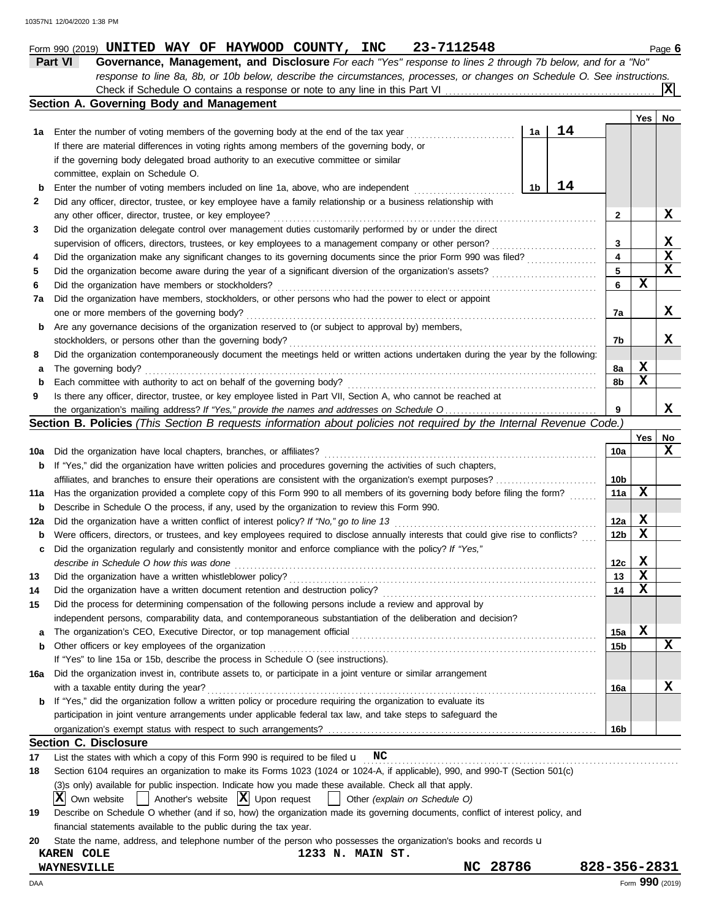|        | Check if Schedule O contains a response or note to any line in this Part VI                                                                           |    |    |                 |                 | X           |
|--------|-------------------------------------------------------------------------------------------------------------------------------------------------------|----|----|-----------------|-----------------|-------------|
|        | Section A. Governing Body and Management                                                                                                              |    |    |                 |                 |             |
|        |                                                                                                                                                       |    |    |                 | Yes             | No          |
| 1а     | Enter the number of voting members of the governing body at the end of the tax year                                                                   | 1a | 14 |                 |                 |             |
|        | If there are material differences in voting rights among members of the governing body, or                                                            |    |    |                 |                 |             |
|        | if the governing body delegated broad authority to an executive committee or similar                                                                  |    |    |                 |                 |             |
|        | committee, explain on Schedule O.                                                                                                                     |    |    |                 |                 |             |
| b      | Enter the number of voting members included on line 1a, above, who are independent                                                                    | 1b | 14 |                 |                 |             |
| 2      | Did any officer, director, trustee, or key employee have a family relationship or a business relationship with                                        |    |    |                 |                 |             |
|        | any other officer, director, trustee, or key employee?                                                                                                |    |    | 2               |                 | х           |
| 3      | Did the organization delegate control over management duties customarily performed by or under the direct                                             |    |    |                 |                 |             |
|        | supervision of officers, directors, trustees, or key employees to a management company or other person?                                               |    |    | 3               |                 | X           |
| 4      | Did the organization make any significant changes to its governing documents since the prior Form 990 was filed?                                      |    |    | 4               |                 | $\mathbf x$ |
| 5      | Did the organization become aware during the year of a significant diversion of the organization's assets?                                            |    |    | 5               |                 | x           |
| 6      | Did the organization have members or stockholders?                                                                                                    |    |    | 6               | X               |             |
| 7a     | Did the organization have members, stockholders, or other persons who had the power to elect or appoint                                               |    |    |                 |                 |             |
|        | one or more members of the governing body?                                                                                                            |    |    | 7a              |                 | X           |
| b      | Are any governance decisions of the organization reserved to (or subject to approval by) members,                                                     |    |    |                 |                 |             |
|        | stockholders, or persons other than the governing body?                                                                                               |    |    | 7b              |                 | x           |
| 8      | Did the organization contemporaneously document the meetings held or written actions undertaken during the year by the following:                     |    |    |                 | X               |             |
| а      | The governing body?                                                                                                                                   |    |    | 8a              | X               |             |
| b<br>9 | Each committee with authority to act on behalf of the governing body?                                                                                 |    |    | 8b              |                 |             |
|        | Is there any officer, director, trustee, or key employee listed in Part VII, Section A, who cannot be reached at                                      |    |    | 9               |                 | х           |
|        | Section B. Policies (This Section B requests information about policies not required by the Internal Revenue Code.)                                   |    |    |                 |                 |             |
|        |                                                                                                                                                       |    |    |                 | Yes             | No          |
| 10a    | Did the organization have local chapters, branches, or affiliates?                                                                                    |    |    | 10a             |                 | X           |
| b      | If "Yes," did the organization have written policies and procedures governing the activities of such chapters,                                        |    |    |                 |                 |             |
|        | affiliates, and branches to ensure their operations are consistent with the organization's exempt purposes?                                           |    |    | 10b             |                 |             |
| 11a    | Has the organization provided a complete copy of this Form 990 to all members of its governing body before filing the form?                           |    |    | 11a             | х               |             |
| b      | Describe in Schedule O the process, if any, used by the organization to review this Form 990.                                                         |    |    |                 |                 |             |
| 12a    | Did the organization have a written conflict of interest policy? If "No," go to line 13                                                               |    |    | 12a             | X               |             |
| b      | Were officers, directors, or trustees, and key employees required to disclose annually interests that could give rise to conflicts?                   |    |    | 12 <sub>b</sub> | X               |             |
| c      | Did the organization regularly and consistently monitor and enforce compliance with the policy? If "Yes,"                                             |    |    |                 |                 |             |
|        | describe in Schedule O how this was done                                                                                                              |    |    | 12c             | X               |             |
| 13     | Did the organization have a written whistleblower policy?                                                                                             |    |    | 13              | X               |             |
| 14     | Did the organization have a written document retention and destruction policy?                                                                        |    |    | 14              | X               |             |
| 15     | Did the process for determining compensation of the following persons include a review and approval by                                                |    |    |                 |                 |             |
|        | independent persons, comparability data, and contemporaneous substantiation of the deliberation and decision?                                         |    |    |                 |                 |             |
| а      |                                                                                                                                                       |    |    | 15a             | X               |             |
| b      | Other officers or key employees of the organization                                                                                                   |    |    | 15b             |                 | x           |
|        | If "Yes" to line 15a or 15b, describe the process in Schedule O (see instructions).                                                                   |    |    |                 |                 |             |
| 16a    | Did the organization invest in, contribute assets to, or participate in a joint venture or similar arrangement                                        |    |    |                 |                 |             |
|        | with a taxable entity during the year?                                                                                                                |    |    | 16a             |                 | X           |
| b      | If "Yes," did the organization follow a written policy or procedure requiring the organization to evaluate its                                        |    |    |                 |                 |             |
|        | participation in joint venture arrangements under applicable federal tax law, and take steps to safeguard the                                         |    |    |                 |                 |             |
|        |                                                                                                                                                       |    |    | 16 <sub>b</sub> |                 |             |
|        | <b>Section C. Disclosure</b>                                                                                                                          |    |    |                 |                 |             |
| 17     | List the states with which a copy of this Form 990 is required to be filed $\mathbf u$ NC                                                             |    |    |                 |                 |             |
| 18     | Section 6104 requires an organization to make its Forms 1023 (1024 or 1024-A, if applicable), 990, and 990-T (Section 501(c)                          |    |    |                 |                 |             |
|        | (3)s only) available for public inspection. Indicate how you made these available. Check all that apply.                                              |    |    |                 |                 |             |
|        | X<br>Own website $\begin{vmatrix} \end{vmatrix}$ Another's website $\begin{vmatrix} X \\ \end{vmatrix}$ Upon request<br>Other (explain on Schedule O) |    |    |                 |                 |             |
| 19     | Describe on Schedule O whether (and if so, how) the organization made its governing documents, conflict of interest policy, and                       |    |    |                 |                 |             |
|        | financial statements available to the public during the tax year.                                                                                     |    |    |                 |                 |             |
| 20     | State the name, address, and telephone number of the person who possesses the organization's books and records u                                      |    |    |                 |                 |             |
|        | <b>KAREN COLE</b><br><b>1233 N. MAIN ST.</b>                                                                                                          |    |    |                 |                 |             |
|        | NC 28786<br><b>WAYNESVILLE</b>                                                                                                                        |    |    | 828-356-2831    |                 |             |
| DAA    |                                                                                                                                                       |    |    |                 | Form 990 (2019) |             |

**Part VI Governance, Management, and Disclosure** *For each "Yes" response to lines 2 through 7b below, and for a "No"*

*response to line 8a, 8b, or 10b below, describe the circumstances, processes, or changes on Schedule O. See instructions.*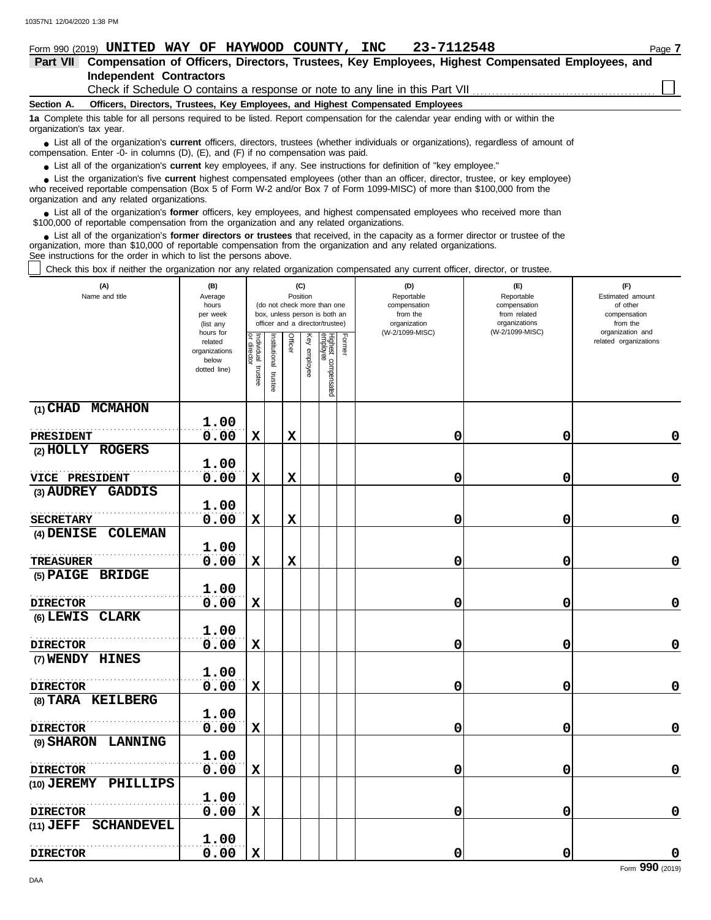| 23-7112548<br>Form 990 (2019) UNITED WAY OF HAYWOOD COUNTY, INC                                                                                                                                                                                                                                            | Page 7 |
|------------------------------------------------------------------------------------------------------------------------------------------------------------------------------------------------------------------------------------------------------------------------------------------------------------|--------|
| Compensation of Officers, Directors, Trustees, Key Employees, Highest Compensated Employees, and<br><b>Part VII</b>                                                                                                                                                                                        |        |
| <b>Independent Contractors</b>                                                                                                                                                                                                                                                                             |        |
|                                                                                                                                                                                                                                                                                                            |        |
| Officers, Directors, Trustees, Key Employees, and Highest Compensated Employees<br>Section A.                                                                                                                                                                                                              |        |
| 1a Complete this table for all persons required to be listed. Report compensation for the calendar year ending with or within the<br>organization's tax year.                                                                                                                                              |        |
| • List all of the organization's <b>current</b> officers, directors, trustees (whether individuals or organizations), regardless of amount of<br>compensation. Enter -0- in columns $(D)$ , $(E)$ , and $(F)$ if no compensation was paid.                                                                 |        |
| • List all of the organization's current key employees, if any. See instructions for definition of "key employee."                                                                                                                                                                                         |        |
| • List the organization's five current highest compensated employees (other than an officer, director, trustee, or key employee)<br>who received reportable compensation (Box 5 of Form W-2 and/or Box 7 of Form 1099-MISC) of more than \$100,000 from the<br>organization and any related organizations. |        |
| • List all of the organization's former officers, key employees, and highest compensated employees who received more than<br>\$100,000 of reportable compensation from the organization and any related organizations.                                                                                     |        |

List all of the organization's **former directors or trustees** that received, in the capacity as a former director or trustee of the **•**

organization, more than \$10,000 of reportable compensation from the organization and any related organizations.

See instructions for the order in which to list the persons above.

Check this box if neither the organization nor any related organization compensated any current officer, director, or trustee.

| (A)<br>Name and title          | (B)<br>Average                                                 |                                   |                       |                | (C)<br>Position |                                                                                                 |        | (D)<br>Reportable                        | (F)<br>Reportable                             | (F)<br>Estimated amount                   |
|--------------------------------|----------------------------------------------------------------|-----------------------------------|-----------------------|----------------|-----------------|-------------------------------------------------------------------------------------------------|--------|------------------------------------------|-----------------------------------------------|-------------------------------------------|
|                                | hours<br>per week<br>(list any                                 |                                   |                       |                |                 | (do not check more than one<br>box, unless person is both an<br>officer and a director/trustee) |        | compensation<br>from the<br>organization | compensation<br>from related<br>organizations | of other<br>compensation<br>from the      |
|                                | hours for<br>related<br>organizations<br>below<br>dotted line) | Individual trustee<br>or director | Institutional trustee | <b>Officer</b> | Key<br>employee | Highest compensated<br>employee                                                                 | Former | (W-2/1099-MISC)                          | (W-2/1099-MISC)                               | organization and<br>related organizations |
| (1) CHAD MCMAHON               | 1.00                                                           |                                   |                       |                |                 |                                                                                                 |        |                                          |                                               |                                           |
| PRESIDENT                      | 0.00                                                           | $\mathbf x$                       |                       | $\mathbf x$    |                 |                                                                                                 |        | 0                                        | 0                                             | 0                                         |
| (2) HOLLY ROGERS               |                                                                |                                   |                       |                |                 |                                                                                                 |        |                                          |                                               |                                           |
|                                | 1.00                                                           |                                   |                       |                |                 |                                                                                                 |        |                                          |                                               |                                           |
| VICE PRESIDENT                 | 0.00                                                           | $\mathbf x$                       |                       | X              |                 |                                                                                                 |        | 0                                        | 0                                             | $\pmb{0}$                                 |
| (3) AUDREY GADDIS              |                                                                |                                   |                       |                |                 |                                                                                                 |        |                                          |                                               |                                           |
|                                | 1.00                                                           |                                   |                       |                |                 |                                                                                                 |        |                                          |                                               |                                           |
| <b>SECRETARY</b>               | 0.00                                                           | $\mathbf x$                       |                       | $\mathbf x$    |                 |                                                                                                 |        | 0                                        | 0                                             | $\pmb{0}$                                 |
| $(4)$ DENISE<br><b>COLEMAN</b> |                                                                |                                   |                       |                |                 |                                                                                                 |        |                                          |                                               |                                           |
|                                | 1.00                                                           |                                   |                       |                |                 |                                                                                                 |        |                                          |                                               |                                           |
| TREASURER                      | 0.00                                                           | $\mathbf x$                       |                       | $\mathbf x$    |                 |                                                                                                 |        | 0                                        | 0                                             | $\mathbf 0$                               |
| (5) PAIGE BRIDGE               | 1.00                                                           |                                   |                       |                |                 |                                                                                                 |        |                                          |                                               |                                           |
| <b>DIRECTOR</b>                | 0.00                                                           | $\mathbf x$                       |                       |                |                 |                                                                                                 |        | 0                                        | 0                                             | $\mathbf 0$                               |
| (6) LEWIS CLARK                |                                                                |                                   |                       |                |                 |                                                                                                 |        |                                          |                                               |                                           |
|                                | 1.00                                                           |                                   |                       |                |                 |                                                                                                 |        |                                          |                                               |                                           |
| <b>DIRECTOR</b>                | 0.00                                                           | $\mathbf x$                       |                       |                |                 |                                                                                                 |        | 0                                        | 0                                             | $\mathbf 0$                               |
| (7) WENDY HINES                |                                                                |                                   |                       |                |                 |                                                                                                 |        |                                          |                                               |                                           |
|                                | 1.00                                                           |                                   |                       |                |                 |                                                                                                 |        |                                          |                                               |                                           |
| <b>DIRECTOR</b>                | 0.00                                                           | $\mathbf x$                       |                       |                |                 |                                                                                                 |        | 0                                        | 0                                             | $\mathbf 0$                               |
| (8) TARA KEILBERG              |                                                                |                                   |                       |                |                 |                                                                                                 |        |                                          |                                               |                                           |
|                                | 1.00                                                           |                                   |                       |                |                 |                                                                                                 |        |                                          |                                               |                                           |
| <b>DIRECTOR</b>                | 0.00                                                           | $\mathbf x$                       |                       |                |                 |                                                                                                 |        | 0                                        | 0                                             | $\mathbf 0$                               |
| LANNING<br>$(9)$ SHARON        |                                                                |                                   |                       |                |                 |                                                                                                 |        |                                          |                                               |                                           |
|                                | 1.00                                                           |                                   |                       |                |                 |                                                                                                 |        |                                          |                                               |                                           |
| <b>DIRECTOR</b>                | 0.00                                                           | $\mathbf x$                       |                       |                |                 |                                                                                                 |        | 0                                        | 0                                             | $\mathbf 0$                               |
| PHILLIPS<br>(10) JEREMY        |                                                                |                                   |                       |                |                 |                                                                                                 |        |                                          |                                               |                                           |
|                                | 1.00                                                           |                                   |                       |                |                 |                                                                                                 |        |                                          |                                               |                                           |
| <b>DIRECTOR</b>                | 0.00                                                           | $\mathbf x$                       |                       |                |                 |                                                                                                 |        | 0                                        | 0                                             | 0                                         |
| <b>SCHANDEVEL</b><br>(11) JEFF |                                                                |                                   |                       |                |                 |                                                                                                 |        |                                          |                                               |                                           |
|                                | 1.00<br>0.00                                                   | $\mathbf x$                       |                       |                |                 |                                                                                                 |        | 0                                        | 0                                             | 0                                         |
| <b>DIRECTOR</b>                |                                                                |                                   |                       |                |                 |                                                                                                 |        |                                          |                                               |                                           |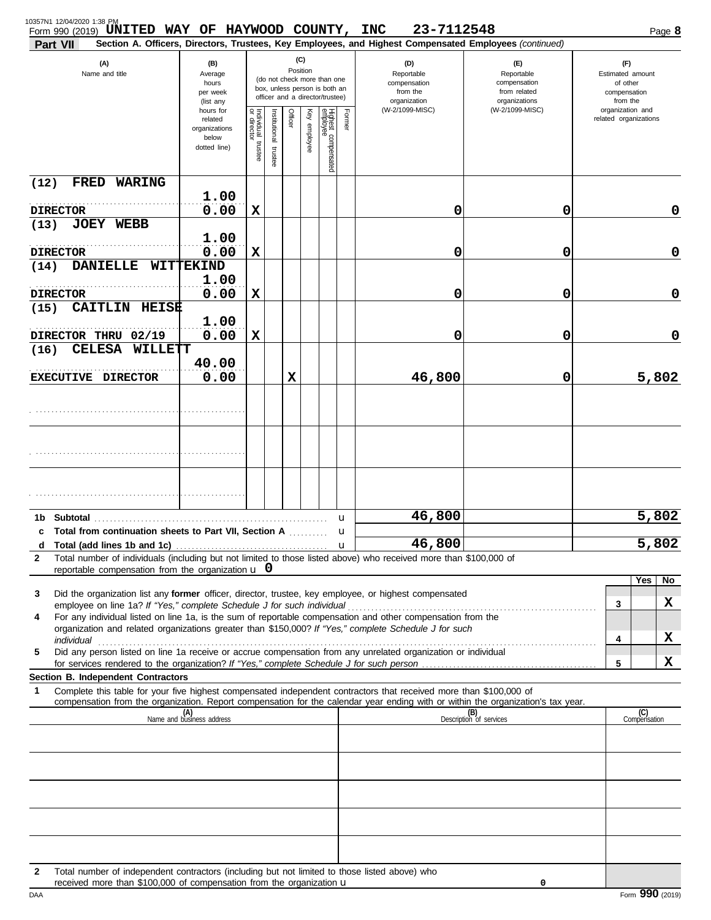| 10357N1 12/04/2020 1:38 PM<br>Form 990 (2019) UNITED WAY OF HAYWOOD COUNTY, INC<br><b>Part VII</b>                                                                                                                        |                                                                                                                                                                        |                                   |                         |         |                 |                                 |                   | 23-7112548<br>Section A. Officers, Directors, Trustees, Key Employees, and Highest Compensated Employees (continued) |                                                                    |                                                                 | Page 8         |  |
|---------------------------------------------------------------------------------------------------------------------------------------------------------------------------------------------------------------------------|------------------------------------------------------------------------------------------------------------------------------------------------------------------------|-----------------------------------|-------------------------|---------|-----------------|---------------------------------|-------------------|----------------------------------------------------------------------------------------------------------------------|--------------------------------------------------------------------|-----------------------------------------------------------------|----------------|--|
| (A)<br>Name and title                                                                                                                                                                                                     | (C)<br>(B)<br>Position<br>Average<br>(do not check more than one<br>hours<br>box, unless person is both an<br>per week<br>officer and a director/trustee)<br>(list any |                                   |                         |         |                 |                                 |                   | (D)<br>Reportable<br>compensation<br>from the<br>organization                                                        | (E)<br>Reportable<br>compensation<br>from related<br>organizations | (F)<br>Estimated amount<br>of other<br>compensation<br>from the |                |  |
|                                                                                                                                                                                                                           | hours for<br>related<br>organizations<br>below<br>dotted line)                                                                                                         | Individual trustee<br>or director | nstitutional<br>trustee | Officer | Key<br>employee | Highest compensated<br>employee | Former            | (W-2/1099-MISC)                                                                                                      | (W-2/1099-MISC)                                                    | organization and<br>related organizations                       |                |  |
| (12)<br>FRED WARING                                                                                                                                                                                                       | 1.00                                                                                                                                                                   |                                   |                         |         |                 |                                 |                   |                                                                                                                      |                                                                    |                                                                 |                |  |
| <b>DIRECTOR</b>                                                                                                                                                                                                           | 0.00                                                                                                                                                                   | X                                 |                         |         |                 |                                 |                   | 0                                                                                                                    | 0                                                                  |                                                                 | 0              |  |
| <b>JOEY WEBB</b><br>(13)                                                                                                                                                                                                  | 1.00                                                                                                                                                                   |                                   |                         |         |                 |                                 |                   |                                                                                                                      |                                                                    |                                                                 |                |  |
| <b>DIRECTOR</b>                                                                                                                                                                                                           | 0.00                                                                                                                                                                   | X                                 |                         |         |                 |                                 |                   | 0                                                                                                                    | 0                                                                  |                                                                 | 0              |  |
| DANIELLE WITTEKIND<br>(14)                                                                                                                                                                                                | 1.00                                                                                                                                                                   |                                   |                         |         |                 |                                 |                   |                                                                                                                      |                                                                    |                                                                 |                |  |
| <b>DIRECTOR</b>                                                                                                                                                                                                           | 0.00                                                                                                                                                                   | X                                 |                         |         |                 |                                 |                   | 0                                                                                                                    | 0                                                                  |                                                                 | 0              |  |
| <b>CAITLIN HEISE</b><br>(15)                                                                                                                                                                                              | 1.00                                                                                                                                                                   |                                   |                         |         |                 |                                 |                   |                                                                                                                      |                                                                    |                                                                 |                |  |
| DIRECTOR THRU 02/19                                                                                                                                                                                                       | 0.00                                                                                                                                                                   | X                                 |                         |         |                 |                                 |                   | 0                                                                                                                    | 0                                                                  |                                                                 | 0              |  |
| <b>CELESA</b><br>WILLETT<br>(16)                                                                                                                                                                                          |                                                                                                                                                                        |                                   |                         |         |                 |                                 |                   |                                                                                                                      |                                                                    |                                                                 |                |  |
| EXECUTIVE DIRECTOR                                                                                                                                                                                                        | 40.00<br>0.00                                                                                                                                                          |                                   |                         | X       |                 |                                 |                   | 46,800                                                                                                               | 0                                                                  |                                                                 | 5,802          |  |
|                                                                                                                                                                                                                           |                                                                                                                                                                        |                                   |                         |         |                 |                                 |                   |                                                                                                                      |                                                                    |                                                                 |                |  |
|                                                                                                                                                                                                                           |                                                                                                                                                                        |                                   |                         |         |                 |                                 |                   |                                                                                                                      |                                                                    |                                                                 |                |  |
| 1b.                                                                                                                                                                                                                       |                                                                                                                                                                        |                                   |                         |         |                 |                                 | u                 | 46,800                                                                                                               |                                                                    |                                                                 | 5,802          |  |
| Total from continuation sheets to Part VII, Section A<br>c<br>d                                                                                                                                                           |                                                                                                                                                                        |                                   |                         |         |                 |                                 | u<br>$\mathbf{u}$ | 46,800                                                                                                               |                                                                    |                                                                 | 5,802          |  |
| Total number of individuals (including but not limited to those listed above) who received more than \$100,000 of<br>$\mathbf{2}$<br>reportable compensation from the organization $\mathbf u$ 0                          |                                                                                                                                                                        |                                   |                         |         |                 |                                 |                   |                                                                                                                      |                                                                    |                                                                 |                |  |
|                                                                                                                                                                                                                           |                                                                                                                                                                        |                                   |                         |         |                 |                                 |                   |                                                                                                                      |                                                                    | Yes                                                             | $\overline{N}$ |  |
| Did the organization list any former officer, director, trustee, key employee, or highest compensated<br>3<br>employee on line 1a? If "Yes," complete Schedule J for such individual                                      |                                                                                                                                                                        |                                   |                         |         |                 |                                 |                   |                                                                                                                      |                                                                    | 3                                                               | X              |  |
| For any individual listed on line 1a, is the sum of reportable compensation and other compensation from the<br>4<br>organization and related organizations greater than \$150,000? If "Yes," complete Schedule J for such |                                                                                                                                                                        |                                   |                         |         |                 |                                 |                   |                                                                                                                      |                                                                    |                                                                 |                |  |
| individual<br>Did any person listed on line 1a receive or accrue compensation from any unrelated organization or individual<br>5                                                                                          |                                                                                                                                                                        |                                   |                         |         |                 |                                 |                   |                                                                                                                      |                                                                    | 4                                                               | X              |  |
|                                                                                                                                                                                                                           |                                                                                                                                                                        |                                   |                         |         |                 |                                 |                   |                                                                                                                      |                                                                    | 5                                                               | x              |  |
| Section B. Independent Contractors<br>Complete this table for your five highest compensated independent contractors that received more than \$100,000 of<br>1                                                             |                                                                                                                                                                        |                                   |                         |         |                 |                                 |                   |                                                                                                                      |                                                                    |                                                                 |                |  |
| compensation from the organization. Report compensation for the calendar year ending with or within the organization's tax year.                                                                                          | (A)<br>Name and business address                                                                                                                                       |                                   |                         |         |                 |                                 |                   |                                                                                                                      | (B)                                                                | (C)                                                             |                |  |
|                                                                                                                                                                                                                           |                                                                                                                                                                        |                                   |                         |         |                 |                                 |                   |                                                                                                                      | Description of services                                            | Compensation                                                    |                |  |
|                                                                                                                                                                                                                           |                                                                                                                                                                        |                                   |                         |         |                 |                                 |                   |                                                                                                                      |                                                                    |                                                                 |                |  |
|                                                                                                                                                                                                                           |                                                                                                                                                                        |                                   |                         |         |                 |                                 |                   |                                                                                                                      |                                                                    |                                                                 |                |  |
|                                                                                                                                                                                                                           |                                                                                                                                                                        |                                   |                         |         |                 |                                 |                   |                                                                                                                      |                                                                    |                                                                 |                |  |
|                                                                                                                                                                                                                           |                                                                                                                                                                        |                                   |                         |         |                 |                                 |                   |                                                                                                                      |                                                                    |                                                                 |                |  |
|                                                                                                                                                                                                                           |                                                                                                                                                                        |                                   |                         |         |                 |                                 |                   |                                                                                                                      |                                                                    |                                                                 |                |  |
|                                                                                                                                                                                                                           |                                                                                                                                                                        |                                   |                         |         |                 |                                 |                   |                                                                                                                      |                                                                    |                                                                 |                |  |
| Total number of independent contractors (including but not limited to those listed above) who<br>2<br>received more than \$100,000 of compensation from the organization u                                                |                                                                                                                                                                        |                                   |                         |         |                 |                                 |                   |                                                                                                                      | 0                                                                  |                                                                 |                |  |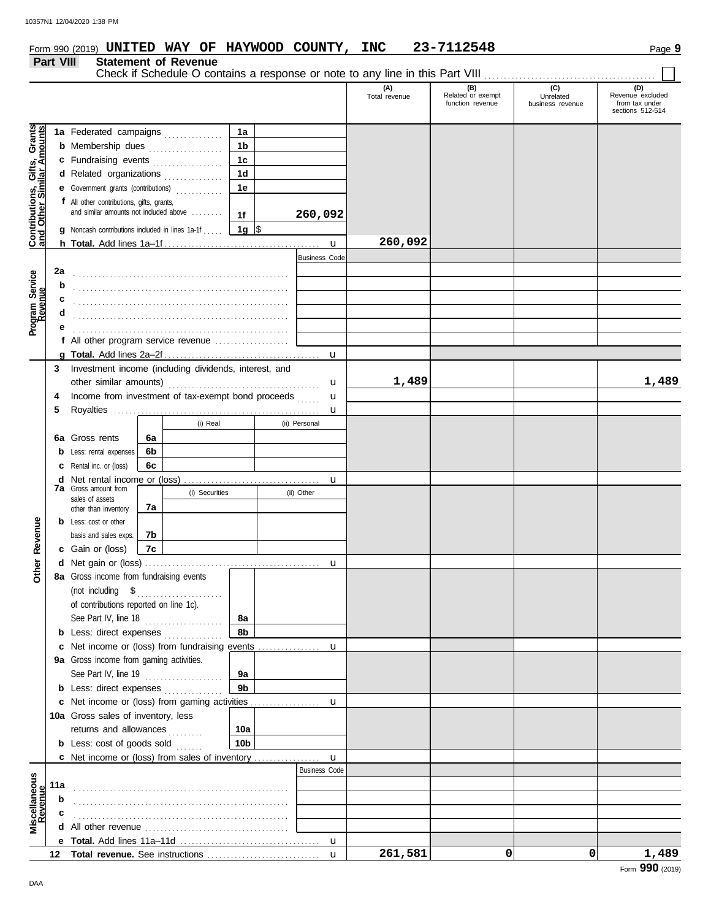# **Form 990 (2019) UNITED WAY OF HAYWOOD COUNTY, INC 23-7112548** Page 9

## **Part VIII Statement of Revenue**

Check if Schedule O contains a response or note to any line in this Part VIII . . . . . . . . . . . . . . . . . . . . . . . . . . . . . . . . . . . . . . . . . . . .

|                                                           |     |                                                       |    |                |                 |                      |              | (A)<br>Total revenue | (B)<br>Related or exempt<br>function revenue | (C)<br>Unrelated<br>business revenue | (D)<br>Revenue excluded<br>from tax under |
|-----------------------------------------------------------|-----|-------------------------------------------------------|----|----------------|-----------------|----------------------|--------------|----------------------|----------------------------------------------|--------------------------------------|-------------------------------------------|
|                                                           |     |                                                       |    |                |                 |                      |              |                      |                                              |                                      | sections 512-514                          |
| Contributions, Gifts, Grants<br>and Other Similar Amounts |     | 1a Federated campaigns                                |    |                | 1a              |                      |              |                      |                                              |                                      |                                           |
|                                                           |     | <b>b</b> Membership dues                              |    |                | 1 <sub>b</sub>  |                      |              |                      |                                              |                                      |                                           |
|                                                           |     | c Fundraising events                                  |    |                | 1 <sub>c</sub>  |                      |              |                      |                                              |                                      |                                           |
|                                                           |     | d Related organizations                               |    |                | 1 <sub>d</sub>  |                      |              |                      |                                              |                                      |                                           |
|                                                           |     | Government grants (contributions)                     |    |                | 1e              |                      |              |                      |                                              |                                      |                                           |
|                                                           |     | <b>f</b> All other contributions, gifts, grants,      |    |                |                 |                      |              |                      |                                              |                                      |                                           |
|                                                           |     | and similar amounts not included above                |    |                | 1f              | 260,092              |              |                      |                                              |                                      |                                           |
|                                                           |     | g Noncash contributions included in lines 1a-1f       |    |                | 1g $\sqrt{3}$   |                      |              |                      |                                              |                                      |                                           |
|                                                           |     |                                                       |    |                |                 |                      | $\mathbf{u}$ | 260,092              |                                              |                                      |                                           |
|                                                           |     |                                                       |    |                |                 | <b>Business Code</b> |              |                      |                                              |                                      |                                           |
|                                                           |     |                                                       |    |                |                 |                      |              |                      |                                              |                                      |                                           |
|                                                           | 2a  |                                                       |    |                |                 |                      |              |                      |                                              |                                      |                                           |
|                                                           | b   |                                                       |    |                |                 |                      |              |                      |                                              |                                      |                                           |
| Program Service<br>Revenue                                | с   |                                                       |    |                |                 |                      |              |                      |                                              |                                      |                                           |
|                                                           |     |                                                       |    |                |                 |                      |              |                      |                                              |                                      |                                           |
|                                                           |     |                                                       |    |                |                 |                      |              |                      |                                              |                                      |                                           |
|                                                           |     | f All other program service revenue                   |    |                |                 |                      |              |                      |                                              |                                      |                                           |
|                                                           |     |                                                       |    |                |                 |                      | $\mathbf{u}$ |                      |                                              |                                      |                                           |
|                                                           | 3   | Investment income (including dividends, interest, and |    |                |                 |                      |              |                      |                                              |                                      |                                           |
|                                                           |     |                                                       |    |                |                 |                      | u            | 1,489                |                                              |                                      | 1,489                                     |
|                                                           | 4   | Income from investment of tax-exempt bond proceeds    |    |                |                 |                      | u            |                      |                                              |                                      |                                           |
|                                                           | 5   |                                                       |    |                |                 |                      | u            |                      |                                              |                                      |                                           |
|                                                           |     |                                                       |    | (i) Real       |                 | (ii) Personal        |              |                      |                                              |                                      |                                           |
|                                                           |     | 6a Gross rents                                        | 6а |                |                 |                      |              |                      |                                              |                                      |                                           |
|                                                           | b   | Less: rental expenses                                 | 6b |                |                 |                      |              |                      |                                              |                                      |                                           |
|                                                           | С   | Rental inc. or (loss)                                 | 6c |                |                 |                      |              |                      |                                              |                                      |                                           |
|                                                           | d   | Net rental income or (loss)                           |    |                |                 |                      | u            |                      |                                              |                                      |                                           |
|                                                           |     | <b>7a</b> Gross amount from                           |    | (i) Securities |                 | (ii) Other           |              |                      |                                              |                                      |                                           |
|                                                           |     | sales of assets<br>other than inventory               | 7a |                |                 |                      |              |                      |                                              |                                      |                                           |
|                                                           |     | <b>b</b> Less: cost or other                          |    |                |                 |                      |              |                      |                                              |                                      |                                           |
| Revenue                                                   |     | basis and sales exps.                                 | 7b |                |                 |                      |              |                      |                                              |                                      |                                           |
|                                                           |     | c Gain or (loss)                                      | 7c |                |                 |                      |              |                      |                                              |                                      |                                           |
|                                                           | d   |                                                       |    |                |                 |                      |              |                      |                                              |                                      |                                           |
| Other                                                     |     | 8a Gross income from fundraising events               |    |                |                 |                      | u            |                      |                                              |                                      |                                           |
|                                                           |     |                                                       |    |                |                 |                      |              |                      |                                              |                                      |                                           |
|                                                           |     | of contributions reported on line 1c).                |    |                |                 |                      |              |                      |                                              |                                      |                                           |
|                                                           |     |                                                       |    |                |                 |                      |              |                      |                                              |                                      |                                           |
|                                                           |     | See Part IV, line 18                                  |    |                | 8a              |                      |              |                      |                                              |                                      |                                           |
|                                                           |     | <b>b</b> Less: direct expenses                        |    |                | 8b              |                      |              |                      |                                              |                                      |                                           |
|                                                           |     | c Net income or (loss) from fundraising events        |    |                |                 |                      | u            |                      |                                              |                                      |                                           |
|                                                           |     | 9a Gross income from gaming activities.               |    |                |                 |                      |              |                      |                                              |                                      |                                           |
|                                                           |     | See Part IV, line 19                                  |    |                | 9a              |                      |              |                      |                                              |                                      |                                           |
|                                                           |     | <b>b</b> Less: direct expenses                        |    |                | 9 <sub>b</sub>  |                      |              |                      |                                              |                                      |                                           |
|                                                           |     | c Net income or (loss) from gaming activities         |    |                |                 |                      | u            |                      |                                              |                                      |                                           |
|                                                           |     | <b>10a</b> Gross sales of inventory, less             |    |                |                 |                      |              |                      |                                              |                                      |                                           |
|                                                           |     | returns and allowances                                |    |                | 10a             |                      |              |                      |                                              |                                      |                                           |
|                                                           |     | <b>b</b> Less: cost of goods sold                     |    |                | 10 <sub>b</sub> |                      |              |                      |                                              |                                      |                                           |
|                                                           |     | c Net income or (loss) from sales of inventory        |    |                |                 |                      | u            |                      |                                              |                                      |                                           |
|                                                           |     |                                                       |    |                |                 | <b>Business Code</b> |              |                      |                                              |                                      |                                           |
|                                                           | 11a |                                                       |    |                |                 |                      |              |                      |                                              |                                      |                                           |
| Miscellaneous<br>Revenue                                  | b   |                                                       |    |                |                 |                      |              |                      |                                              |                                      |                                           |
|                                                           | c   |                                                       |    |                |                 |                      |              |                      |                                              |                                      |                                           |
|                                                           | a   |                                                       |    |                |                 |                      |              |                      |                                              |                                      |                                           |
|                                                           | е   |                                                       |    |                |                 |                      | u            |                      |                                              |                                      |                                           |
|                                                           |     |                                                       |    |                |                 |                      | $\mathbf{u}$ | 261,581              | 0                                            | 0                                    | 1,489                                     |
|                                                           |     |                                                       |    |                |                 |                      |              |                      |                                              |                                      |                                           |

DAA

 $\blacksquare$ 

Form **990** (2019)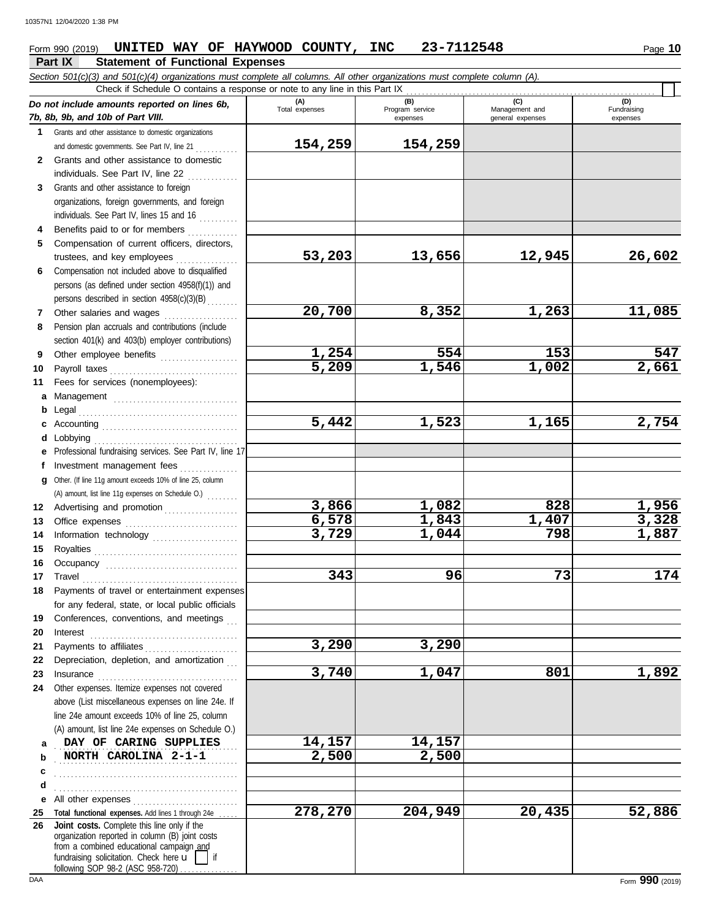## **Form 990 (2019) UNITED WAY OF HAYWOOD COUNTY, INC 23-7112548** Page 10

### **Part IX Statement of Functional Expenses**

n

*Section 501(c)(3) and 501(c)(4) organizations must complete all columns. All other organizations must complete column (A).* Check if Schedule O contains a response or note to any line in this Part IX

|    | Do not include amounts reported on lines 6b,                                                                                                                                                                                                                                                                                                                                                                                                                                                                                | (A)<br>Total expenses | (B)<br>Program service | (C)<br>Management and | (D)<br>Fundraising |
|----|-----------------------------------------------------------------------------------------------------------------------------------------------------------------------------------------------------------------------------------------------------------------------------------------------------------------------------------------------------------------------------------------------------------------------------------------------------------------------------------------------------------------------------|-----------------------|------------------------|-----------------------|--------------------|
|    | 7b, 8b, 9b, and 10b of Part VIII.                                                                                                                                                                                                                                                                                                                                                                                                                                                                                           |                       | expenses               | general expenses      | expenses           |
|    | 1 Grants and other assistance to domestic organizations                                                                                                                                                                                                                                                                                                                                                                                                                                                                     |                       |                        |                       |                    |
|    | and domestic governments. See Part IV, line 21                                                                                                                                                                                                                                                                                                                                                                                                                                                                              | 154,259               | 154,259                |                       |                    |
|    | 2 Grants and other assistance to domestic                                                                                                                                                                                                                                                                                                                                                                                                                                                                                   |                       |                        |                       |                    |
|    | individuals. See Part IV, line 22                                                                                                                                                                                                                                                                                                                                                                                                                                                                                           |                       |                        |                       |                    |
| 3  | Grants and other assistance to foreign                                                                                                                                                                                                                                                                                                                                                                                                                                                                                      |                       |                        |                       |                    |
|    | organizations, foreign governments, and foreign                                                                                                                                                                                                                                                                                                                                                                                                                                                                             |                       |                        |                       |                    |
|    | individuals. See Part IV, lines 15 and 16                                                                                                                                                                                                                                                                                                                                                                                                                                                                                   |                       |                        |                       |                    |
| 4  | Benefits paid to or for members                                                                                                                                                                                                                                                                                                                                                                                                                                                                                             |                       |                        |                       |                    |
| 5  | Compensation of current officers, directors,                                                                                                                                                                                                                                                                                                                                                                                                                                                                                |                       |                        |                       |                    |
|    |                                                                                                                                                                                                                                                                                                                                                                                                                                                                                                                             | 53,203                | 13,656                 | 12,945                | 26,602             |
| 6  | Compensation not included above to disqualified                                                                                                                                                                                                                                                                                                                                                                                                                                                                             |                       |                        |                       |                    |
|    | persons (as defined under section 4958(f)(1)) and                                                                                                                                                                                                                                                                                                                                                                                                                                                                           |                       |                        |                       |                    |
|    | persons described in section 4958(c)(3)(B)                                                                                                                                                                                                                                                                                                                                                                                                                                                                                  |                       |                        |                       |                    |
| 7  | Other salaries and wages                                                                                                                                                                                                                                                                                                                                                                                                                                                                                                    | 20,700                | 8,352                  | 1,263                 | 11,085             |
| 8  | Pension plan accruals and contributions (include                                                                                                                                                                                                                                                                                                                                                                                                                                                                            |                       |                        |                       |                    |
|    | section 401(k) and 403(b) employer contributions)                                                                                                                                                                                                                                                                                                                                                                                                                                                                           |                       |                        |                       |                    |
| 9  | Other employee benefits                                                                                                                                                                                                                                                                                                                                                                                                                                                                                                     | 1,254                 | 554                    | 153                   | 547                |
| 10 |                                                                                                                                                                                                                                                                                                                                                                                                                                                                                                                             | 5,209                 | 1,546                  | 1,002                 | 2,661              |
| 11 | Fees for services (nonemployees):                                                                                                                                                                                                                                                                                                                                                                                                                                                                                           |                       |                        |                       |                    |
| a  |                                                                                                                                                                                                                                                                                                                                                                                                                                                                                                                             |                       |                        |                       |                    |
| b  |                                                                                                                                                                                                                                                                                                                                                                                                                                                                                                                             |                       |                        |                       |                    |
| c  |                                                                                                                                                                                                                                                                                                                                                                                                                                                                                                                             | 5,442                 | 1,523                  | 1,165                 | 2,754              |
| d  |                                                                                                                                                                                                                                                                                                                                                                                                                                                                                                                             |                       |                        |                       |                    |
| е  | Professional fundraising services. See Part IV, line 17                                                                                                                                                                                                                                                                                                                                                                                                                                                                     |                       |                        |                       |                    |
| f. | Investment management fees                                                                                                                                                                                                                                                                                                                                                                                                                                                                                                  |                       |                        |                       |                    |
| a  | Other. (If line 11g amount exceeds 10% of line 25, column                                                                                                                                                                                                                                                                                                                                                                                                                                                                   |                       |                        |                       |                    |
|    | (A) amount, list line 11g expenses on Schedule O.)                                                                                                                                                                                                                                                                                                                                                                                                                                                                          |                       |                        |                       |                    |
| 12 | Advertising and promotion                                                                                                                                                                                                                                                                                                                                                                                                                                                                                                   | 3,866                 | 1,082                  | 828                   | 1,956              |
| 13 |                                                                                                                                                                                                                                                                                                                                                                                                                                                                                                                             | 6,578                 | 1,843                  | 1,407                 | 3,328              |
| 14 | Information technology                                                                                                                                                                                                                                                                                                                                                                                                                                                                                                      | 3,729                 | 1,044                  | 798                   | 1,887              |
| 15 |                                                                                                                                                                                                                                                                                                                                                                                                                                                                                                                             |                       |                        |                       |                    |
| 16 |                                                                                                                                                                                                                                                                                                                                                                                                                                                                                                                             |                       |                        |                       |                    |
| 17 | $\begin{minipage}[c]{0.9\linewidth} \begin{tabular}{l} \textbf{Travel} \end{tabular} \end{minipage} \end{minipage} \begin{minipage}[c]{0.9\linewidth} \begin{tabular}{l} \textbf{True} \end{tabular} \end{minipage} \end{minipage} \begin{minipage}[c]{0.9\linewidth} \begin{tabular}{l} \textbf{True} \end{tabular} \end{minipage} \end{minipage} \begin{minipage}[c]{0.9\linewidth} \begin{tabular}{l} \textbf{True} \end{tabular} \end{minipage} \end{minipage} \begin{minipage}[c]{0.9\linewidth} \begin{tabular}{l} \$ | 343                   | 96                     | 73                    | 174                |
| 18 | Payments of travel or entertainment expenses                                                                                                                                                                                                                                                                                                                                                                                                                                                                                |                       |                        |                       |                    |
|    | for any federal, state, or local public officials                                                                                                                                                                                                                                                                                                                                                                                                                                                                           |                       |                        |                       |                    |
| 19 | Conferences, conventions, and meetings                                                                                                                                                                                                                                                                                                                                                                                                                                                                                      |                       |                        |                       |                    |
| 20 | Interest                                                                                                                                                                                                                                                                                                                                                                                                                                                                                                                    |                       |                        |                       |                    |
| 21 | Payments to affiliates                                                                                                                                                                                                                                                                                                                                                                                                                                                                                                      | 3,290                 | 3,290                  |                       |                    |
| 22 | Depreciation, depletion, and amortization                                                                                                                                                                                                                                                                                                                                                                                                                                                                                   |                       |                        |                       |                    |
| 23 | $\begin{minipage}{0.5\textwidth} \centering \begin{tabular}{ c c c } \hline \textbf{Insurance} & \textbf{Insur} & \textbf{Insur} \\ \hline \textbf{Insur} & \textbf{Insur} & \textbf{Insur} \\ \hline \textbf{Insur} & \textbf{Insur} & \textbf{Insur} \\ \hline \end{tabular} \end{minipage}$                                                                                                                                                                                                                              | 3,740                 | 1,047                  | 801                   | 1,892              |
| 24 | Other expenses. Itemize expenses not covered                                                                                                                                                                                                                                                                                                                                                                                                                                                                                |                       |                        |                       |                    |
|    | above (List miscellaneous expenses on line 24e. If                                                                                                                                                                                                                                                                                                                                                                                                                                                                          |                       |                        |                       |                    |
|    | line 24e amount exceeds 10% of line 25, column                                                                                                                                                                                                                                                                                                                                                                                                                                                                              |                       |                        |                       |                    |
|    | (A) amount, list line 24e expenses on Schedule O.)                                                                                                                                                                                                                                                                                                                                                                                                                                                                          |                       |                        |                       |                    |
| a  | DAY OF CARING SUPPLIES                                                                                                                                                                                                                                                                                                                                                                                                                                                                                                      | 14,157                | 14,157                 |                       |                    |
| b  | NORTH CAROLINA 2-1-1                                                                                                                                                                                                                                                                                                                                                                                                                                                                                                        | 2,500                 | 2,500                  |                       |                    |
| c  |                                                                                                                                                                                                                                                                                                                                                                                                                                                                                                                             |                       |                        |                       |                    |
| d  |                                                                                                                                                                                                                                                                                                                                                                                                                                                                                                                             |                       |                        |                       |                    |
| е  |                                                                                                                                                                                                                                                                                                                                                                                                                                                                                                                             |                       |                        |                       |                    |
| 25 | Total functional expenses. Add lines 1 through 24e.                                                                                                                                                                                                                                                                                                                                                                                                                                                                         | 278,270               | 204,949                | 20,435                | 52,886             |
| 26 | Joint costs. Complete this line only if the<br>organization reported in column (B) joint costs<br>from a combined educational campaign and<br>fundraising solicitation. Check here $\mathbf{u}$<br>if<br>following SOP 98-2 (ASC 958-720)                                                                                                                                                                                                                                                                                   |                       |                        |                       |                    |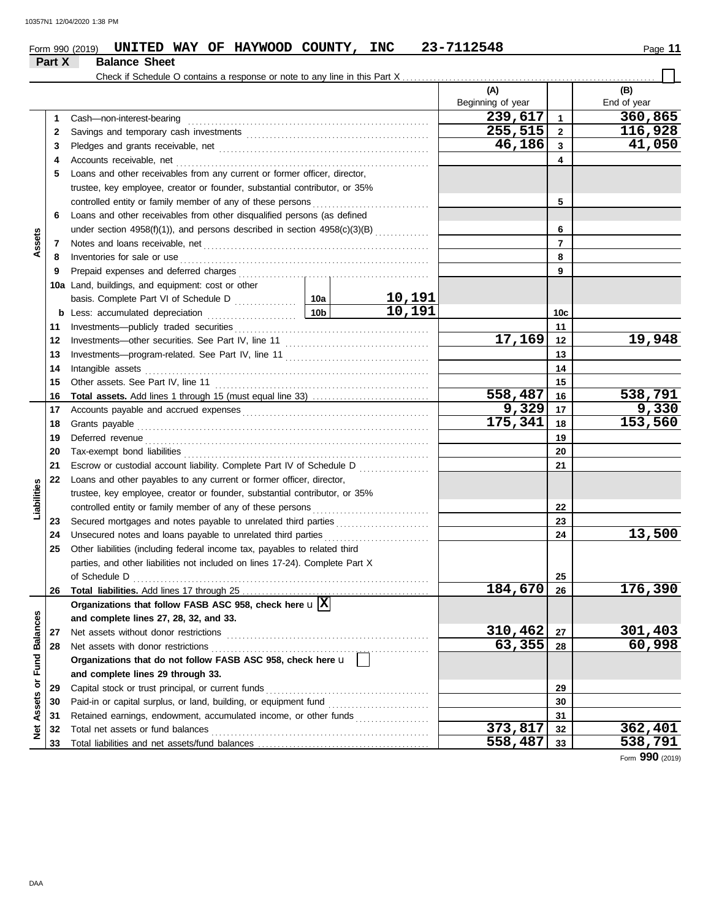| Form 990 (2019) | UNITED |  | <b>WAY OF HAYWOOD</b> | COUNTY, | <b>INC</b> | $-7112548$ | Page |
|-----------------|--------|--|-----------------------|---------|------------|------------|------|
|                 |        |  |                       |         |            |            |      |

|                 | Part X | <b>Balance Sheet</b>                                                                                                                                                                                                                |                 |                |                          |              |                    |
|-----------------|--------|-------------------------------------------------------------------------------------------------------------------------------------------------------------------------------------------------------------------------------------|-----------------|----------------|--------------------------|--------------|--------------------|
|                 |        | Check if Schedule O contains a response or note to any line in this Part X                                                                                                                                                          |                 |                |                          |              |                    |
|                 |        |                                                                                                                                                                                                                                     |                 |                | (A)<br>Beginning of year |              | (B)<br>End of year |
|                 | 1      | Cash-non-interest-bearing                                                                                                                                                                                                           |                 |                | 239,617                  | $\mathbf{1}$ | 360,865            |
|                 | 2      |                                                                                                                                                                                                                                     | 255,515         | $\overline{2}$ | 116,928                  |              |                    |
|                 | 3      |                                                                                                                                                                                                                                     |                 | 46,186         | 3                        | 41,050       |                    |
|                 | 4      | Accounts receivable, net                                                                                                                                                                                                            |                 | 4              |                          |              |                    |
|                 | 5      | Loans and other receivables from any current or former officer, director,                                                                                                                                                           |                 |                |                          |              |                    |
|                 |        | trustee, key employee, creator or founder, substantial contributor, or 35%                                                                                                                                                          |                 |                |                          |              |                    |
|                 |        | controlled entity or family member of any of these persons                                                                                                                                                                          |                 | 5              |                          |              |                    |
|                 | 6      | Loans and other receivables from other disqualified persons (as defined                                                                                                                                                             |                 |                |                          |              |                    |
|                 |        | under section 4958(f)(1)), and persons described in section 4958(c)(3)(B)                                                                                                                                                           |                 |                |                          | 6            |                    |
| Assets          | 7      |                                                                                                                                                                                                                                     |                 |                |                          | 7            |                    |
|                 | 8      | Inventories for sale or use <i>communication</i> and the state of the state of the state of the state of the state of the state of the state of the state of the state of the state of the state of the state of the state of the s |                 |                |                          | 8            |                    |
|                 | 9      |                                                                                                                                                                                                                                     |                 |                |                          | 9            |                    |
|                 | 10a    | Land, buildings, and equipment: cost or other                                                                                                                                                                                       |                 |                |                          |              |                    |
|                 |        |                                                                                                                                                                                                                                     | 10a             | 10,191         |                          |              |                    |
|                 | b      | Less: accumulated depreciation                                                                                                                                                                                                      | 10 <sub>b</sub> | 10,191         |                          | 10c          |                    |
|                 | 11     |                                                                                                                                                                                                                                     |                 |                |                          | 11           |                    |
|                 | 12     |                                                                                                                                                                                                                                     |                 |                | 17,169                   | 12           | 19,948             |
|                 | 13     |                                                                                                                                                                                                                                     |                 |                | 13                       |              |                    |
|                 | 14     | Intangible assets                                                                                                                                                                                                                   |                 | 14             |                          |              |                    |
|                 | 15     |                                                                                                                                                                                                                                     |                 |                |                          | 15           |                    |
|                 | 16     |                                                                                                                                                                                                                                     |                 |                | 558,487                  | 16           | 538,791            |
|                 | 17     |                                                                                                                                                                                                                                     |                 |                | 9,329                    | 17           | 9,330              |
|                 | 18     | Grants payable                                                                                                                                                                                                                      | 175,341         | 18             | 153,560                  |              |                    |
|                 | 19     |                                                                                                                                                                                                                                     |                 |                |                          | 19           |                    |
|                 | 20     |                                                                                                                                                                                                                                     |                 |                |                          | 20           |                    |
|                 | 21     | Escrow or custodial account liability. Complete Part IV of Schedule D                                                                                                                                                               |                 |                |                          | 21           |                    |
|                 | 22     | Loans and other payables to any current or former officer, director,                                                                                                                                                                |                 |                |                          |              |                    |
| Liabilities     |        | trustee, key employee, creator or founder, substantial contributor, or 35%                                                                                                                                                          |                 |                |                          |              |                    |
|                 |        | controlled entity or family member of any of these persons                                                                                                                                                                          |                 |                |                          | 22           |                    |
|                 | 23     |                                                                                                                                                                                                                                     |                 |                |                          | 23           |                    |
|                 | 24     | Unsecured notes and loans payable to unrelated third parties                                                                                                                                                                        |                 |                |                          | 24           | 13,500             |
|                 | 25     | Other liabilities (including federal income tax, payables to related third                                                                                                                                                          |                 |                |                          |              |                    |
|                 |        | parties, and other liabilities not included on lines 17-24). Complete Part X                                                                                                                                                        |                 |                |                          |              |                    |
|                 |        | of Schedule D                                                                                                                                                                                                                       |                 |                | 184,670                  | 25<br>26     | 176,390            |
|                 | 26     | Organizations that follow FASB ASC 958, check here $\mathbf{u} \mathbf{X} $                                                                                                                                                         |                 |                |                          |              |                    |
|                 |        | and complete lines 27, 28, 32, and 33.                                                                                                                                                                                              |                 |                |                          |              |                    |
|                 | 27     | Net assets without donor restrictions                                                                                                                                                                                               |                 |                | 310,462                  | 27           | 301,403            |
| <b>Balances</b> | 28     | Net assets with donor restrictions                                                                                                                                                                                                  |                 |                | 63,355                   | 28           | 60,998             |
|                 |        | Organizations that do not follow FASB ASC 958, check here u                                                                                                                                                                         |                 |                |                          |              |                    |
| Fund            |        | and complete lines 29 through 33.                                                                                                                                                                                                   |                 |                |                          |              |                    |
| ŏ               | 29     | Capital stock or trust principal, or current funds                                                                                                                                                                                  |                 |                |                          | 29           |                    |
|                 | 30     |                                                                                                                                                                                                                                     |                 |                |                          | 30           |                    |
| Assets          | 31     | Retained earnings, endowment, accumulated income, or other funds                                                                                                                                                                    |                 |                |                          | 31           |                    |
| $\frac{1}{2}$   | 32     |                                                                                                                                                                                                                                     |                 |                | 373,817                  | 32           | 362,401            |
|                 | 33     |                                                                                                                                                                                                                                     |                 |                | 558,487                  | 33           | 538,791            |

Form **990** (2019)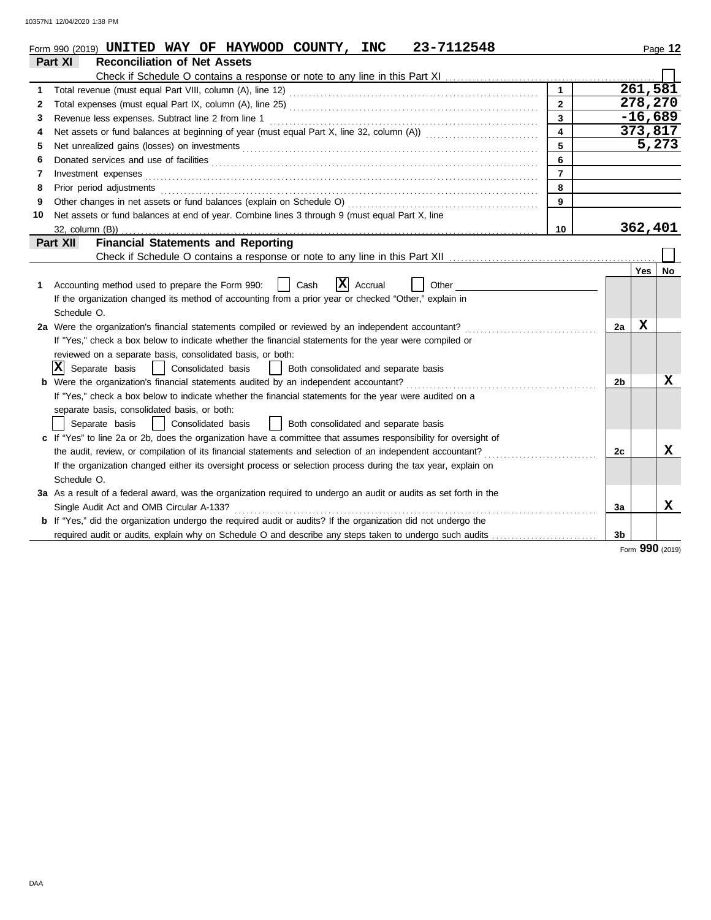|    | 23-7112548<br>Form 990 (2019) UNITED WAY OF HAYWOOD COUNTY, INC                                                                                                                                                                     |                |           | Page 12     |
|----|-------------------------------------------------------------------------------------------------------------------------------------------------------------------------------------------------------------------------------------|----------------|-----------|-------------|
|    | Part XI<br><b>Reconciliation of Net Assets</b>                                                                                                                                                                                      |                |           |             |
|    |                                                                                                                                                                                                                                     |                |           |             |
| 1  |                                                                                                                                                                                                                                     |                | 261,581   |             |
| 2  | $\mathbf{2}$                                                                                                                                                                                                                        |                | 278,270   |             |
| 3  | $\overline{\mathbf{3}}$                                                                                                                                                                                                             |                | $-16,689$ |             |
| 4  | 4                                                                                                                                                                                                                                   |                | 373,817   |             |
| 5  | 5                                                                                                                                                                                                                                   |                |           | 5,273       |
| 6  | 6<br>Donated services and use of facilities <b>constructs</b> and the construction of the service of facilities <b>constructs</b>                                                                                                   |                |           |             |
| 7  | $\overline{7}$<br>Investment expenses                                                                                                                                                                                               |                |           |             |
| 8  | 8<br>Prior period adjustments [11, 12] and the contract of the contract of the contract of the contract of the contract of the contract of the contract of the contract of the contract of the contract of the contract of the cont |                |           |             |
| 9  | Other changes in net assets or fund balances (explain on Schedule O)<br>9                                                                                                                                                           |                |           |             |
| 10 | Net assets or fund balances at end of year. Combine lines 3 through 9 (must equal Part X, line                                                                                                                                      |                |           |             |
|    | 32. column (B))<br>10                                                                                                                                                                                                               |                | 362,401   |             |
|    | <b>Financial Statements and Reporting</b><br>Part XII                                                                                                                                                                               |                |           |             |
|    |                                                                                                                                                                                                                                     |                |           |             |
|    |                                                                                                                                                                                                                                     |                | Yes       | No          |
| 1  | $\vert x \vert$<br>Accounting method used to prepare the Form 990:<br>Cash<br>Accrual<br>Other                                                                                                                                      |                |           |             |
|    | If the organization changed its method of accounting from a prior year or checked "Other," explain in                                                                                                                               |                |           |             |
|    | Schedule O.                                                                                                                                                                                                                         |                |           |             |
|    | 2a Were the organization's financial statements compiled or reviewed by an independent accountant?                                                                                                                                  | 2a             | x         |             |
|    | If "Yes," check a box below to indicate whether the financial statements for the year were compiled or                                                                                                                              |                |           |             |
|    | reviewed on a separate basis, consolidated basis, or both:                                                                                                                                                                          |                |           |             |
|    | $ \mathbf{X} $ Separate basis<br>  Consolidated basis<br>  Both consolidated and separate basis                                                                                                                                     |                |           |             |
|    | <b>b</b> Were the organization's financial statements audited by an independent accountant?                                                                                                                                         | 2b             |           | $\mathbf x$ |
|    | If "Yes," check a box below to indicate whether the financial statements for the year were audited on a                                                                                                                             |                |           |             |
|    | separate basis, consolidated basis, or both:                                                                                                                                                                                        |                |           |             |
|    | Separate basis<br>  Consolidated basis<br>Both consolidated and separate basis                                                                                                                                                      |                |           |             |
|    | c If "Yes" to line 2a or 2b, does the organization have a committee that assumes responsibility for oversight of                                                                                                                    |                |           |             |
|    | the audit, review, or compilation of its financial statements and selection of an independent accountant?                                                                                                                           | 2c             |           | x           |
|    | If the organization changed either its oversight process or selection process during the tax year, explain on                                                                                                                       |                |           |             |
|    | Schedule O.                                                                                                                                                                                                                         |                |           |             |
|    | 3a As a result of a federal award, was the organization required to undergo an audit or audits as set forth in the                                                                                                                  |                |           |             |
|    | Single Audit Act and OMB Circular A-133?                                                                                                                                                                                            | За             |           | x           |
|    | b If "Yes," did the organization undergo the required audit or audits? If the organization did not undergo the                                                                                                                      |                |           |             |
|    | required audit or audits, explain why on Schedule O and describe any steps taken to undergo such audits                                                                                                                             | 3 <sub>b</sub> |           |             |

Form **990** (2019)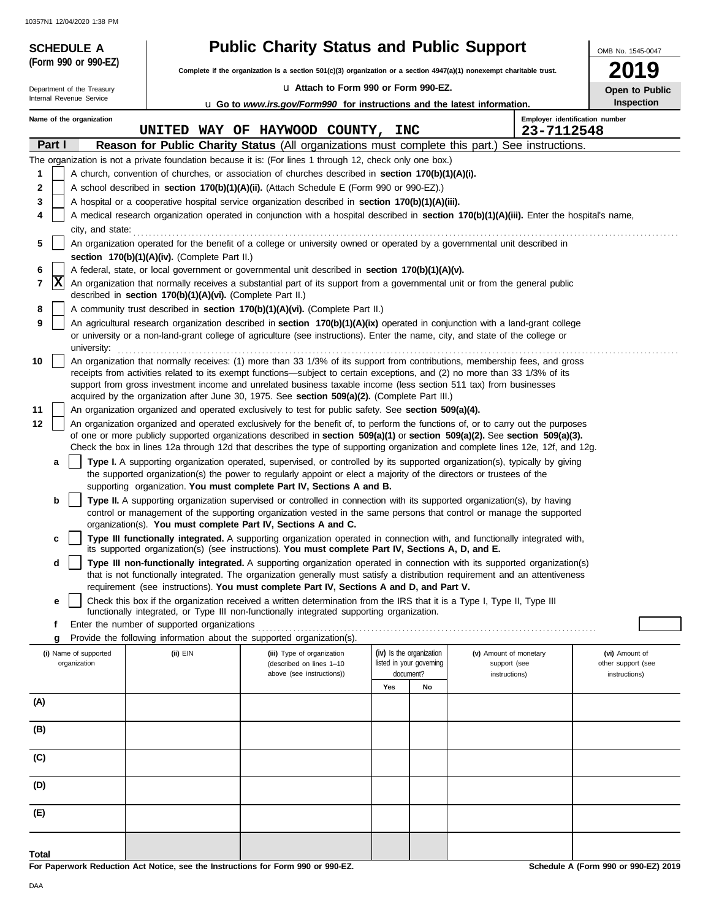| <b>SCHEDULE A</b>                                                                              |                  |                                                            | <b>Public Charity Status and Public Support</b>                                                                                                                                                                                                                |            |                                                      |                                        | OMB No. 1545-0047                    |  |  |
|------------------------------------------------------------------------------------------------|------------------|------------------------------------------------------------|----------------------------------------------------------------------------------------------------------------------------------------------------------------------------------------------------------------------------------------------------------------|------------|------------------------------------------------------|----------------------------------------|--------------------------------------|--|--|
| (Form 990 or 990-EZ)                                                                           |                  |                                                            | 2019<br>Complete if the organization is a section 501(c)(3) organization or a section 4947(a)(1) nonexempt charitable trust.                                                                                                                                   |            |                                                      |                                        |                                      |  |  |
| Department of the Treasury                                                                     |                  |                                                            | La Attach to Form 990 or Form 990-EZ.                                                                                                                                                                                                                          |            |                                                      |                                        | Open to Public                       |  |  |
| Internal Revenue Service                                                                       |                  |                                                            | <b>u</b> Go to www.irs.gov/Form990 for instructions and the latest information.                                                                                                                                                                                |            |                                                      |                                        | <b>Inspection</b>                    |  |  |
| Name of the organization                                                                       |                  |                                                            | UNITED WAY OF HAYWOOD COUNTY,                                                                                                                                                                                                                                  | <b>INC</b> |                                                      | 23-7112548                             | Employer identification number       |  |  |
| Part I                                                                                         |                  |                                                            | Reason for Public Charity Status (All organizations must complete this part.)                                                                                                                                                                                  |            |                                                      | See instructions.                      |                                      |  |  |
|                                                                                                |                  |                                                            | The organization is not a private foundation because it is: (For lines 1 through 12, check only one box.)                                                                                                                                                      |            |                                                      |                                        |                                      |  |  |
| 1                                                                                              |                  |                                                            | A church, convention of churches, or association of churches described in <b>section 170(b)(1)(A)(i).</b>                                                                                                                                                      |            |                                                      |                                        |                                      |  |  |
| 2<br>A school described in section 170(b)(1)(A)(ii). (Attach Schedule E (Form 990 or 990-EZ).) |                  |                                                            |                                                                                                                                                                                                                                                                |            |                                                      |                                        |                                      |  |  |
| 3                                                                                              |                  |                                                            | A hospital or a cooperative hospital service organization described in section 170(b)(1)(A)(iii).                                                                                                                                                              |            |                                                      |                                        |                                      |  |  |
| 4                                                                                              | city, and state: |                                                            | A medical research organization operated in conjunction with a hospital described in section 170(b)(1)(A)(iii). Enter the hospital's name,                                                                                                                     |            |                                                      |                                        |                                      |  |  |
| 5                                                                                              |                  |                                                            | An organization operated for the benefit of a college or university owned or operated by a governmental unit described in                                                                                                                                      |            |                                                      |                                        |                                      |  |  |
|                                                                                                |                  | section 170(b)(1)(A)(iv). (Complete Part II.)              |                                                                                                                                                                                                                                                                |            |                                                      |                                        |                                      |  |  |
| 6                                                                                              |                  |                                                            | A federal, state, or local government or governmental unit described in section 170(b)(1)(A)(v).                                                                                                                                                               |            |                                                      |                                        |                                      |  |  |
| X<br>7                                                                                         |                  | described in section 170(b)(1)(A)(vi). (Complete Part II.) | An organization that normally receives a substantial part of its support from a governmental unit or from the general public                                                                                                                                   |            |                                                      |                                        |                                      |  |  |
| 8                                                                                              |                  |                                                            | A community trust described in section 170(b)(1)(A)(vi). (Complete Part II.)                                                                                                                                                                                   |            |                                                      |                                        |                                      |  |  |
| 9                                                                                              |                  |                                                            | An agricultural research organization described in section 170(b)(1)(A)(ix) operated in conjunction with a land-grant college                                                                                                                                  |            |                                                      |                                        |                                      |  |  |
|                                                                                                | university:      |                                                            | or university or a non-land-grant college of agriculture (see instructions). Enter the name, city, and state of the college or                                                                                                                                 |            |                                                      |                                        |                                      |  |  |
| 10                                                                                             |                  |                                                            | An organization that normally receives: (1) more than 33 1/3% of its support from contributions, membership fees, and gross                                                                                                                                    |            |                                                      |                                        |                                      |  |  |
|                                                                                                |                  |                                                            | receipts from activities related to its exempt functions—subject to certain exceptions, and (2) no more than 33 1/3% of its<br>support from gross investment income and unrelated business taxable income (less section 511 tax) from businesses               |            |                                                      |                                        |                                      |  |  |
|                                                                                                |                  |                                                            | acquired by the organization after June 30, 1975. See section 509(a)(2). (Complete Part III.)                                                                                                                                                                  |            |                                                      |                                        |                                      |  |  |
| 11                                                                                             |                  |                                                            | An organization organized and operated exclusively to test for public safety. See section 509(a)(4).                                                                                                                                                           |            |                                                      |                                        |                                      |  |  |
| 12                                                                                             |                  |                                                            | An organization organized and operated exclusively for the benefit of, to perform the functions of, or to carry out the purposes                                                                                                                               |            |                                                      |                                        |                                      |  |  |
|                                                                                                |                  |                                                            | of one or more publicly supported organizations described in section 509(a)(1) or section 509(a)(2). See section 509(a)(3).<br>Check the box in lines 12a through 12d that describes the type of supporting organization and complete lines 12e, 12f, and 12g. |            |                                                      |                                        |                                      |  |  |
| a                                                                                              |                  |                                                            | Type I. A supporting organization operated, supervised, or controlled by its supported organization(s), typically by giving                                                                                                                                    |            |                                                      |                                        |                                      |  |  |
|                                                                                                |                  |                                                            | the supported organization(s) the power to regularly appoint or elect a majority of the directors or trustees of the<br>supporting organization. You must complete Part IV, Sections A and B.                                                                  |            |                                                      |                                        |                                      |  |  |
| b                                                                                              |                  |                                                            | Type II. A supporting organization supervised or controlled in connection with its supported organization(s), by having                                                                                                                                        |            |                                                      |                                        |                                      |  |  |
|                                                                                                |                  |                                                            | control or management of the supporting organization vested in the same persons that control or manage the supported                                                                                                                                           |            |                                                      |                                        |                                      |  |  |
| c                                                                                              |                  |                                                            | organization(s). You must complete Part IV, Sections A and C.<br>Type III functionally integrated. A supporting organization operated in connection with, and functionally integrated with,                                                                    |            |                                                      |                                        |                                      |  |  |
|                                                                                                |                  |                                                            | its supported organization(s) (see instructions). You must complete Part IV, Sections A, D, and E.                                                                                                                                                             |            |                                                      |                                        |                                      |  |  |
| d                                                                                              |                  |                                                            | Type III non-functionally integrated. A supporting organization operated in connection with its supported organization(s)<br>that is not functionally integrated. The organization generally must satisfy a distribution requirement and an attentiveness      |            |                                                      |                                        |                                      |  |  |
|                                                                                                |                  |                                                            | requirement (see instructions). You must complete Part IV, Sections A and D, and Part V.                                                                                                                                                                       |            |                                                      |                                        |                                      |  |  |
| е                                                                                              |                  |                                                            | Check this box if the organization received a written determination from the IRS that it is a Type I, Type II, Type III                                                                                                                                        |            |                                                      |                                        |                                      |  |  |
| f                                                                                              |                  | Enter the number of supported organizations                | functionally integrated, or Type III non-functionally integrated supporting organization.                                                                                                                                                                      |            |                                                      |                                        |                                      |  |  |
| g                                                                                              |                  |                                                            | Provide the following information about the supported organization(s).                                                                                                                                                                                         |            |                                                      |                                        |                                      |  |  |
| (i) Name of supported<br>organization                                                          |                  | (ii) EIN                                                   | (iii) Type of organization<br>(described on lines 1-10                                                                                                                                                                                                         |            | (iv) Is the organization<br>listed in your governing | (v) Amount of monetary<br>support (see | (vi) Amount of<br>other support (see |  |  |
|                                                                                                |                  |                                                            | above (see instructions))                                                                                                                                                                                                                                      |            | document?                                            | instructions)                          | instructions)                        |  |  |
|                                                                                                |                  |                                                            |                                                                                                                                                                                                                                                                | Yes        | No                                                   |                                        |                                      |  |  |
| (A)                                                                                            |                  |                                                            |                                                                                                                                                                                                                                                                |            |                                                      |                                        |                                      |  |  |
| (B)                                                                                            |                  |                                                            |                                                                                                                                                                                                                                                                |            |                                                      |                                        |                                      |  |  |
| (C)                                                                                            |                  |                                                            |                                                                                                                                                                                                                                                                |            |                                                      |                                        |                                      |  |  |
|                                                                                                |                  |                                                            |                                                                                                                                                                                                                                                                |            |                                                      |                                        |                                      |  |  |
| (D)                                                                                            |                  |                                                            |                                                                                                                                                                                                                                                                |            |                                                      |                                        |                                      |  |  |
| (E)                                                                                            |                  |                                                            |                                                                                                                                                                                                                                                                |            |                                                      |                                        |                                      |  |  |
|                                                                                                |                  |                                                            |                                                                                                                                                                                                                                                                |            |                                                      |                                        |                                      |  |  |
| Total                                                                                          |                  |                                                            |                                                                                                                                                                                                                                                                |            |                                                      |                                        |                                      |  |  |

**For Paperwork Reduction Act Notice, see the Instructions for Form 990 or 990-EZ.**

**Schedule A (Form 990 or 990-EZ) 2019**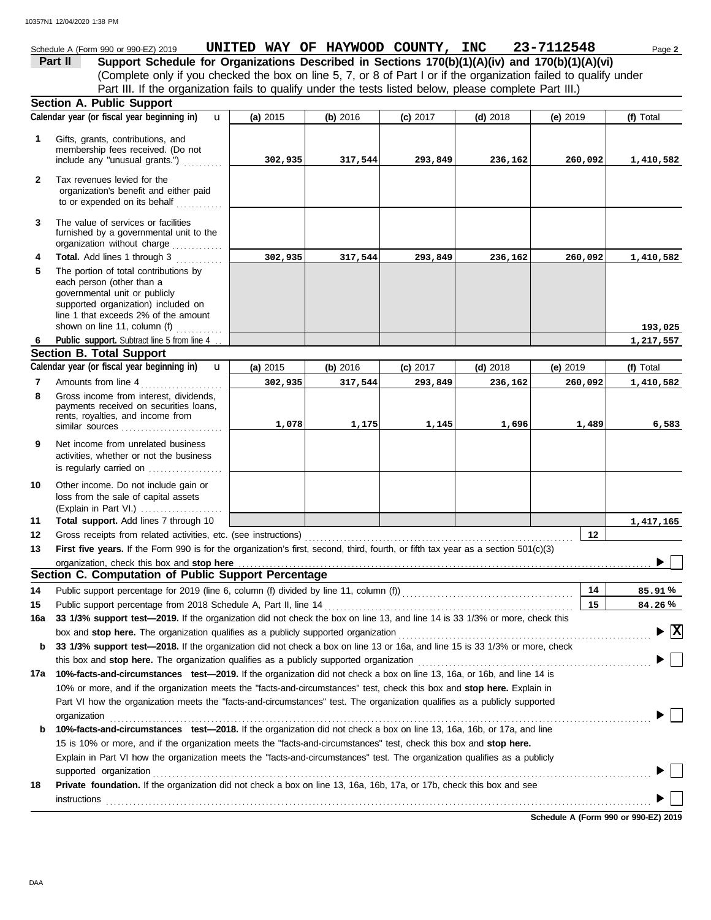|                         | Schedule A (Form 990 or 990-EZ) 2019                                                                                                                                                      |            | UNITED WAY OF HAYWOOD COUNTY, INC |          |            | 23-7112548 | Page 2    |
|-------------------------|-------------------------------------------------------------------------------------------------------------------------------------------------------------------------------------------|------------|-----------------------------------|----------|------------|------------|-----------|
|                         | Part II<br>Support Schedule for Organizations Described in Sections 170(b)(1)(A)(iv) and 170(b)(1)(A)(vi)                                                                                 |            |                                   |          |            |            |           |
|                         | (Complete only if you checked the box on line 5, 7, or 8 of Part I or if the organization failed to qualify under                                                                         |            |                                   |          |            |            |           |
|                         | Part III. If the organization fails to qualify under the tests listed below, please complete Part III.)                                                                                   |            |                                   |          |            |            |           |
|                         | Section A. Public Support                                                                                                                                                                 |            |                                   |          |            |            |           |
|                         | Calendar year (or fiscal year beginning in)<br>$\mathbf{u}$                                                                                                                               | (a) 2015   | (b) 2016                          | (c) 2017 | $(d)$ 2018 | (e) $2019$ | (f) Total |
| $\mathbf{1}$            | Gifts, grants, contributions, and<br>membership fees received. (Do not<br>include any "unusual grants.")                                                                                  | 302,935    | 317,544                           | 293,849  | 236,162    | 260,092    | 1,410,582 |
| $\mathbf{2}$            | Tax revenues levied for the<br>organization's benefit and either paid<br>to or expended on its behalf                                                                                     |            |                                   |          |            |            |           |
| 3                       | The value of services or facilities<br>furnished by a governmental unit to the<br>organization without charge                                                                             |            |                                   |          |            |            |           |
| 4                       | Total. Add lines 1 through 3                                                                                                                                                              | 302,935    | 317,544                           | 293,849  | 236,162    | 260,092    | 1,410,582 |
| 5                       | The portion of total contributions by<br>each person (other than a<br>governmental unit or publicly<br>supported organization) included on<br>line 1 that exceeds 2% of the amount        |            |                                   |          |            |            |           |
|                         | shown on line 11, column (f) $\ldots$<br>Public support. Subtract line 5 from line 4                                                                                                      |            |                                   |          |            |            | 193,025   |
| 6                       | <b>Section B. Total Support</b>                                                                                                                                                           |            |                                   |          |            |            | 1,217,557 |
|                         | Calendar year (or fiscal year beginning in)<br>$\mathbf{u}$                                                                                                                               | (a) $2015$ | (b) 2016                          | (c) 2017 | $(d)$ 2018 | (e) $2019$ | (f) Total |
| $\overline{\mathbf{r}}$ | Amounts from line 4                                                                                                                                                                       | 302,935    | 317,544                           | 293,849  | 236,162    | 260,092    | 1,410,582 |
| 8                       | Gross income from interest, dividends,<br>payments received on securities loans,<br>rents, royalties, and income from<br>similar sources $\ldots, \ldots, \ldots, \ldots, \ldots, \ldots$ | 1,078      | 1,175                             | 1,145    | 1,696      | 1,489      | 6,583     |
| 9                       | Net income from unrelated business<br>activities, whether or not the business<br>is regularly carried on                                                                                  |            |                                   |          |            |            |           |
| 10<br>11                | Other income. Do not include gain or<br>loss from the sale of capital assets<br>Total support. Add lines 7 through 10                                                                     |            |                                   |          |            |            | 1,417,165 |
| 12                      |                                                                                                                                                                                           |            |                                   |          |            | 12         |           |
|                         |                                                                                                                                                                                           |            |                                   |          |            |            |           |

|     | 16a 33 1/3% support test—2019. If the organization did not check the box on line 13, and line 14 is 33 1/3% or more, check this                                                                                                |
|-----|--------------------------------------------------------------------------------------------------------------------------------------------------------------------------------------------------------------------------------|
|     | box and stop here. The organization qualifies as a publicly supported organization [11] content content content content or space and stop here. The organization content of the state of the state of the state of the state o |
|     | <b>b</b> 33 1/3% support test-2018. If the organization did not check a box on line 13 or 16a, and line 15 is 33 1/3% or more, check                                                                                           |
|     | this box and stop here. The organization qualifies as a publicly supported organization [11] [11] [11] [11] [1                                                                                                                 |
| 17a | 10%-facts-and-circumstances test-2019. If the organization did not check a box on line 13, 16a, or 16b, and line 14 is                                                                                                         |
|     | 10% or more, and if the organization meets the "facts-and-circumstances" test, check this box and <b>stop here.</b> Explain in                                                                                                 |
|     | Part VI how the organization meets the "facts-and-circumstances" test. The organization qualifies as a publicly supported                                                                                                      |
| b   | 10%-facts-and-circumstances test-2018. If the organization did not check a box on line 13, 16a, 16b, or 17a, and line                                                                                                          |
|     | 15 is 10% or more, and if the organization meets the "facts-and-circumstances" test, check this box and stop here.                                                                                                             |
|     | Explain in Part VI how the organization meets the "facts-and-circumstances" test. The organization qualifies as a publicly                                                                                                     |
|     |                                                                                                                                                                                                                                |
| 18  | <b>Private foundation.</b> If the organization did not check a box on line 13, 16a, 16b, 17a, or 17b, check this box and see                                                                                                   |

instructions . . . . . . . . . . . . . . . . . . . . . . . . . . . . . . . . . . . . . . . . . . . . . . . . . . . . . . . . . . . . . . . . . . . . . . . . . . . . . . . . . . . . . . . . . . . . . . . . . . . . . . . . . . . . . . . . . . . . . . . . . . . . . . . . . . . . . . . . . . . .

**14** Public support percentage for 2019 (line 6, column (f) divided by line 11, column (f)) . . . . . . . . . . . . . . . . . . . . . . . . . . . . . . . . . . . . . . . . . . . . Public support percentage from 2018 Schedule A, Part II, line 14 . . . . . . . . . . . . . . . . . . . . . . . . . . . . . . . . . . . . . . . . . . . . . . . . . . . . . . . . . . . . . . . .

**Schedule A (Form 990 or 990-EZ) 2019**

**14 15**

**% 85.91 % 84.26**

**X**

 $\blacktriangleright \Box$ 

 $\blacktriangleright \Box$ 

 $\blacktriangleright$   $\Box$ 

▶ Γ

**15**

organization, check this box and stop here

**Section C. Computation of Public Support Percentage**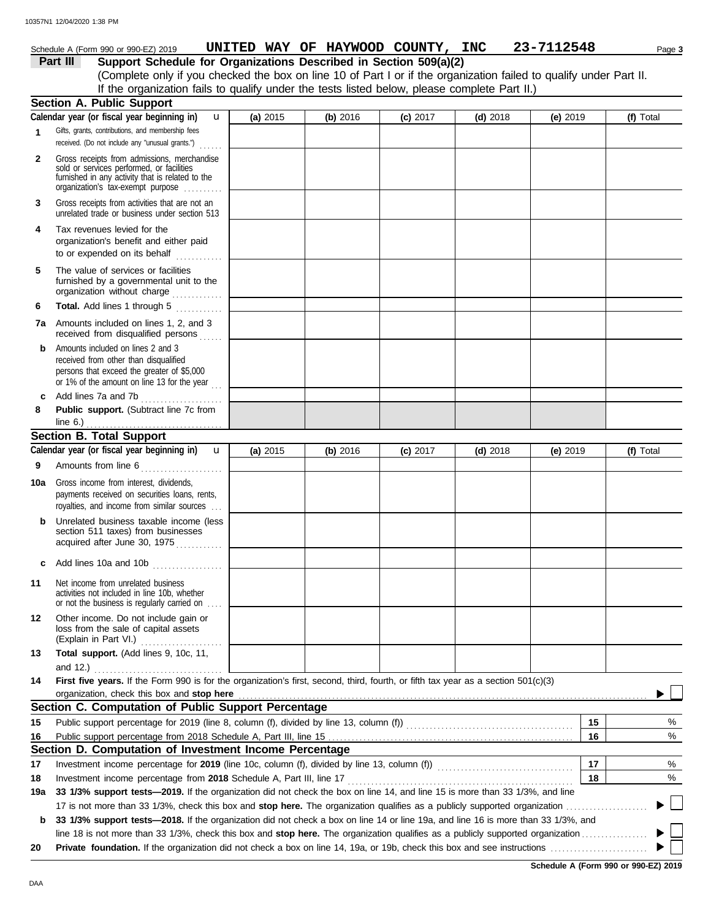|              | Schedule A (Form 990 or 990-EZ) 2019                                                                                                                                              |          |          | UNITED WAY OF HAYWOOD COUNTY, INC |            | 23-7112548 | Page 3    |
|--------------|-----------------------------------------------------------------------------------------------------------------------------------------------------------------------------------|----------|----------|-----------------------------------|------------|------------|-----------|
|              | Support Schedule for Organizations Described in Section 509(a)(2)<br>Part III                                                                                                     |          |          |                                   |            |            |           |
|              | (Complete only if you checked the box on line 10 of Part I or if the organization failed to qualify under Part II.                                                                |          |          |                                   |            |            |           |
|              | If the organization fails to qualify under the tests listed below, please complete Part II.)                                                                                      |          |          |                                   |            |            |           |
|              | <b>Section A. Public Support</b>                                                                                                                                                  |          |          |                                   |            |            |           |
|              | Calendar year (or fiscal year beginning in)<br>$\mathbf{u}$                                                                                                                       | (a) 2015 | (b) 2016 | (c) 2017                          | $(d)$ 2018 | (e) 2019   | (f) Total |
| 1            | Gifts, grants, contributions, and membership fees                                                                                                                                 |          |          |                                   |            |            |           |
|              | received. (Do not include any "unusual grants.")<br>.                                                                                                                             |          |          |                                   |            |            |           |
| $\mathbf{2}$ | Gross receipts from admissions, merchandise<br>sold or services performed, or facilities<br>furnished in any activity that is related to the<br>organization's tax-exempt purpose |          |          |                                   |            |            |           |
| 3            | Gross receipts from activities that are not an<br>unrelated trade or business under section 513                                                                                   |          |          |                                   |            |            |           |
| 4            | Tax revenues levied for the<br>organization's benefit and either paid<br>to or expended on its behalf                                                                             |          |          |                                   |            |            |           |
| 5            | The value of services or facilities<br>furnished by a governmental unit to the<br>organization without charge                                                                     |          |          |                                   |            |            |           |
| 6            | Total. Add lines 1 through 5                                                                                                                                                      |          |          |                                   |            |            |           |
|              | <b>7a</b> Amounts included on lines 1, 2, and 3<br>received from disqualified persons                                                                                             |          |          |                                   |            |            |           |
| b            | Amounts included on lines 2 and 3<br>received from other than disqualified<br>persons that exceed the greater of \$5,000<br>or 1% of the amount on line 13 for the year.          |          |          |                                   |            |            |           |
| c            | Add lines 7a and 7b                                                                                                                                                               |          |          |                                   |            |            |           |
| 8            | Public support. (Subtract line 7c from                                                                                                                                            |          |          |                                   |            |            |           |
|              | <b>Section B. Total Support</b>                                                                                                                                                   |          |          |                                   |            |            |           |
|              | Calendar year (or fiscal year beginning in)<br>$\mathbf{u}$                                                                                                                       | (a) 2015 | (b) 2016 | (c) 2017                          | $(d)$ 2018 | (e) 2019   | (f) Total |
| 9            | Amounts from line 6                                                                                                                                                               |          |          |                                   |            |            |           |
| 10a          | Gross income from interest, dividends,<br>payments received on securities loans, rents,<br>royalties, and income from similar sources                                             |          |          |                                   |            |            |           |
|              | Unrelated business taxable income (less<br>section 511 taxes) from businesses<br>acquired after June 30, 1975                                                                     |          |          |                                   |            |            |           |
|              | c Add lines 10a and 10b $\ldots$                                                                                                                                                  |          |          |                                   |            |            |           |
| 11           | Net income from unrelated business<br>activities not included in line 10b, whether<br>or not the business is regularly carried on                                                 |          |          |                                   |            |            |           |
| 12           | Other income. Do not include gain or<br>loss from the sale of capital assets<br>(Explain in Part VI.)<br>.                                                                        |          |          |                                   |            |            |           |
| 13           | Total support. (Add lines 9, 10c, 11,                                                                                                                                             |          |          |                                   |            |            |           |
|              | and 12.) $\ldots$                                                                                                                                                                 |          |          |                                   |            |            |           |
| 14           | First five years. If the Form 990 is for the organization's first, second, third, fourth, or fifth tax year as a section 501(c)(3)                                                |          |          |                                   |            |            |           |
|              | organization, check this box and stop here                                                                                                                                        |          |          |                                   |            |            |           |
|              | Section C. Computation of Public Support Percentage                                                                                                                               |          |          |                                   |            |            |           |
| 15           |                                                                                                                                                                                   |          |          |                                   |            | 15         | %         |
| 16           |                                                                                                                                                                                   |          |          |                                   |            | 16         | %         |
|              | Section D. Computation of Investment Income Percentage                                                                                                                            |          |          |                                   |            |            |           |
| 17           | Investment income percentage for 2019 (line 10c, column (f), divided by line 13, column (f)) [[[[[[[[[[[[[[[[                                                                     |          |          |                                   |            | 17         | %         |
| 18           | Investment income percentage from 2018 Schedule A, Part III, line 17                                                                                                              |          |          |                                   |            | 18         | %         |
| 19a          | 33 1/3% support tests—2019. If the organization did not check the box on line 14, and line 15 is more than 33 1/3%, and line                                                      |          |          |                                   |            |            |           |
|              |                                                                                                                                                                                   |          |          |                                   |            |            |           |
| b            | 33 1/3% support tests-2018. If the organization did not check a box on line 14 or line 19a, and line 16 is more than 33 1/3%, and                                                 |          |          |                                   |            |            |           |
|              |                                                                                                                                                                                   |          |          |                                   |            |            |           |
| 20           |                                                                                                                                                                                   |          |          |                                   |            |            |           |

**Schedule A (Form 990 or 990-EZ) 2019**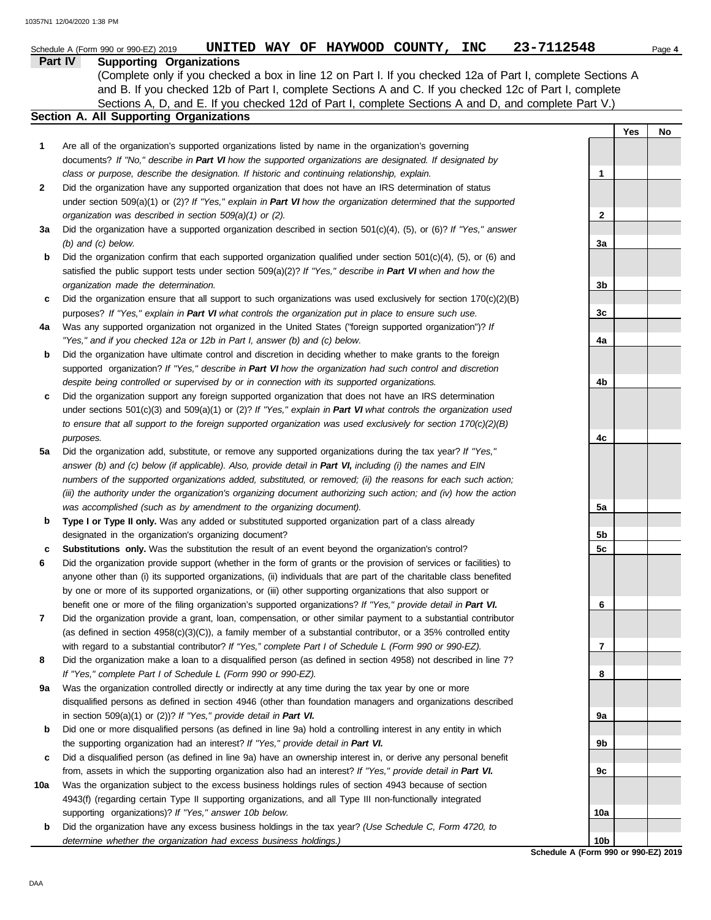|                | <b>Supporting Organizations</b>                                                                                                                                                                                                           |                                                  |     | Page 4 |
|----------------|-------------------------------------------------------------------------------------------------------------------------------------------------------------------------------------------------------------------------------------------|--------------------------------------------------|-----|--------|
| <b>Part IV</b> |                                                                                                                                                                                                                                           |                                                  |     |        |
|                | (Complete only if you checked a box in line 12 on Part I. If you checked 12a of Part I, complete Sections A                                                                                                                               |                                                  |     |        |
|                | and B. If you checked 12b of Part I, complete Sections A and C. If you checked 12c of Part I, complete                                                                                                                                    |                                                  |     |        |
|                | Sections A, D, and E. If you checked 12d of Part I, complete Sections A and D, and complete Part V.)                                                                                                                                      |                                                  |     |        |
|                | Section A. All Supporting Organizations                                                                                                                                                                                                   |                                                  |     |        |
|                |                                                                                                                                                                                                                                           |                                                  | Yes | No     |
| 1              | Are all of the organization's supported organizations listed by name in the organization's governing<br>documents? If "No," describe in Part VI how the supported organizations are designated. If designated by                          |                                                  |     |        |
|                | class or purpose, describe the designation. If historic and continuing relationship, explain.                                                                                                                                             | 1                                                |     |        |
| 2              | Did the organization have any supported organization that does not have an IRS determination of status                                                                                                                                    |                                                  |     |        |
|                | under section 509(a)(1) or (2)? If "Yes," explain in Part VI how the organization determined that the supported                                                                                                                           |                                                  |     |        |
|                | organization was described in section 509(a)(1) or (2).                                                                                                                                                                                   | $\mathbf{2}$                                     |     |        |
| За             | Did the organization have a supported organization described in section $501(c)(4)$ , (5), or (6)? If "Yes," answer                                                                                                                       |                                                  |     |        |
|                | $(b)$ and $(c)$ below.                                                                                                                                                                                                                    | 3a                                               |     |        |
| b              | Did the organization confirm that each supported organization qualified under section $501(c)(4)$ , $(5)$ , or $(6)$ and                                                                                                                  |                                                  |     |        |
|                | satisfied the public support tests under section 509(a)(2)? If "Yes," describe in Part VI when and how the                                                                                                                                |                                                  |     |        |
|                | organization made the determination.                                                                                                                                                                                                      | 3 <sub>b</sub>                                   |     |        |
| c              | Did the organization ensure that all support to such organizations was used exclusively for section $170(c)(2)(B)$                                                                                                                        |                                                  |     |        |
|                | purposes? If "Yes," explain in Part VI what controls the organization put in place to ensure such use.                                                                                                                                    | 3c                                               |     |        |
| 4a             | Was any supported organization not organized in the United States ("foreign supported organization")? If                                                                                                                                  |                                                  |     |        |
|                | "Yes," and if you checked 12a or 12b in Part I, answer (b) and (c) below.                                                                                                                                                                 | 4a                                               |     |        |
| b              | Did the organization have ultimate control and discretion in deciding whether to make grants to the foreign                                                                                                                               |                                                  |     |        |
|                | supported organization? If "Yes," describe in Part VI how the organization had such control and discretion<br>despite being controlled or supervised by or in connection with its supported organizations.                                | 4b                                               |     |        |
| c              | Did the organization support any foreign supported organization that does not have an IRS determination                                                                                                                                   |                                                  |     |        |
|                | under sections $501(c)(3)$ and $509(a)(1)$ or (2)? If "Yes," explain in Part VI what controls the organization used                                                                                                                       |                                                  |     |        |
|                | to ensure that all support to the foreign supported organization was used exclusively for section $170(c)(2)(B)$                                                                                                                          |                                                  |     |        |
|                | purposes.                                                                                                                                                                                                                                 | 4c                                               |     |        |
| 5a             | Did the organization add, substitute, or remove any supported organizations during the tax year? If "Yes,"                                                                                                                                |                                                  |     |        |
|                | answer (b) and (c) below (if applicable). Also, provide detail in Part VI, including (i) the names and EIN                                                                                                                                |                                                  |     |        |
|                | numbers of the supported organizations added, substituted, or removed; (ii) the reasons for each such action;                                                                                                                             |                                                  |     |        |
|                | (iii) the authority under the organization's organizing document authorizing such action; and (iv) how the action                                                                                                                         |                                                  |     |        |
|                | was accomplished (such as by amendment to the organizing document).                                                                                                                                                                       | 5a                                               |     |        |
| b              | Type I or Type II only. Was any added or substituted supported organization part of a class already                                                                                                                                       |                                                  |     |        |
|                | designated in the organization's organizing document?                                                                                                                                                                                     | 5b                                               |     |        |
| c              | Substitutions only. Was the substitution the result of an event beyond the organization's control?                                                                                                                                        | 5c                                               |     |        |
| 6              | Did the organization provide support (whether in the form of grants or the provision of services or facilities) to<br>anyone other than (i) its supported organizations, (ii) individuals that are part of the charitable class benefited |                                                  |     |        |
|                | by one or more of its supported organizations, or (iii) other supporting organizations that also support or                                                                                                                               |                                                  |     |        |
|                | benefit one or more of the filing organization's supported organizations? If "Yes," provide detail in Part VI.                                                                                                                            | 6                                                |     |        |
| 7              | Did the organization provide a grant, loan, compensation, or other similar payment to a substantial contributor                                                                                                                           |                                                  |     |        |
|                | (as defined in section 4958(c)(3)(C)), a family member of a substantial contributor, or a 35% controlled entity                                                                                                                           |                                                  |     |        |
|                | with regard to a substantial contributor? If "Yes," complete Part I of Schedule L (Form 990 or 990-EZ).                                                                                                                                   | 7                                                |     |        |
| 8              | Did the organization make a loan to a disqualified person (as defined in section 4958) not described in line 7?                                                                                                                           |                                                  |     |        |
|                | If "Yes," complete Part I of Schedule L (Form 990 or 990-EZ).                                                                                                                                                                             | 8                                                |     |        |
| 9a             | Was the organization controlled directly or indirectly at any time during the tax year by one or more                                                                                                                                     |                                                  |     |        |
|                | disqualified persons as defined in section 4946 (other than foundation managers and organizations described                                                                                                                               |                                                  |     |        |
|                | in section $509(a)(1)$ or (2))? If "Yes," provide detail in Part VI.                                                                                                                                                                      | 9а                                               |     |        |
| b              | Did one or more disqualified persons (as defined in line 9a) hold a controlling interest in any entity in which                                                                                                                           |                                                  |     |        |
|                | the supporting organization had an interest? If "Yes," provide detail in Part VI.                                                                                                                                                         | 9b                                               |     |        |
| c              | Did a disqualified person (as defined in line 9a) have an ownership interest in, or derive any personal benefit                                                                                                                           |                                                  |     |        |
| 10a            | from, assets in which the supporting organization also had an interest? If "Yes," provide detail in Part VI.<br>Was the organization subject to the excess business holdings rules of section 4943 because of section                     | 9c                                               |     |        |
|                | 4943(f) (regarding certain Type II supporting organizations, and all Type III non-functionally integrated                                                                                                                                 |                                                  |     |        |
|                | supporting organizations)? If "Yes," answer 10b below.                                                                                                                                                                                    | 10a                                              |     |        |
| b              | Did the organization have any excess business holdings in the tax year? (Use Schedule C, Form 4720, to                                                                                                                                    |                                                  |     |        |
|                | determine whether the organization had excess business holdings.)<br><b>Colonial</b>                                                                                                                                                      | 10 <sub>b</sub><br>$A$ (Farm 000 as 000 EZ) 2040 |     |        |

**Schedule A (Form 990 or 990-EZ) 2019**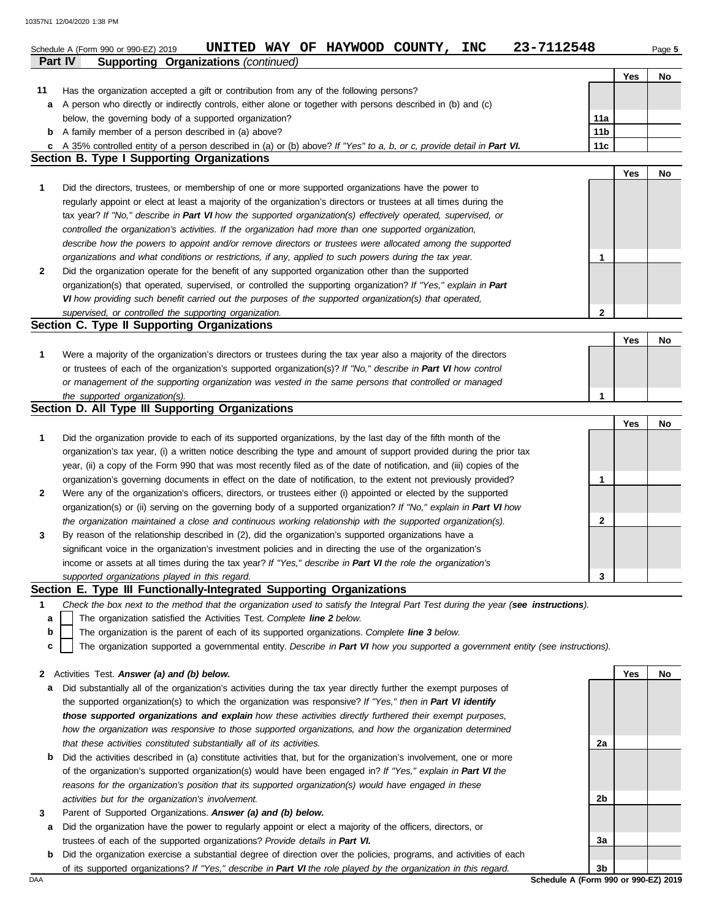|                | UNITED WAY OF HAYWOOD COUNTY,<br><b>INC</b><br>Schedule A (Form 990 or 990-EZ) 2019                                                                                                                                              | 23-7112548                                 |     | Page 5 |
|----------------|----------------------------------------------------------------------------------------------------------------------------------------------------------------------------------------------------------------------------------|--------------------------------------------|-----|--------|
| <b>Part IV</b> | <b>Supporting Organizations (continued)</b>                                                                                                                                                                                      |                                            |     |        |
|                |                                                                                                                                                                                                                                  |                                            | Yes | No     |
| 11             | Has the organization accepted a gift or contribution from any of the following persons?                                                                                                                                          |                                            |     |        |
| а              | A person who directly or indirectly controls, either alone or together with persons described in (b) and (c)                                                                                                                     |                                            |     |        |
|                | below, the governing body of a supported organization?                                                                                                                                                                           | 11a                                        |     |        |
| b              | A family member of a person described in (a) above?                                                                                                                                                                              | 11 <sub>b</sub>                            |     |        |
| c              | A 35% controlled entity of a person described in (a) or (b) above? If "Yes" to a, b, or c, provide detail in Part VI.                                                                                                            | 11c                                        |     |        |
|                | <b>Section B. Type I Supporting Organizations</b>                                                                                                                                                                                |                                            |     |        |
|                |                                                                                                                                                                                                                                  |                                            | Yes | No     |
| 1              | Did the directors, trustees, or membership of one or more supported organizations have the power to                                                                                                                              |                                            |     |        |
|                | regularly appoint or elect at least a majority of the organization's directors or trustees at all times during the                                                                                                               |                                            |     |        |
|                | tax year? If "No," describe in Part VI how the supported organization(s) effectively operated, supervised, or                                                                                                                    |                                            |     |        |
|                | controlled the organization's activities. If the organization had more than one supported organization,                                                                                                                          |                                            |     |        |
|                | describe how the powers to appoint and/or remove directors or trustees were allocated among the supported                                                                                                                        |                                            |     |        |
|                | organizations and what conditions or restrictions, if any, applied to such powers during the tax year.                                                                                                                           | 1                                          |     |        |
| $\mathbf{2}$   | Did the organization operate for the benefit of any supported organization other than the supported                                                                                                                              |                                            |     |        |
|                | organization(s) that operated, supervised, or controlled the supporting organization? If "Yes," explain in Part                                                                                                                  |                                            |     |        |
|                | VI how providing such benefit carried out the purposes of the supported organization(s) that operated,                                                                                                                           |                                            |     |        |
|                | supervised, or controlled the supporting organization.                                                                                                                                                                           | $\mathbf{2}$                               |     |        |
|                | Section C. Type II Supporting Organizations                                                                                                                                                                                      |                                            |     |        |
|                |                                                                                                                                                                                                                                  |                                            | Yes | No     |
| 1              | Were a majority of the organization's directors or trustees during the tax year also a majority of the directors                                                                                                                 |                                            |     |        |
|                | or trustees of each of the organization's supported organization(s)? If "No," describe in Part VI how control                                                                                                                    |                                            |     |        |
|                | or management of the supporting organization was vested in the same persons that controlled or managed                                                                                                                           |                                            |     |        |
|                | the supported organization(s).                                                                                                                                                                                                   | 1                                          |     |        |
|                | Section D. All Type III Supporting Organizations                                                                                                                                                                                 |                                            |     |        |
|                |                                                                                                                                                                                                                                  |                                            | Yes | No     |
| 1              | Did the organization provide to each of its supported organizations, by the last day of the fifth month of the                                                                                                                   |                                            |     |        |
|                | organization's tax year, (i) a written notice describing the type and amount of support provided during the prior tax                                                                                                            |                                            |     |        |
|                | year, (ii) a copy of the Form 990 that was most recently filed as of the date of notification, and (iii) copies of the                                                                                                           |                                            |     |        |
|                | organization's governing documents in effect on the date of notification, to the extent not previously provided?                                                                                                                 | 1                                          |     |        |
| $\mathbf{2}$   | Were any of the organization's officers, directors, or trustees either (i) appointed or elected by the supported                                                                                                                 |                                            |     |        |
|                | organization(s) or (ii) serving on the governing body of a supported organization? If "No," explain in Part VI how                                                                                                               |                                            |     |        |
|                | the organization maintained a close and continuous working relationship with the supported organization(s).                                                                                                                      | $\mathbf{2}$                               |     |        |
|                | By reason of the relationship described in (2), did the organization's supported organizations have a                                                                                                                            |                                            |     |        |
| 3              | significant voice in the organization's investment policies and in directing the use of the organization's                                                                                                                       |                                            |     |        |
|                |                                                                                                                                                                                                                                  |                                            |     |        |
|                | income or assets at all times during the tax year? If "Yes," describe in Part VI the role the organization's                                                                                                                     | 3                                          |     |        |
|                | supported organizations played in this regard.<br>Section E. Type III Functionally-Integrated Supporting Organizations                                                                                                           |                                            |     |        |
|                |                                                                                                                                                                                                                                  |                                            |     |        |
| 1              | Check the box next to the method that the organization used to satisfy the Integral Part Test during the year (see instructions).                                                                                                |                                            |     |        |
| а              | The organization satisfied the Activities Test. Complete line 2 below.                                                                                                                                                           |                                            |     |        |
| b              | The organization is the parent of each of its supported organizations. Complete line 3 below.                                                                                                                                    |                                            |     |        |
| c              | The organization supported a governmental entity. Describe in Part VI how you supported a government entity (see instructions).                                                                                                  |                                            |     |        |
| 2              | Activities Test. Answer (a) and (b) below.                                                                                                                                                                                       |                                            | Yes | No     |
|                |                                                                                                                                                                                                                                  |                                            |     |        |
| а              | Did substantially all of the organization's activities during the tax year directly further the exempt purposes of<br>the supported organization(s) to which the organization was responsive? If "Yes," then in Part VI identify |                                            |     |        |
|                |                                                                                                                                                                                                                                  |                                            |     |        |
|                | those supported organizations and explain how these activities directly furthered their exempt purposes,                                                                                                                         |                                            |     |        |
|                | how the organization was responsive to those supported organizations, and how the organization determined                                                                                                                        |                                            |     |        |
|                | that these activities constituted substantially all of its activities.                                                                                                                                                           | 2a                                         |     |        |
| b              | Did the activities described in (a) constitute activities that, but for the organization's involvement, one or more                                                                                                              |                                            |     |        |
|                | of the organization's supported organization(s) would have been engaged in? If "Yes," explain in Part VI the                                                                                                                     |                                            |     |        |
|                | reasons for the organization's position that its supported organization(s) would have engaged in these                                                                                                                           |                                            |     |        |
|                | activities but for the organization's involvement.                                                                                                                                                                               | 2b                                         |     |        |
| 3              | Parent of Supported Organizations. Answer (a) and (b) below.                                                                                                                                                                     |                                            |     |        |
| а              | Did the organization have the power to regularly appoint or elect a majority of the officers, directors, or                                                                                                                      |                                            |     |        |
|                | trustees of each of the supported organizations? Provide details in Part VI.                                                                                                                                                     | За                                         |     |        |
| b              | Did the organization exercise a substantial degree of direction over the policies, programs, and activities of each                                                                                                              |                                            |     |        |
| DAA            | of its supported organizations? If "Yes," describe in Part VI the role played by the organization in this regard.                                                                                                                | 3b<br>Schedule A (Form 990 or 990-EZ) 2019 |     |        |
|                |                                                                                                                                                                                                                                  |                                            |     |        |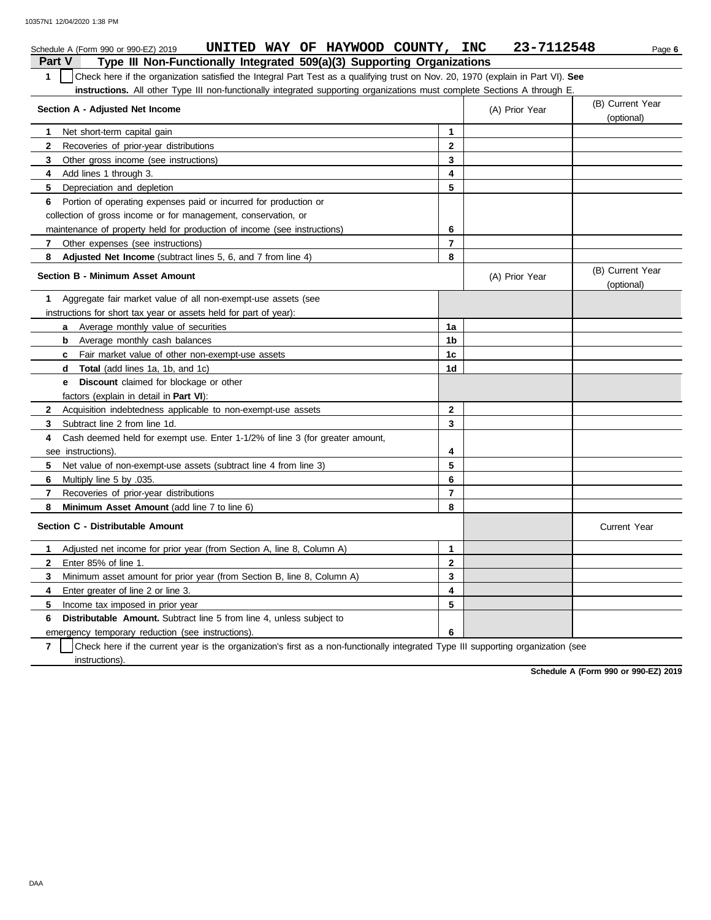| UNITED WAY OF HAYWOOD COUNTY, INC<br>Schedule A (Form 990 or 990-EZ) 2019                                                                        |                | 23-7112548     | Page 6                         |
|--------------------------------------------------------------------------------------------------------------------------------------------------|----------------|----------------|--------------------------------|
| <b>Part V</b><br>Type III Non-Functionally Integrated 509(a)(3) Supporting Organizations                                                         |                |                |                                |
| $\mathbf{1}$<br>Check here if the organization satisfied the Integral Part Test as a qualifying trust on Nov. 20, 1970 (explain in Part VI). See |                |                |                                |
| instructions. All other Type III non-functionally integrated supporting organizations must complete Sections A through E.                        |                |                |                                |
| Section A - Adjusted Net Income                                                                                                                  |                | (A) Prior Year | (B) Current Year<br>(optional) |
| Net short-term capital gain<br>1.                                                                                                                | 1              |                |                                |
| $\mathbf{2}$<br>Recoveries of prior-year distributions                                                                                           | $\mathbf{2}$   |                |                                |
| 3<br>Other gross income (see instructions)                                                                                                       | 3              |                |                                |
| Add lines 1 through 3.<br>4                                                                                                                      | 4              |                |                                |
| Depreciation and depletion<br>5                                                                                                                  | 5              |                |                                |
| Portion of operating expenses paid or incurred for production or<br>6                                                                            |                |                |                                |
| collection of gross income or for management, conservation, or                                                                                   |                |                |                                |
| maintenance of property held for production of income (see instructions)                                                                         | 6              |                |                                |
| $\mathbf{7}$<br>Other expenses (see instructions)                                                                                                | $\overline{7}$ |                |                                |
| 8<br>Adjusted Net Income (subtract lines 5, 6, and 7 from line 4)                                                                                | 8              |                |                                |
| <b>Section B - Minimum Asset Amount</b>                                                                                                          |                | (A) Prior Year | (B) Current Year<br>(optional) |
| Aggregate fair market value of all non-exempt-use assets (see<br>1                                                                               |                |                |                                |
| instructions for short tax year or assets held for part of year):                                                                                |                |                |                                |
| <b>a</b> Average monthly value of securities                                                                                                     | 1a             |                |                                |
| <b>b</b> Average monthly cash balances                                                                                                           | 1b             |                |                                |
| <b>c</b> Fair market value of other non-exempt-use assets                                                                                        | 1 <sub>c</sub> |                |                                |
| <b>d</b> Total (add lines 1a, 1b, and 1c)                                                                                                        | 1 <sub>d</sub> |                |                                |
| <b>Discount</b> claimed for blockage or other<br>е                                                                                               |                |                |                                |
| factors (explain in detail in <b>Part VI</b> ):                                                                                                  |                |                |                                |
| $\mathbf{2}$<br>Acquisition indebtedness applicable to non-exempt-use assets                                                                     | $\mathbf 2$    |                |                                |
| 3<br>Subtract line 2 from line 1d.                                                                                                               | 3              |                |                                |
| Cash deemed held for exempt use. Enter 1-1/2% of line 3 (for greater amount,<br>4                                                                |                |                |                                |
| see instructions).                                                                                                                               | 4              |                |                                |
| 5<br>Net value of non-exempt-use assets (subtract line 4 from line 3)                                                                            | 5              |                |                                |
| 6<br>Multiply line 5 by .035.                                                                                                                    | 6              |                |                                |
| 7<br>Recoveries of prior-year distributions                                                                                                      | $\overline{7}$ |                |                                |
| 8<br>Minimum Asset Amount (add line 7 to line 6)                                                                                                 | 8              |                |                                |
| Section C - Distributable Amount                                                                                                                 |                |                | <b>Current Year</b>            |
| Adjusted net income for prior year (from Section A, line 8, Column A)<br>1.                                                                      | $\mathbf{1}$   |                |                                |
| $\mathbf{2}$<br>Enter 85% of line 1.                                                                                                             | $\mathbf{2}$   |                |                                |
| 3<br>Minimum asset amount for prior year (from Section B, line 8, Column A)                                                                      | 3              |                |                                |
| Enter greater of line 2 or line 3.<br>4                                                                                                          | 4              |                |                                |
| 5<br>Income tax imposed in prior year                                                                                                            | 5              |                |                                |
| <b>Distributable Amount.</b> Subtract line 5 from line 4, unless subject to<br>6                                                                 |                |                |                                |
| emergency temporary reduction (see instructions).                                                                                                | 6              |                |                                |

 $\overline{7}$ instructions). Check here if the current year is the organization's first as a non-functionally integrated Type III supporting organization (see

**Schedule A (Form 990 or 990-EZ) 2019**

DAA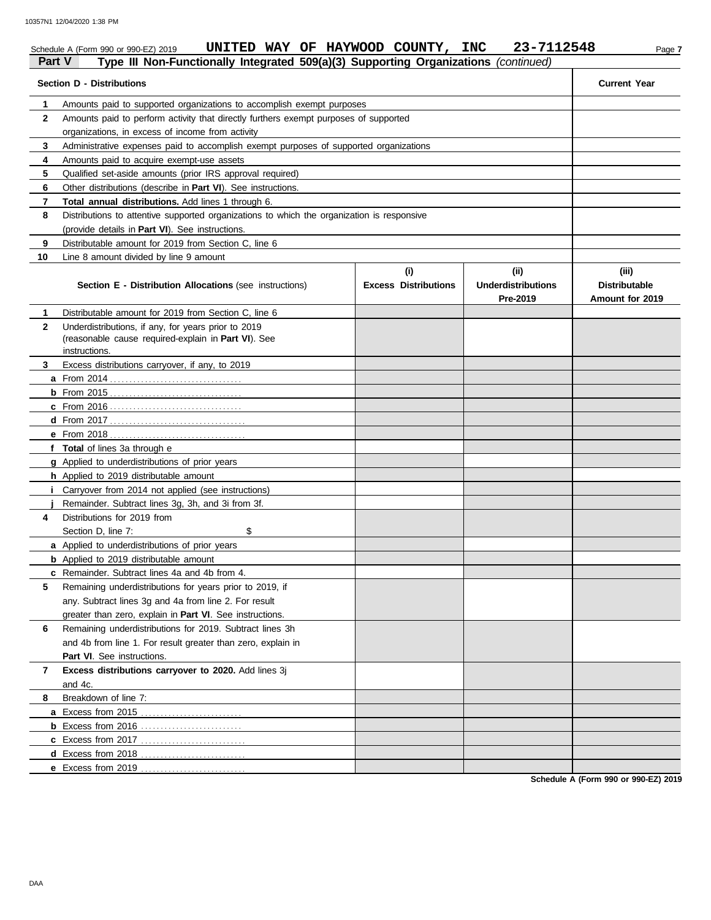|              | 10357N1 12/04/2020 1:38 PM                                                                                                  |                             |                           |                      |
|--------------|-----------------------------------------------------------------------------------------------------------------------------|-----------------------------|---------------------------|----------------------|
|              | UNITED WAY OF HAYWOOD COUNTY, INC<br>Schedule A (Form 990 or 990-EZ) 2019                                                   |                             | 23-7112548                | Page 7               |
|              | Part V<br>Type III Non-Functionally Integrated 509(a)(3) Supporting Organizations (continued)                               |                             |                           |                      |
|              | <b>Section D - Distributions</b>                                                                                            |                             |                           | <b>Current Year</b>  |
|              | Amounts paid to supported organizations to accomplish exempt purposes                                                       |                             |                           |                      |
| $\mathbf{2}$ | Amounts paid to perform activity that directly furthers exempt purposes of supported                                        |                             |                           |                      |
|              | organizations, in excess of income from activity                                                                            |                             |                           |                      |
| 3            | Administrative expenses paid to accomplish exempt purposes of supported organizations                                       |                             |                           |                      |
| 4            | Amounts paid to acquire exempt-use assets                                                                                   |                             |                           |                      |
| 5            | Qualified set-aside amounts (prior IRS approval required)                                                                   |                             |                           |                      |
| 6            | Other distributions (describe in <b>Part VI</b> ). See instructions.                                                        |                             |                           |                      |
| 7            | Total annual distributions. Add lines 1 through 6.                                                                          |                             |                           |                      |
| 8            | Distributions to attentive supported organizations to which the organization is responsive                                  |                             |                           |                      |
|              | (provide details in Part VI). See instructions.                                                                             |                             |                           |                      |
| 9            | Distributable amount for 2019 from Section C, line 6                                                                        |                             |                           |                      |
| 10           | Line 8 amount divided by line 9 amount                                                                                      |                             |                           |                      |
|              |                                                                                                                             | (i)                         | (ii)                      | (iii)                |
|              | <b>Section E - Distribution Allocations (see instructions)</b>                                                              | <b>Excess Distributions</b> | <b>Underdistributions</b> | <b>Distributable</b> |
|              |                                                                                                                             |                             | Pre-2019                  | Amount for 2019      |
|              | Distributable amount for 2019 from Section C. line 6                                                                        |                             |                           |                      |
| $\mathbf{2}$ | Underdistributions, if any, for years prior to 2019<br>(reasonable cause required-explain in Part VI). See<br>instructions. |                             |                           |                      |
| 3            | Excess distributions carryover, if any, to 2019                                                                             |                             |                           |                      |

**8**

and 4c.

**7**

**6**

**5**

**4**

**a** From 2014 . . . . . . . . . . . . . . . . . . . . . . . . . . . . . . . . . . **b** From 2015 . . . . . . . . . . . . . . . . . . . . . . . . . . . . . . . . . . **c** From 2016 . . . . . . . . . . . . . . . . . . . . . . . . . . . . . . . . . . **d** From 2017 . . . . . . . . . . . . . . . . . . . . . . . . . . . . . . . . . . . **e** From 2018 . . . . . . . . . . . . . . . . . . . . . . . . . . . . . . . . . . .

**g** Applied to underdistributions of prior years **h** Applied to 2019 distributable amount

**a** Applied to underdistributions of prior years **b** Applied to 2019 distributable amount **c** Remainder. Subtract lines 4a and 4b from 4.

**a** Excess from 2015 . . . . . . . . . . . . . . . . . . . . . . . . . . **b** Excess from 2016 . . . . . . . . . . . . . . . . . . . . . . . . . . **c** Excess from 2017 . . . . . . . . . . . . . . . . . . . . . . . . . . . **d** Excess from 2018 . . . . . . . . . . . . . . . . . . . . . . . . . . . **e** Excess from 2019 . . . . . . . . . . . . . . . . . . . . . . . . . . .

**i** Carryover from 2014 not applied (see instructions) **j** Remainder. Subtract lines 3g, 3h, and 3i from 3f.

Section D, line 7: \$

Remaining underdistributions for years prior to 2019, if any. Subtract lines 3g and 4a from line 2. For result greater than zero, explain in **Part VI**. See instructions. Remaining underdistributions for 2019. Subtract lines 3h and 4b from line 1. For result greater than zero, explain in

**Excess distributions carryover to 2020.** Add lines 3j

**f Total** of lines 3a through e

Distributions for 2019 from

**Part VI**. See instructions.

Breakdown of line 7:

**Schedule A (Form 990 or 990-EZ) 2019**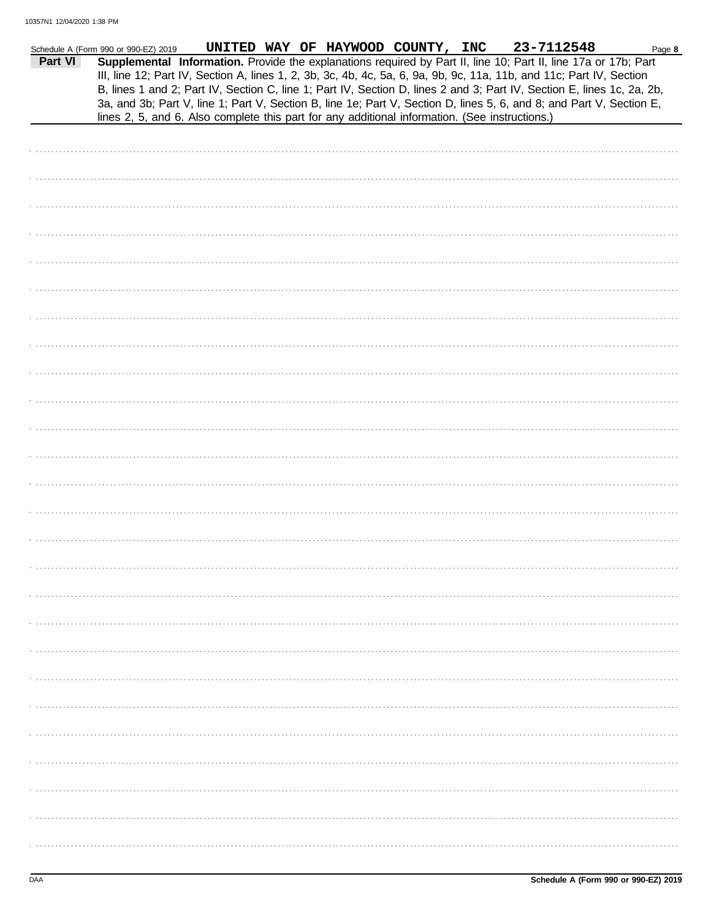|         | Schedule A (Form 990 or 990-EZ) 2019 |                                                                                                |  | UNITED WAY OF HAYWOOD COUNTY, INC | 23-7112548                                                                                                                                                                                                                                                                                                                                                                                                                                                                                | Page 8 |
|---------|--------------------------------------|------------------------------------------------------------------------------------------------|--|-----------------------------------|-------------------------------------------------------------------------------------------------------------------------------------------------------------------------------------------------------------------------------------------------------------------------------------------------------------------------------------------------------------------------------------------------------------------------------------------------------------------------------------------|--------|
| Part VI |                                      | lines 2, 5, and 6. Also complete this part for any additional information. (See instructions.) |  |                                   | Supplemental Information. Provide the explanations required by Part II, line 10; Part II, line 17a or 17b; Part<br>III, line 12; Part IV, Section A, lines 1, 2, 3b, 3c, 4b, 4c, 5a, 6, 9a, 9b, 9c, 11a, 11b, and 11c; Part IV, Section<br>B, lines 1 and 2; Part IV, Section C, line 1; Part IV, Section D, lines 2 and 3; Part IV, Section E, lines 1c, 2a, 2b,<br>3a, and 3b; Part V, line 1; Part V, Section B, line 1e; Part V, Section D, lines 5, 6, and 8; and Part V, Section E, |        |
|         |                                      |                                                                                                |  |                                   |                                                                                                                                                                                                                                                                                                                                                                                                                                                                                           |        |
|         |                                      |                                                                                                |  |                                   |                                                                                                                                                                                                                                                                                                                                                                                                                                                                                           |        |
|         |                                      |                                                                                                |  |                                   |                                                                                                                                                                                                                                                                                                                                                                                                                                                                                           |        |
|         |                                      |                                                                                                |  |                                   |                                                                                                                                                                                                                                                                                                                                                                                                                                                                                           |        |
|         |                                      |                                                                                                |  |                                   |                                                                                                                                                                                                                                                                                                                                                                                                                                                                                           |        |
|         |                                      |                                                                                                |  |                                   |                                                                                                                                                                                                                                                                                                                                                                                                                                                                                           |        |
|         |                                      |                                                                                                |  |                                   |                                                                                                                                                                                                                                                                                                                                                                                                                                                                                           |        |
|         |                                      |                                                                                                |  |                                   |                                                                                                                                                                                                                                                                                                                                                                                                                                                                                           |        |
|         |                                      |                                                                                                |  |                                   |                                                                                                                                                                                                                                                                                                                                                                                                                                                                                           |        |
|         |                                      |                                                                                                |  |                                   |                                                                                                                                                                                                                                                                                                                                                                                                                                                                                           |        |
|         |                                      |                                                                                                |  |                                   |                                                                                                                                                                                                                                                                                                                                                                                                                                                                                           |        |
|         |                                      |                                                                                                |  |                                   |                                                                                                                                                                                                                                                                                                                                                                                                                                                                                           |        |
|         |                                      |                                                                                                |  |                                   |                                                                                                                                                                                                                                                                                                                                                                                                                                                                                           |        |
|         |                                      |                                                                                                |  |                                   |                                                                                                                                                                                                                                                                                                                                                                                                                                                                                           |        |
|         |                                      |                                                                                                |  |                                   |                                                                                                                                                                                                                                                                                                                                                                                                                                                                                           |        |
|         |                                      |                                                                                                |  |                                   |                                                                                                                                                                                                                                                                                                                                                                                                                                                                                           |        |
|         |                                      |                                                                                                |  |                                   |                                                                                                                                                                                                                                                                                                                                                                                                                                                                                           |        |
|         |                                      |                                                                                                |  |                                   |                                                                                                                                                                                                                                                                                                                                                                                                                                                                                           |        |
|         |                                      |                                                                                                |  |                                   |                                                                                                                                                                                                                                                                                                                                                                                                                                                                                           |        |
|         |                                      |                                                                                                |  |                                   |                                                                                                                                                                                                                                                                                                                                                                                                                                                                                           |        |
|         |                                      |                                                                                                |  |                                   |                                                                                                                                                                                                                                                                                                                                                                                                                                                                                           |        |
|         |                                      |                                                                                                |  |                                   |                                                                                                                                                                                                                                                                                                                                                                                                                                                                                           |        |
|         |                                      |                                                                                                |  |                                   |                                                                                                                                                                                                                                                                                                                                                                                                                                                                                           |        |
|         |                                      |                                                                                                |  |                                   |                                                                                                                                                                                                                                                                                                                                                                                                                                                                                           |        |
|         |                                      |                                                                                                |  |                                   |                                                                                                                                                                                                                                                                                                                                                                                                                                                                                           |        |
|         |                                      |                                                                                                |  |                                   |                                                                                                                                                                                                                                                                                                                                                                                                                                                                                           |        |
|         |                                      |                                                                                                |  |                                   |                                                                                                                                                                                                                                                                                                                                                                                                                                                                                           |        |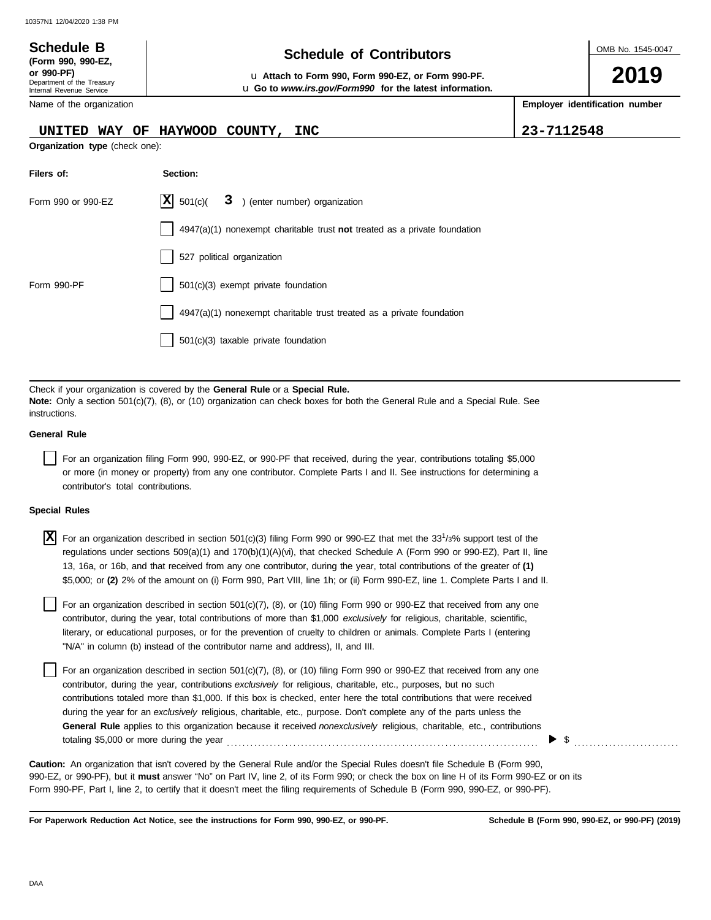#### OMB No. 1545-0047 Department of the Treasury Internal Revenue Service Name of the organization **2019 Schedule of Contributors Schedule B (Form 990, 990-EZ, or 990-PF)** u **Attach to Form 990, Form 990-EZ, or Form 990-PF. Employer identification number** u **Go to** *www.irs.gov/Form990* **for the latest information. UNITED WAY OF HAYWOOD COUNTY, INC 23-7112548**

**Organization type** (check one):

| Filers of:         | Section:                                                                    |
|--------------------|-----------------------------------------------------------------------------|
| Form 990 or 990-EZ | $ \mathbf{X} $ 501(c)( $3$ ) (enter number) organization                    |
|                    | $4947(a)(1)$ nonexempt charitable trust not treated as a private foundation |
|                    | 527 political organization                                                  |
| Form 990-PF        | $501(c)(3)$ exempt private foundation                                       |
|                    | 4947(a)(1) nonexempt charitable trust treated as a private foundation       |
|                    | $501(c)(3)$ taxable private foundation                                      |

Check if your organization is covered by the **General Rule** or a **Special Rule. Note:** Only a section 501(c)(7), (8), or (10) organization can check boxes for both the General Rule and a Special Rule. See instructions.

#### **General Rule**

For an organization filing Form 990, 990-EZ, or 990-PF that received, during the year, contributions totaling \$5,000 or more (in money or property) from any one contributor. Complete Parts I and II. See instructions for determining a contributor's total contributions.

#### **Special Rules**

| X For an organization described in section 501(c)(3) filing Form 990 or 990-EZ that met the 33 <sup>1</sup> /3% support test of the |
|-------------------------------------------------------------------------------------------------------------------------------------|
| regulations under sections 509(a)(1) and 170(b)(1)(A)(vi), that checked Schedule A (Form 990 or 990-EZ), Part II, line              |
| 13, 16a, or 16b, and that received from any one contributor, during the year, total contributions of the greater of (1)             |
| \$5,000; or (2) 2% of the amount on (i) Form 990, Part VIII, line 1h; or (ii) Form 990-EZ, line 1. Complete Parts I and II.         |

literary, or educational purposes, or for the prevention of cruelty to children or animals. Complete Parts I (entering For an organization described in section 501(c)(7), (8), or (10) filing Form 990 or 990-EZ that received from any one contributor, during the year, total contributions of more than \$1,000 *exclusively* for religious, charitable, scientific, "N/A" in column (b) instead of the contributor name and address), II, and III.

For an organization described in section 501(c)(7), (8), or (10) filing Form 990 or 990-EZ that received from any one contributor, during the year, contributions *exclusively* for religious, charitable, etc., purposes, but no such contributions totaled more than \$1,000. If this box is checked, enter here the total contributions that were received during the year for an *exclusively* religious, charitable, etc., purpose. Don't complete any of the parts unless the **General Rule** applies to this organization because it received *nonexclusively* religious, charitable, etc., contributions totaling \$5,000 or more during the year . . . . . . . . . . . . . . . . . . . . . . . . . . . . . . . . . . . . . . . . . . . . . . . . . . . . . . . . . . . . . . . . . . . . . . . . . . . . . . . .

990-EZ, or 990-PF), but it **must** answer "No" on Part IV, line 2, of its Form 990; or check the box on line H of its Form 990-EZ or on its Form 990-PF, Part I, line 2, to certify that it doesn't meet the filing requirements of Schedule B (Form 990, 990-EZ, or 990-PF). **Caution:** An organization that isn't covered by the General Rule and/or the Special Rules doesn't file Schedule B (Form 990,

**For Paperwork Reduction Act Notice, see the instructions for Form 990, 990-EZ, or 990-PF.**

\$ . . . . . . . . . . . . . . . . . . . . . . . . . . .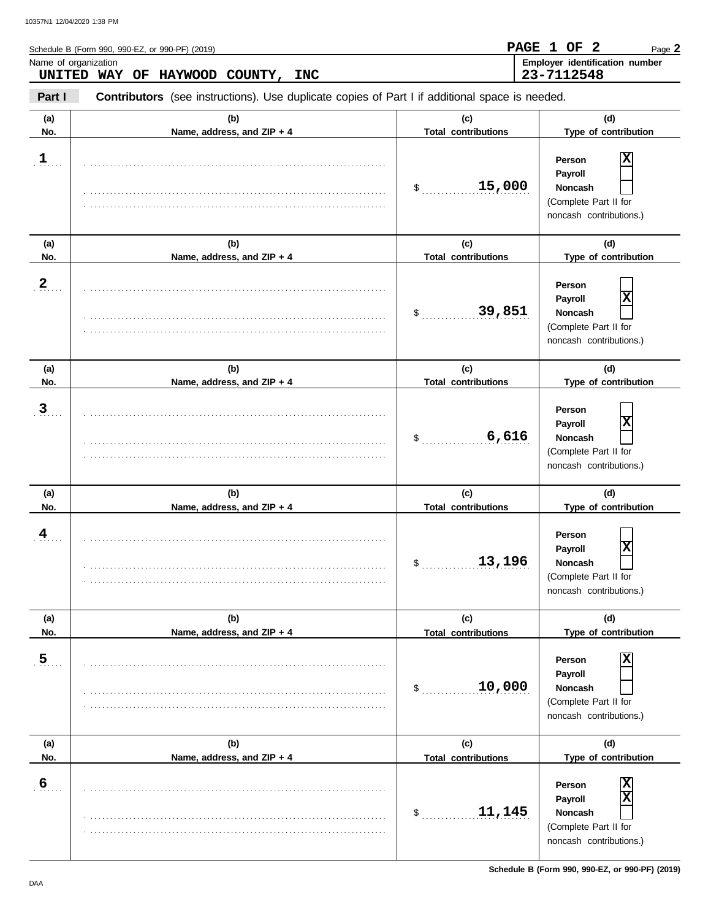| Name of organization<br>UNITED | <b>WAY OF</b><br>HAYWOOD COUNTY,<br><b>INC</b>                                                 |                                            | Employer identification number<br>23-7112548                                                                                        |
|--------------------------------|------------------------------------------------------------------------------------------------|--------------------------------------------|-------------------------------------------------------------------------------------------------------------------------------------|
| Part I                         | Contributors (see instructions). Use duplicate copies of Part I if additional space is needed. |                                            |                                                                                                                                     |
| (a)<br>No.                     | (b)<br>Name, address, and ZIP + 4                                                              | (c)<br><b>Total contributions</b>          | (d)<br>Type of contribution                                                                                                         |
| $1$                            |                                                                                                | 15,000                                     | $\overline{\mathbf{x}}$<br>Person<br>Payroll<br><b>Noncash</b><br>(Complete Part II for<br>noncash contributions.)                  |
| (a)<br>No.                     | (b)<br>Name, address, and ZIP + 4                                                              | (c)<br><b>Total contributions</b>          | (d)<br>Type of contribution                                                                                                         |
| $\mathbf{2}$                   |                                                                                                | 39,851<br>$\sim$                           | Person<br>X<br>Payroll<br>Noncash<br>(Complete Part II for<br>noncash contributions.)                                               |
| (a)<br>No.                     | (b)<br>Name, address, and ZIP + 4                                                              | (c)<br><b>Total contributions</b>          | (d)<br>Type of contribution                                                                                                         |
| $\overline{3}$                 |                                                                                                | 6,616<br>\$                                | Person<br>$\overline{\mathbf{x}}$<br>Payroll<br><b>Noncash</b><br>(Complete Part II for<br>noncash contributions.)                  |
| (a)<br>No.                     | (b)<br>Name, address, and ZIP + 4                                                              | (c)<br><b>Total contributions</b>          | (d)<br>Type of contribution                                                                                                         |
| 4                              |                                                                                                | 13,196<br>$\ddot{\bm{\theta}}$             | Person<br>$\overline{\mathbf{x}}$<br>Payroll<br><b>Noncash</b><br>(Complete Part II for<br>noncash contributions.)                  |
| (a)                            | (b)                                                                                            | (c)                                        | (d)                                                                                                                                 |
| No.<br>$\overline{5}$          | Name, address, and ZIP + 4                                                                     | <b>Total contributions</b><br>10,000<br>\$ | Type of contribution<br>$\overline{\mathbf{x}}$<br>Person<br>Payroll<br>Noncash<br>(Complete Part II for<br>noncash contributions.) |
| (a)<br>No.                     | (b)<br>Name, address, and ZIP + 4                                                              | (c)<br><b>Total contributions</b>          | (d)<br>Type of contribution                                                                                                         |
| 6                              |                                                                                                | 11,145<br>\$                               | $\frac{\mathbf{x}}{\mathbf{x}}$<br>Person<br>Payroll<br>Noncash<br>(Complete Part II for<br>noncash contributions.)                 |

Page **2**

**PAGE 1 OF 2**

Schedule B (Form 990, 990-EZ, or 990-PF) (2019)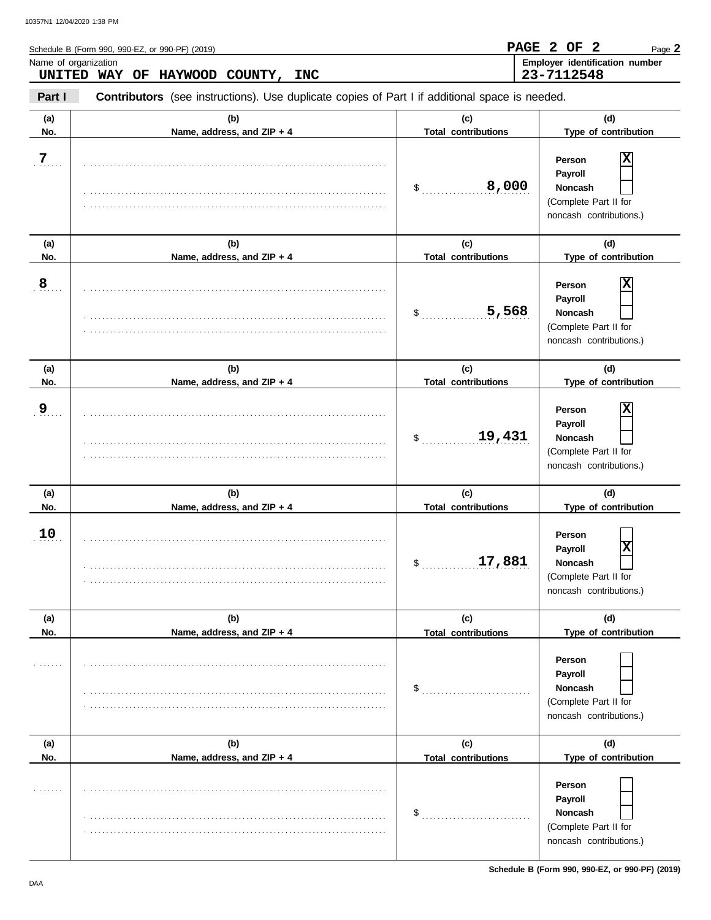| <b>UNITED</b>   | Name of organization<br>OF<br><b>WAY</b><br><b>HAYWOOD</b><br>COUNTY,<br><b>INC</b>            |                                   | Employer identification number<br>23-7112548                                                                       |
|-----------------|------------------------------------------------------------------------------------------------|-----------------------------------|--------------------------------------------------------------------------------------------------------------------|
| Part I          | Contributors (see instructions). Use duplicate copies of Part I if additional space is needed. |                                   |                                                                                                                    |
| (a)<br>No.      | (b)<br>Name, address, and ZIP + 4                                                              | (c)<br><b>Total contributions</b> | (d)<br>Type of contribution                                                                                        |
| $\overline{7}$  |                                                                                                | 8,000<br>\$                       | $\overline{\mathbf{x}}$<br>Person<br>Payroll<br>Noncash<br>(Complete Part II for<br>noncash contributions.)        |
| (a)<br>No.      | (b)<br>Name, address, and ZIP + 4                                                              | (c)<br><b>Total contributions</b> | (d)<br>Type of contribution                                                                                        |
| $\overline{8}$  |                                                                                                | 5,568<br>\$                       | $\overline{\mathbf{x}}$<br>Person<br>Payroll<br>Noncash<br>(Complete Part II for<br>noncash contributions.)        |
| (a)<br>No.      | (b)<br>Name, address, and ZIP + 4                                                              | (c)<br><b>Total contributions</b> | (d)<br>Type of contribution                                                                                        |
| 9               |                                                                                                | 19,431<br>\$                      | X<br>Person<br>Payroll<br>Noncash<br>(Complete Part II for<br>noncash contributions.)                              |
| (a)<br>No.      | (b)<br>Name, address, and ZIP + 4                                                              | (c)<br><b>Total contributions</b> | (d)<br>Type of contribution                                                                                        |
| 10 <sub>1</sub> |                                                                                                | 17,881<br>$\ddot{\text{S}}$       | Person<br>$\overline{\mathbf{x}}$<br>Payroll<br><b>Noncash</b><br>(Complete Part II for<br>noncash contributions.) |
| (a)             | (b)                                                                                            | (c)                               | (d)                                                                                                                |
| No.             | Name, address, and ZIP + 4                                                                     | <b>Total contributions</b><br>\$  | Type of contribution<br>Person<br>Payroll<br>Noncash<br>(Complete Part II for<br>noncash contributions.)           |
| (a)<br>No.      | (b)<br>Name, address, and ZIP + 4                                                              | (c)<br><b>Total contributions</b> | (d)<br>Type of contribution                                                                                        |
|                 |                                                                                                | \$                                | Person<br>Payroll<br>Noncash<br>(Complete Part II for<br>noncash contributions.)                                   |

**Schedule B (Form 990, 990-EZ, or 990-PF) (2019)**

Page **2**

**PAGE 2 OF 2**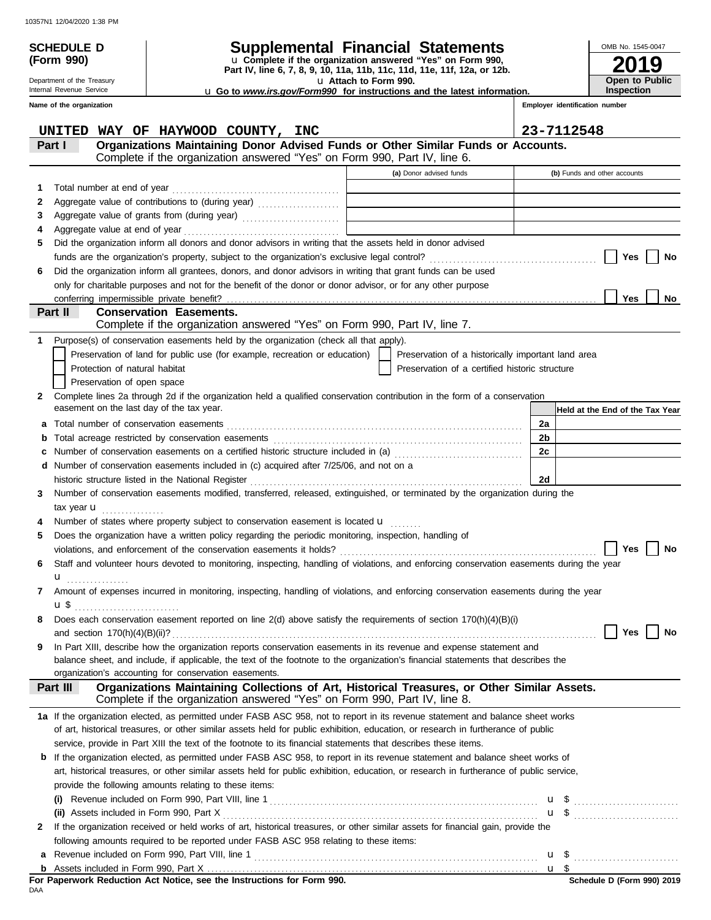|              | 10357N1 12/04/2020 1:38 PM                |                                                                                                                                                                                                                                                          |                                                                                                                                                                                    |                                                    |                                 |
|--------------|-------------------------------------------|----------------------------------------------------------------------------------------------------------------------------------------------------------------------------------------------------------------------------------------------------------|------------------------------------------------------------------------------------------------------------------------------------------------------------------------------------|----------------------------------------------------|---------------------------------|
|              | <b>SCHEDULE D</b><br>(Form 990)           |                                                                                                                                                                                                                                                          | <b>Supplemental Financial Statements</b><br>u Complete if the organization answered "Yes" on Form 990,<br>Part IV, line 6, 7, 8, 9, 10, 11a, 11b, 11c, 11d, 11e, 11f, 12a, or 12b. |                                                    | OMB No. 1545-0047<br>9          |
|              | Department of the Treasury                |                                                                                                                                                                                                                                                          | La Attach to Form 990.                                                                                                                                                             |                                                    | Open to Public                  |
|              | Internal Revenue Service                  |                                                                                                                                                                                                                                                          | <b>u</b> Go to www.irs.gov/Form990 for instructions and the latest information.                                                                                                    |                                                    | <b>Inspection</b>               |
|              | Name of the organization                  |                                                                                                                                                                                                                                                          |                                                                                                                                                                                    | Employer identification number                     |                                 |
|              |                                           | UNITED WAY OF HAYWOOD COUNTY, INC                                                                                                                                                                                                                        |                                                                                                                                                                                    | 23-7112548                                         |                                 |
|              | Part I                                    | Organizations Maintaining Donor Advised Funds or Other Similar Funds or Accounts.<br>Complete if the organization answered "Yes" on Form 990, Part IV, line 6.                                                                                           |                                                                                                                                                                                    |                                                    |                                 |
|              |                                           |                                                                                                                                                                                                                                                          | (a) Donor advised funds                                                                                                                                                            |                                                    | (b) Funds and other accounts    |
| 1            |                                           |                                                                                                                                                                                                                                                          |                                                                                                                                                                                    |                                                    |                                 |
| 2            |                                           |                                                                                                                                                                                                                                                          |                                                                                                                                                                                    |                                                    |                                 |
| 3            |                                           |                                                                                                                                                                                                                                                          |                                                                                                                                                                                    |                                                    |                                 |
| 4            | Aggregate value at end of year            |                                                                                                                                                                                                                                                          |                                                                                                                                                                                    |                                                    |                                 |
| 5            |                                           | Did the organization inform all donors and donor advisors in writing that the assets held in donor advised                                                                                                                                               |                                                                                                                                                                                    |                                                    |                                 |
|              |                                           |                                                                                                                                                                                                                                                          |                                                                                                                                                                                    |                                                    | Yes<br>No                       |
| 6            |                                           | Did the organization inform all grantees, donors, and donor advisors in writing that grant funds can be used                                                                                                                                             |                                                                                                                                                                                    |                                                    |                                 |
|              |                                           | only for charitable purposes and not for the benefit of the donor or donor advisor, or for any other purpose                                                                                                                                             |                                                                                                                                                                                    |                                                    |                                 |
|              |                                           |                                                                                                                                                                                                                                                          |                                                                                                                                                                                    |                                                    | Yes<br>No                       |
|              | Part II                                   | <b>Conservation Easements.</b><br>Complete if the organization answered "Yes" on Form 990, Part IV, line 7.                                                                                                                                              |                                                                                                                                                                                    |                                                    |                                 |
| 1            |                                           | Purpose(s) of conservation easements held by the organization (check all that apply).                                                                                                                                                                    |                                                                                                                                                                                    |                                                    |                                 |
|              |                                           | Preservation of land for public use (for example, recreation or education)                                                                                                                                                                               |                                                                                                                                                                                    | Preservation of a historically important land area |                                 |
|              | Protection of natural habitat             |                                                                                                                                                                                                                                                          |                                                                                                                                                                                    | Preservation of a certified historic structure     |                                 |
|              | Preservation of open space                |                                                                                                                                                                                                                                                          |                                                                                                                                                                                    |                                                    |                                 |
| $\mathbf{2}$ | easement on the last day of the tax year. | Complete lines 2a through 2d if the organization held a qualified conservation contribution in the form of a conservation                                                                                                                                |                                                                                                                                                                                    |                                                    | Held at the End of the Tax Year |
| а            |                                           |                                                                                                                                                                                                                                                          |                                                                                                                                                                                    | 2a                                                 |                                 |
| b            |                                           |                                                                                                                                                                                                                                                          |                                                                                                                                                                                    | 2b                                                 |                                 |
| с            |                                           | Number of conservation easements on a certified historic structure included in (a) [[[[[ [ [ ]]]                                                                                                                                                         |                                                                                                                                                                                    | 2c                                                 |                                 |
| d            |                                           | Number of conservation easements included in (c) acquired after 7/25/06, and not on a<br>historic structure listed in the National Register                                                                                                              |                                                                                                                                                                                    | 2d                                                 |                                 |
| 3            |                                           | Number of conservation easements modified, transferred, released, extinguished, or terminated by the organization during the                                                                                                                             |                                                                                                                                                                                    |                                                    |                                 |
|              | tax year $\mathbf u$                      |                                                                                                                                                                                                                                                          |                                                                                                                                                                                    |                                                    |                                 |
|              |                                           | Number of states where property subject to conservation easement is located u                                                                                                                                                                            |                                                                                                                                                                                    |                                                    |                                 |
|              |                                           | Does the organization have a written policy regarding the periodic monitoring, inspection, handling of                                                                                                                                                   |                                                                                                                                                                                    |                                                    | Yes<br>No                       |
| 6            |                                           | Staff and volunteer hours devoted to monitoring, inspecting, handling of violations, and enforcing conservation easements during the year                                                                                                                |                                                                                                                                                                                    |                                                    |                                 |
|              | u <sub></sub>                             |                                                                                                                                                                                                                                                          |                                                                                                                                                                                    |                                                    |                                 |
| 7            |                                           | Amount of expenses incurred in monitoring, inspecting, handling of violations, and enforcing conservation easements during the year                                                                                                                      |                                                                                                                                                                                    |                                                    |                                 |
|              | u \$                                      |                                                                                                                                                                                                                                                          |                                                                                                                                                                                    |                                                    |                                 |
| 8            |                                           | Does each conservation easement reported on line 2(d) above satisfy the requirements of section 170(h)(4)(B)(i)                                                                                                                                          |                                                                                                                                                                                    |                                                    | Yes<br>No                       |
| 9            |                                           | In Part XIII, describe how the organization reports conservation easements in its revenue and expense statement and<br>balance sheet, and include, if applicable, the text of the footnote to the organization's financial statements that describes the |                                                                                                                                                                                    |                                                    |                                 |
|              |                                           | organization's accounting for conservation easements.                                                                                                                                                                                                    |                                                                                                                                                                                    |                                                    |                                 |
|              | Part III                                  | Organizations Maintaining Collections of Art, Historical Treasures, or Other Similar Assets.<br>Complete if the organization answered "Yes" on Form 990, Part IV, line 8.                                                                                |                                                                                                                                                                                    |                                                    |                                 |
|              |                                           | 1a If the organization elected, as permitted under FASB ASC 958, not to report in its revenue statement and balance sheet works                                                                                                                          |                                                                                                                                                                                    |                                                    |                                 |
|              |                                           | of art, historical treasures, or other similar assets held for public exhibition, education, or research in furtherance of public                                                                                                                        |                                                                                                                                                                                    |                                                    |                                 |
|              |                                           | service, provide in Part XIII the text of the footnote to its financial statements that describes these items.                                                                                                                                           |                                                                                                                                                                                    |                                                    |                                 |
|              |                                           | <b>b</b> If the organization elected, as permitted under FASB ASC 958, to report in its revenue statement and balance sheet works of                                                                                                                     |                                                                                                                                                                                    |                                                    |                                 |
|              |                                           | art, historical treasures, or other similar assets held for public exhibition, education, or research in furtherance of public service,                                                                                                                  |                                                                                                                                                                                    |                                                    |                                 |
|              |                                           | provide the following amounts relating to these items:                                                                                                                                                                                                   |                                                                                                                                                                                    |                                                    |                                 |
|              |                                           |                                                                                                                                                                                                                                                          |                                                                                                                                                                                    |                                                    |                                 |
|              |                                           |                                                                                                                                                                                                                                                          |                                                                                                                                                                                    |                                                    |                                 |
| 2            |                                           | If the organization received or held works of art, historical treasures, or other similar assets for financial gain, provide the                                                                                                                         |                                                                                                                                                                                    |                                                    |                                 |

|  | following amounts required to be reported under FASB ASC 958 relating to these items: |  |  |  |  |  |
|--|---------------------------------------------------------------------------------------|--|--|--|--|--|
|--|---------------------------------------------------------------------------------------|--|--|--|--|--|

| Revenue included on Form 990, Part VIII,<br>a<br>line |  |
|-------------------------------------------------------|--|
|-------------------------------------------------------|--|

| <b>b</b> Assets included in Form 990, P |  |   | Part X |  |  |  |  |  |  |  |  |  |  |
|-----------------------------------------|--|---|--------|--|--|--|--|--|--|--|--|--|--|
|                                         |  | . |        |  |  |  |  |  |  |  |  |  |  |

|     |  |  |  | For Paperwork Reduction Act Notice, see the Instructions for Form 990. |  |  |
|-----|--|--|--|------------------------------------------------------------------------|--|--|
| DAA |  |  |  |                                                                        |  |  |

\$ ...............................

 $\frac{6}{5}$ 

u u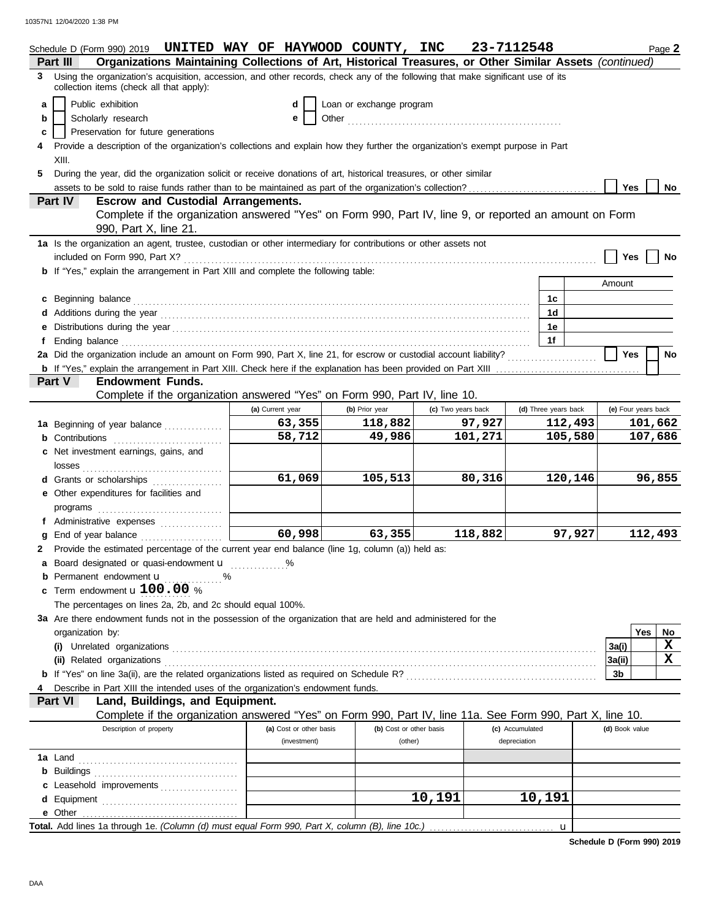|    | Schedule D (Form 990) 2019 UNITED WAY OF HAYWOOD COUNTY, INC                                                                                                                                                                  |                         |                                                                                                                                                                                                                                      |                    | 23-7112548 |                 |                      |         |                     |            | Page 2  |
|----|-------------------------------------------------------------------------------------------------------------------------------------------------------------------------------------------------------------------------------|-------------------------|--------------------------------------------------------------------------------------------------------------------------------------------------------------------------------------------------------------------------------------|--------------------|------------|-----------------|----------------------|---------|---------------------|------------|---------|
|    | Organizations Maintaining Collections of Art, Historical Treasures, or Other Similar Assets (continued)<br>Part III                                                                                                           |                         |                                                                                                                                                                                                                                      |                    |            |                 |                      |         |                     |            |         |
| 3  | Using the organization's acquisition, accession, and other records, check any of the following that make significant use of its<br>collection items (check all that apply):                                                   |                         |                                                                                                                                                                                                                                      |                    |            |                 |                      |         |                     |            |         |
| a  | Public exhibition                                                                                                                                                                                                             | d                       | Loan or exchange program                                                                                                                                                                                                             |                    |            |                 |                      |         |                     |            |         |
| b  | Scholarly research                                                                                                                                                                                                            | е                       | Other <b>contract and the contract of the contract of the contract of the contract of the contract of the contract of the contract of the contract of the contract of the contract of the contract of the contract of the contra</b> |                    |            |                 |                      |         |                     |            |         |
| c  | Preservation for future generations                                                                                                                                                                                           |                         |                                                                                                                                                                                                                                      |                    |            |                 |                      |         |                     |            |         |
| 4  | Provide a description of the organization's collections and explain how they further the organization's exempt purpose in Part                                                                                                |                         |                                                                                                                                                                                                                                      |                    |            |                 |                      |         |                     |            |         |
|    | XIII.                                                                                                                                                                                                                         |                         |                                                                                                                                                                                                                                      |                    |            |                 |                      |         |                     |            |         |
| 5. | During the year, did the organization solicit or receive donations of art, historical treasures, or other similar                                                                                                             |                         |                                                                                                                                                                                                                                      |                    |            |                 |                      |         |                     |            |         |
|    |                                                                                                                                                                                                                               |                         |                                                                                                                                                                                                                                      |                    |            |                 |                      |         | Yes                 |            | No      |
|    | Part IV<br><b>Escrow and Custodial Arrangements.</b>                                                                                                                                                                          |                         |                                                                                                                                                                                                                                      |                    |            |                 |                      |         |                     |            |         |
|    | Complete if the organization answered "Yes" on Form 990, Part IV, line 9, or reported an amount on Form<br>990, Part X, line 21.                                                                                              |                         |                                                                                                                                                                                                                                      |                    |            |                 |                      |         |                     |            |         |
|    | 1a Is the organization an agent, trustee, custodian or other intermediary for contributions or other assets not                                                                                                               |                         |                                                                                                                                                                                                                                      |                    |            |                 |                      |         |                     |            |         |
|    |                                                                                                                                                                                                                               |                         |                                                                                                                                                                                                                                      |                    |            |                 |                      |         | Yes                 |            | No      |
|    | <b>b</b> If "Yes," explain the arrangement in Part XIII and complete the following table:                                                                                                                                     |                         |                                                                                                                                                                                                                                      |                    |            |                 |                      |         |                     |            |         |
|    |                                                                                                                                                                                                                               |                         |                                                                                                                                                                                                                                      |                    |            |                 |                      |         | Amount              |            |         |
|    | c Beginning balance                                                                                                                                                                                                           |                         |                                                                                                                                                                                                                                      |                    |            |                 | 1c                   |         |                     |            |         |
|    |                                                                                                                                                                                                                               |                         |                                                                                                                                                                                                                                      |                    |            |                 | 1 <sub>d</sub>       |         |                     |            |         |
|    | Additions during the year contains and according to the year of the year of the year and the year contains a structure of the year and the year and the year and the year and the year and the year and the year and the year |                         |                                                                                                                                                                                                                                      |                    |            |                 | 1е                   |         |                     |            |         |
|    |                                                                                                                                                                                                                               |                         |                                                                                                                                                                                                                                      |                    |            |                 | 1f                   |         |                     |            |         |
|    | 2a Did the organization include an amount on Form 990, Part X, line 21, for escrow or custodial account liability?                                                                                                            |                         |                                                                                                                                                                                                                                      |                    |            |                 |                      |         | <b>Yes</b>          |            | No      |
|    |                                                                                                                                                                                                                               |                         |                                                                                                                                                                                                                                      |                    |            |                 |                      |         |                     |            |         |
|    | <b>Endowment Funds.</b><br>Part V                                                                                                                                                                                             |                         |                                                                                                                                                                                                                                      |                    |            |                 |                      |         |                     |            |         |
|    | Complete if the organization answered "Yes" on Form 990, Part IV, line 10.                                                                                                                                                    |                         |                                                                                                                                                                                                                                      |                    |            |                 |                      |         |                     |            |         |
|    |                                                                                                                                                                                                                               | (a) Current year        | (b) Prior year                                                                                                                                                                                                                       | (c) Two years back |            |                 | (d) Three years back |         | (e) Four years back |            |         |
|    | 1a Beginning of year balance                                                                                                                                                                                                  | 63,355                  | 118,882                                                                                                                                                                                                                              |                    | 97,927     |                 |                      | 112,493 |                     | 101,662    |         |
|    |                                                                                                                                                                                                                               | 58,712                  | 49,986                                                                                                                                                                                                                               |                    | 101,271    | 105,580         |                      |         |                     | 107,686    |         |
|    | Net investment earnings, gains, and                                                                                                                                                                                           |                         |                                                                                                                                                                                                                                      |                    |            |                 |                      |         |                     |            |         |
|    |                                                                                                                                                                                                                               |                         |                                                                                                                                                                                                                                      |                    |            |                 |                      |         |                     |            |         |
|    | d Grants or scholarships                                                                                                                                                                                                      | 61,069                  | 105,513                                                                                                                                                                                                                              |                    | 80,316     |                 |                      | 120,146 |                     |            | 96,855  |
|    | e Other expenditures for facilities and                                                                                                                                                                                       |                         |                                                                                                                                                                                                                                      |                    |            |                 |                      |         |                     |            |         |
|    |                                                                                                                                                                                                                               |                         |                                                                                                                                                                                                                                      |                    |            |                 |                      |         |                     |            |         |
|    | f Administrative expenses                                                                                                                                                                                                     |                         |                                                                                                                                                                                                                                      |                    |            |                 |                      |         |                     |            |         |
| a  | End of year balance                                                                                                                                                                                                           | 60,998                  | 63,355                                                                                                                                                                                                                               |                    | 118,882    |                 |                      | 97,927  |                     |            | 112,493 |
| 2  | Provide the estimated percentage of the current year end balance (line 1g, column (a)) held as:                                                                                                                               |                         |                                                                                                                                                                                                                                      |                    |            |                 |                      |         |                     |            |         |
|    | Board designated or quasi-endowment <b>u</b> %                                                                                                                                                                                |                         |                                                                                                                                                                                                                                      |                    |            |                 |                      |         |                     |            |         |
|    | <b>b</b> Permanent endowment <b>u</b><br>. %                                                                                                                                                                                  |                         |                                                                                                                                                                                                                                      |                    |            |                 |                      |         |                     |            |         |
|    | c Term endowment $u$ 100.00 %                                                                                                                                                                                                 |                         |                                                                                                                                                                                                                                      |                    |            |                 |                      |         |                     |            |         |
|    | The percentages on lines 2a, 2b, and 2c should equal 100%.                                                                                                                                                                    |                         |                                                                                                                                                                                                                                      |                    |            |                 |                      |         |                     |            |         |
|    | 3a Are there endowment funds not in the possession of the organization that are held and administered for the                                                                                                                 |                         |                                                                                                                                                                                                                                      |                    |            |                 |                      |         |                     |            |         |
|    | organization by:                                                                                                                                                                                                              |                         |                                                                                                                                                                                                                                      |                    |            |                 |                      |         |                     | <b>Yes</b> | No      |
|    |                                                                                                                                                                                                                               |                         |                                                                                                                                                                                                                                      |                    |            |                 |                      |         | 3a(i)               |            | x       |
|    |                                                                                                                                                                                                                               |                         |                                                                                                                                                                                                                                      |                    |            |                 |                      |         | 3a(ii)              |            | x       |
|    |                                                                                                                                                                                                                               |                         |                                                                                                                                                                                                                                      |                    |            |                 |                      |         | 3b                  |            |         |
|    | Describe in Part XIII the intended uses of the organization's endowment funds.                                                                                                                                                |                         |                                                                                                                                                                                                                                      |                    |            |                 |                      |         |                     |            |         |
|    | Land, Buildings, and Equipment.<br><b>Part VI</b>                                                                                                                                                                             |                         |                                                                                                                                                                                                                                      |                    |            |                 |                      |         |                     |            |         |
|    | Complete if the organization answered "Yes" on Form 990, Part IV, line 11a. See Form 990, Part X, line 10.                                                                                                                    |                         |                                                                                                                                                                                                                                      |                    |            |                 |                      |         |                     |            |         |
|    | Description of property                                                                                                                                                                                                       | (a) Cost or other basis | (b) Cost or other basis                                                                                                                                                                                                              |                    |            | (c) Accumulated |                      |         | (d) Book value      |            |         |
|    |                                                                                                                                                                                                                               | (investment)            | (other)                                                                                                                                                                                                                              |                    |            | depreciation    |                      |         |                     |            |         |
|    |                                                                                                                                                                                                                               |                         |                                                                                                                                                                                                                                      |                    |            |                 |                      |         |                     |            |         |
|    |                                                                                                                                                                                                                               |                         |                                                                                                                                                                                                                                      |                    |            |                 |                      |         |                     |            |         |
|    | c Leasehold improvements                                                                                                                                                                                                      |                         |                                                                                                                                                                                                                                      |                    |            |                 |                      |         |                     |            |         |
|    | d Equipment                                                                                                                                                                                                                   |                         |                                                                                                                                                                                                                                      | 10,191             |            |                 | 10,191               |         |                     |            |         |
|    |                                                                                                                                                                                                                               |                         |                                                                                                                                                                                                                                      |                    |            |                 |                      |         |                     |            |         |
|    |                                                                                                                                                                                                                               |                         |                                                                                                                                                                                                                                      |                    |            |                 |                      |         |                     |            |         |

**Schedule D (Form 990) 2019**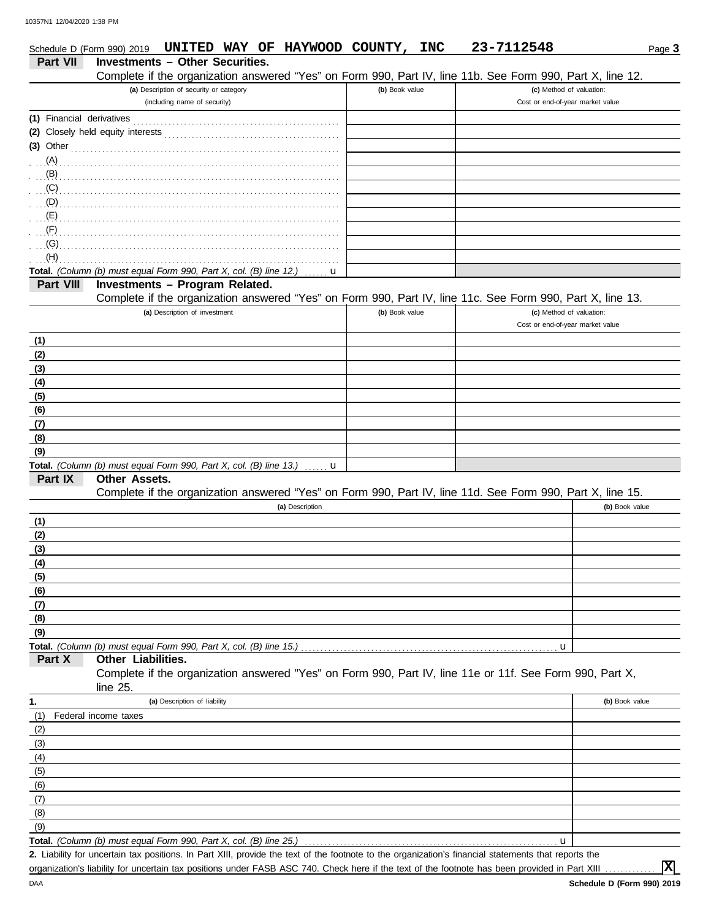DAA

| Schedule D (Form 990) 2019 | UNITED WAY OF HAYWOOD COUNTY,                                                                                |                | <b>INC</b> | 23-7112548                       | Page 3         |
|----------------------------|--------------------------------------------------------------------------------------------------------------|----------------|------------|----------------------------------|----------------|
| <b>Part VII</b>            | <b>Investments - Other Securities.</b>                                                                       |                |            |                                  |                |
|                            | Complete if the organization answered "Yes" on Form 990, Part IV, line 11b. See Form 990, Part X, line 12.   |                |            |                                  |                |
|                            | (a) Description of security or category                                                                      | (b) Book value |            | (c) Method of valuation:         |                |
|                            | (including name of security)                                                                                 |                |            | Cost or end-of-year market value |                |
| (1) Financial derivatives  |                                                                                                              |                |            |                                  |                |
|                            | (2) Closely held equity interests                                                                            |                |            |                                  |                |
|                            | (3) Other $\ldots$ $\ldots$ $\ldots$ $\ldots$ $\ldots$ $\ldots$ $\ldots$ $\ldots$ $\ldots$ $\ldots$ $\ldots$ |                |            |                                  |                |
|                            |                                                                                                              |                |            |                                  |                |
| (B)                        |                                                                                                              |                |            |                                  |                |
|                            | (C)                                                                                                          |                |            |                                  |                |
|                            | (D)                                                                                                          |                |            |                                  |                |
| (F)                        |                                                                                                              |                |            |                                  |                |
| (G)                        |                                                                                                              |                |            |                                  |                |
| (H)                        |                                                                                                              |                |            |                                  |                |
|                            | Total. (Column (b) must equal Form 990, Part X, col. (B) line 12.)<br>u                                      |                |            |                                  |                |
| Part VIII                  | Investments - Program Related.                                                                               |                |            |                                  |                |
|                            | Complete if the organization answered "Yes" on Form 990, Part IV, line 11c. See Form 990, Part X, line 13.   |                |            |                                  |                |
|                            | (a) Description of investment                                                                                | (b) Book value |            | (c) Method of valuation:         |                |
|                            |                                                                                                              |                |            | Cost or end-of-year market value |                |
| (1)                        |                                                                                                              |                |            |                                  |                |
| (2)                        |                                                                                                              |                |            |                                  |                |
| (3)                        |                                                                                                              |                |            |                                  |                |
| (4)                        |                                                                                                              |                |            |                                  |                |
| (5)                        |                                                                                                              |                |            |                                  |                |
| (6)                        |                                                                                                              |                |            |                                  |                |
| (7)                        |                                                                                                              |                |            |                                  |                |
| (8)                        |                                                                                                              |                |            |                                  |                |
| (9)                        |                                                                                                              |                |            |                                  |                |
|                            | Total. (Column (b) must equal Form 990, Part X, col. (B) line 13.) $\dots$ u                                 |                |            |                                  |                |
| Part IX                    | <b>Other Assets.</b>                                                                                         |                |            |                                  |                |
|                            | Complete if the organization answered "Yes" on Form 990, Part IV, line 11d. See Form 990, Part X, line 15.   |                |            |                                  |                |
|                            | (a) Description                                                                                              |                |            |                                  | (b) Book value |
| (1)                        |                                                                                                              |                |            |                                  |                |
| (2)                        |                                                                                                              |                |            |                                  |                |
| (3)                        |                                                                                                              |                |            |                                  |                |
| (4)                        |                                                                                                              |                |            |                                  |                |
| (5)                        |                                                                                                              |                |            |                                  |                |
| (6)<br>(7)                 |                                                                                                              |                |            |                                  |                |
| (8)                        |                                                                                                              |                |            |                                  |                |
| (9)                        |                                                                                                              |                |            |                                  |                |
|                            |                                                                                                              |                |            | u                                |                |
| Part X                     | Other Liabilities.                                                                                           |                |            |                                  |                |
|                            | Complete if the organization answered "Yes" on Form 990, Part IV, line 11e or 11f. See Form 990, Part X,     |                |            |                                  |                |
|                            | line $25$ .                                                                                                  |                |            |                                  |                |
| 1.                         | (a) Description of liability                                                                                 |                |            |                                  | (b) Book value |
| (1)                        | Federal income taxes                                                                                         |                |            |                                  |                |
| (2)                        |                                                                                                              |                |            |                                  |                |
| (3)                        |                                                                                                              |                |            |                                  |                |
| (4)                        |                                                                                                              |                |            |                                  |                |
| (5)                        |                                                                                                              |                |            |                                  |                |
| (6)                        |                                                                                                              |                |            |                                  |                |
| (7)                        |                                                                                                              |                |            |                                  |                |
| (8)                        |                                                                                                              |                |            |                                  |                |
| (9)                        |                                                                                                              |                |            |                                  |                |
|                            | Total. (Column (b) must equal Form 990, Part X, col. (B) line 25.)                                           |                |            | u                                |                |
|                            |                                                                                                              |                |            |                                  |                |

Liability for uncertain tax positions. In Part XIII, provide the text of the footnote to the organization's financial statements that reports the **2.** organization's liability for uncertain tax positions under FASB ASC 740. Check here if the text of the footnote has been provided in Part XIII

**X**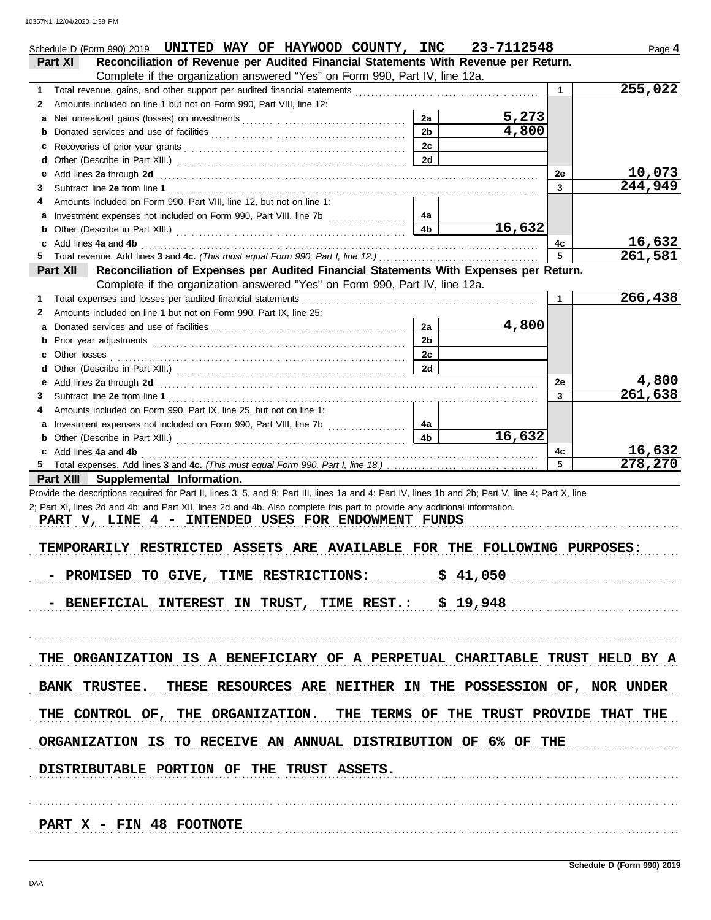| Schedule D (Form 990) 2019 UNITED WAY OF HAYWOOD COUNTY, INC 23-7112548                                                                                                                                                            |                |        |                      | Page 4  |  |  |
|------------------------------------------------------------------------------------------------------------------------------------------------------------------------------------------------------------------------------------|----------------|--------|----------------------|---------|--|--|
| Reconciliation of Revenue per Audited Financial Statements With Revenue per Return.<br>Part XI                                                                                                                                     |                |        |                      |         |  |  |
| Complete if the organization answered "Yes" on Form 990, Part IV, line 12a.                                                                                                                                                        |                |        |                      |         |  |  |
| Total revenue, gains, and other support per audited financial statements<br>1                                                                                                                                                      |                |        | 1                    | 255,022 |  |  |
| Amounts included on line 1 but not on Form 990, Part VIII, line 12:<br>2                                                                                                                                                           |                |        |                      |         |  |  |
| а                                                                                                                                                                                                                                  | 2a             | 5,273  |                      |         |  |  |
| b                                                                                                                                                                                                                                  | 2 <sub>b</sub> | 4,800  |                      |         |  |  |
| c                                                                                                                                                                                                                                  | 2c             |        |                      |         |  |  |
| d                                                                                                                                                                                                                                  | 2d             |        |                      |         |  |  |
| Add lines 2a through 2d [11] Add [12] Add [12] Add lines 2a through 2d [12] Add lines 2a through 2d [12] Add [12] Add [12] Add [12] Add [12] Add [12] Add [12] Add [12] Add [12] Add [12] Add [12] Add [12] Add [12] Add [12]<br>е |                |        | 2e                   | 10,073  |  |  |
| З                                                                                                                                                                                                                                  |                |        | 3                    | 244,949 |  |  |
| Amounts included on Form 990, Part VIII, line 12, but not on line 1:                                                                                                                                                               |                |        |                      |         |  |  |
| Investment expenses not included on Form 990, Part VIII, line 7b [[[[[[[[[[[[[[[[[[[[[[[[[]]]]]]]]]<br>а                                                                                                                           | 4a             |        |                      |         |  |  |
| b                                                                                                                                                                                                                                  | 4 <sub>b</sub> | 16,632 |                      |         |  |  |
| Add lines 4a and 4b                                                                                                                                                                                                                |                |        | 4c                   | 16,632  |  |  |
|                                                                                                                                                                                                                                    |                |        | 5                    | 261,581 |  |  |
| Reconciliation of Expenses per Audited Financial Statements With Expenses per Return.<br>Part XII                                                                                                                                  |                |        |                      |         |  |  |
| Complete if the organization answered "Yes" on Form 990, Part IV, line 12a.                                                                                                                                                        |                |        |                      |         |  |  |
| Total expenses and losses per audited financial statements<br>1.                                                                                                                                                                   |                |        | $\blacktriangleleft$ | 266,438 |  |  |
| Amounts included on line 1 but not on Form 990, Part IX, line 25:<br>2                                                                                                                                                             |                |        |                      |         |  |  |
|                                                                                                                                                                                                                                    | 2a             | 4,800  |                      |         |  |  |
| b                                                                                                                                                                                                                                  | 2 <sub>b</sub> |        |                      |         |  |  |
| Other losses<br>c                                                                                                                                                                                                                  | 2c             |        |                      |         |  |  |
| d                                                                                                                                                                                                                                  | 2d             |        |                      |         |  |  |
| Add lines 2a through 2d [11] And The Contract of the Contract of the Contract of the Contract of the Contract of the Contract of the Contract of the Contract of the Contract of the Contract of the Contract of the Contract<br>е |                |        | 2e                   | 4,800   |  |  |
| 3                                                                                                                                                                                                                                  |                |        | 3                    | 261,638 |  |  |
| Amounts included on Form 990, Part IX, line 25, but not on line 1:<br>4                                                                                                                                                            |                |        |                      |         |  |  |
| Investment expenses not included on Form 990, Part VIII, line 7b<br>а                                                                                                                                                              | 4a             |        |                      |         |  |  |
| <u> 1966 - Johann Stoff, Amerikaansk kanton (</u><br>b                                                                                                                                                                             | 4 <sub>b</sub> | 16,632 |                      |         |  |  |
| c Add lines 4a and 4b                                                                                                                                                                                                              |                |        | 4c                   | 16,632  |  |  |
|                                                                                                                                                                                                                                    |                |        | 5                    | 278,270 |  |  |
| Part XIII Supplemental Information.                                                                                                                                                                                                |                |        |                      |         |  |  |
| Provide the descriptions required for Part II, lines 3, 5, and 9; Part III, lines 1a and 4; Part IV, lines 1b and 2b; Part V, line 4; Part X, line                                                                                 |                |        |                      |         |  |  |
| 2; Part XI, lines 2d and 4b; and Part XII, lines 2d and 4b. Also complete this part to provide any additional information.                                                                                                         |                |        |                      |         |  |  |
| PART V, LINE 4 - INTENDED USES FOR ENDOWMENT FUNDS                                                                                                                                                                                 |                |        |                      |         |  |  |
|                                                                                                                                                                                                                                    |                |        |                      |         |  |  |
| TEMPORARILY RESTRICTED ASSETS ARE AVAILABLE FOR THE FOLLOWING PURPOSES:                                                                                                                                                            |                |        |                      |         |  |  |
|                                                                                                                                                                                                                                    |                |        |                      |         |  |  |
| - PROMISED TO GIVE, TIME RESTRICTIONS: \$41,050                                                                                                                                                                                    |                |        |                      |         |  |  |
|                                                                                                                                                                                                                                    |                |        |                      |         |  |  |
| - BENEFICIAL INTEREST IN TRUST, TIME REST.: \$ 19,948                                                                                                                                                                              |                |        |                      |         |  |  |
|                                                                                                                                                                                                                                    |                |        |                      |         |  |  |
|                                                                                                                                                                                                                                    |                |        |                      |         |  |  |
|                                                                                                                                                                                                                                    |                |        |                      |         |  |  |
| THE ORGANIZATION IS A BENEFICIARY OF A PERPETUAL CHARITABLE TRUST HELD BY A                                                                                                                                                        |                |        |                      |         |  |  |
|                                                                                                                                                                                                                                    |                |        |                      |         |  |  |
| BANK TRUSTEE. THESE RESOURCES ARE NEITHER IN THE POSSESSION OF, NOR UNDER                                                                                                                                                          |                |        |                      |         |  |  |
|                                                                                                                                                                                                                                    |                |        |                      |         |  |  |
| THE CONTROL OF, THE ORGANIZATION. THE TERMS OF THE TRUST PROVIDE THAT THE                                                                                                                                                          |                |        |                      |         |  |  |
|                                                                                                                                                                                                                                    |                |        |                      |         |  |  |
| ORGANIZATION IS TO RECEIVE AN ANNUAL DISTRIBUTION OF 6% OF THE                                                                                                                                                                     |                |        |                      |         |  |  |
|                                                                                                                                                                                                                                    |                |        |                      |         |  |  |
| DISTRIBUTABLE PORTION OF THE TRUST ASSETS.                                                                                                                                                                                         |                |        |                      |         |  |  |
|                                                                                                                                                                                                                                    |                |        |                      |         |  |  |
|                                                                                                                                                                                                                                    |                |        |                      |         |  |  |
|                                                                                                                                                                                                                                    |                |        |                      |         |  |  |
| PART X - FIN 48 FOOTNOTE                                                                                                                                                                                                           |                |        |                      |         |  |  |
|                                                                                                                                                                                                                                    |                |        |                      |         |  |  |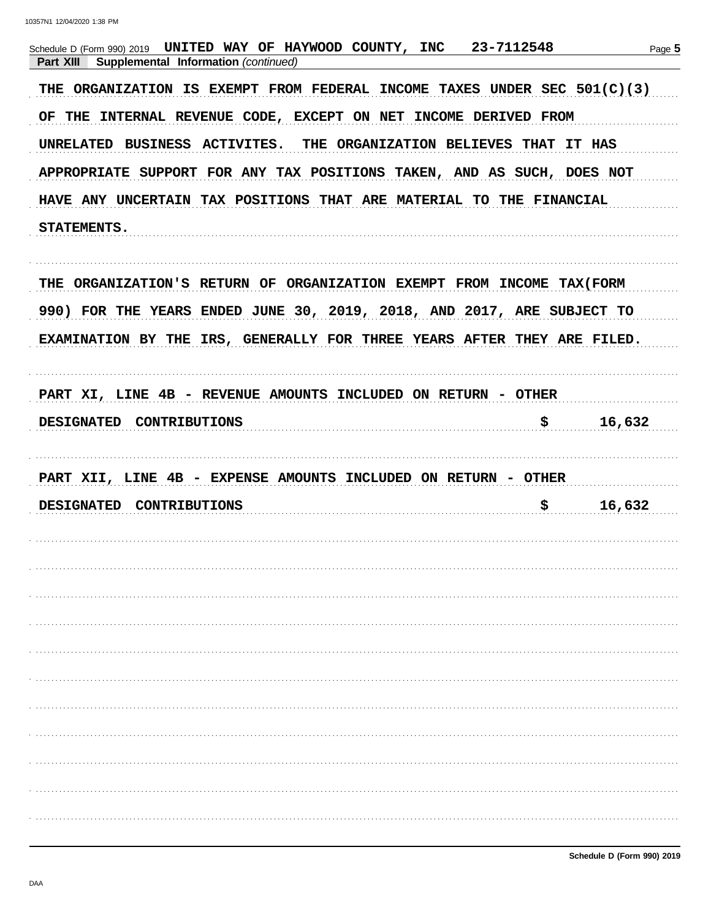| UNITED WAY OF HAYWOOD COUNTY, INC<br>Schedule D (Form 990) 2019<br>Supplemental Information (continued)<br>Part XIII | 23-7112548 | Page 5 |
|----------------------------------------------------------------------------------------------------------------------|------------|--------|
| ORGANIZATION IS EXEMPT FROM FEDERAL INCOME TAXES UNDER SEC $501(C)(3)$<br>THE                                        |            |        |
| THE INTERNAL REVENUE CODE, EXCEPT ON NET INCOME DERIVED FROM<br>OF                                                   |            |        |
| UNRELATED BUSINESS ACTIVITES. THE ORGANIZATION BELIEVES THAT                                                         |            | IT HAS |
| APPROPRIATE SUPPORT FOR ANY TAX POSITIONS TAKEN, AND AS SUCH, DOES NOT                                               |            |        |
| HAVE ANY UNCERTAIN TAX POSITIONS THAT ARE MATERIAL TO THE FINANCIAL                                                  |            |        |
| STATEMENTS.                                                                                                          |            |        |
| ORGANIZATION'S RETURN OF ORGANIZATION EXEMPT FROM INCOME TAX (FORM<br>THE                                            |            |        |
| 990) FOR THE YEARS ENDED JUNE 30, 2019, 2018, AND 2017, ARE SUBJECT TO                                               |            |        |
| EXAMINATION BY THE IRS, GENERALLY FOR THREE YEARS AFTER THEY ARE FILED.                                              |            |        |
| PART XI, LINE 4B - REVENUE AMOUNTS INCLUDED ON RETURN - OTHER<br><b>DESIGNATED</b><br><b>CONTRIBUTIONS</b>           | \$         | 16,632 |
|                                                                                                                      |            |        |
| PART XII, LINE 4B - EXPENSE AMOUNTS INCLUDED ON RETURN - OTHER                                                       |            |        |
| <b>DESIGNATED</b><br>CONTRIBUTIONS                                                                                   | \$         | 16,632 |
|                                                                                                                      |            |        |
|                                                                                                                      |            |        |
|                                                                                                                      |            |        |
|                                                                                                                      |            |        |
|                                                                                                                      |            |        |
|                                                                                                                      |            |        |
|                                                                                                                      |            |        |
|                                                                                                                      |            |        |
|                                                                                                                      |            |        |
|                                                                                                                      |            |        |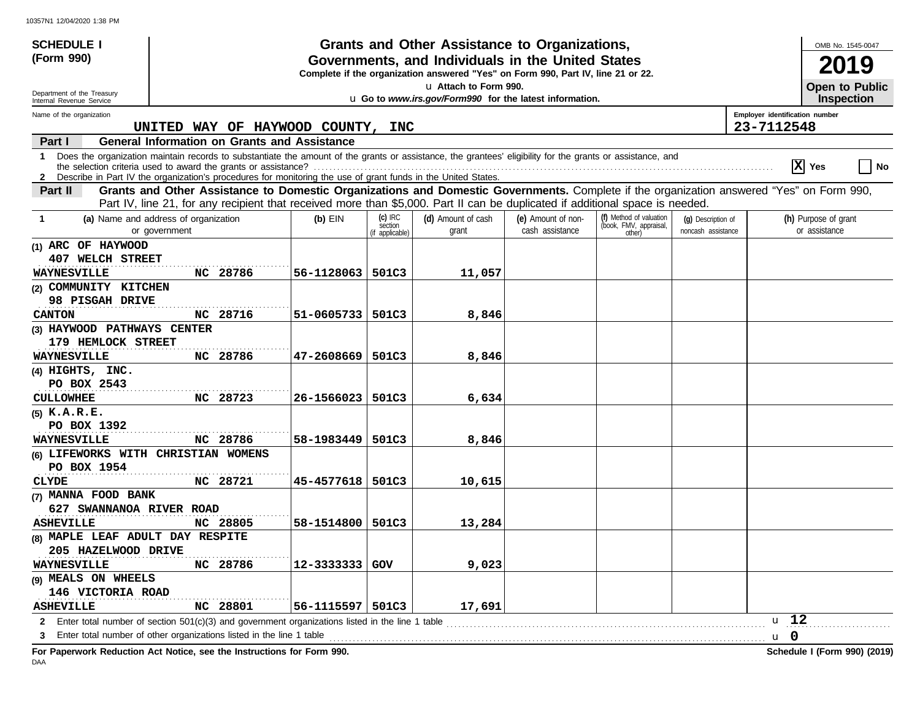| <b>SCHEDULE I</b>                                      |                                                                                                                                                                                                                                                                           |                      |                                         | Grants and Other Assistance to Organizations,           |                                       |                                                             |                                          |                                              | OMB No. 1545-0047                     |
|--------------------------------------------------------|---------------------------------------------------------------------------------------------------------------------------------------------------------------------------------------------------------------------------------------------------------------------------|----------------------|-----------------------------------------|---------------------------------------------------------|---------------------------------------|-------------------------------------------------------------|------------------------------------------|----------------------------------------------|---------------------------------------|
| (Form 990)                                             | Governments, and Individuals in the United States<br>Complete if the organization answered "Yes" on Form 990, Part IV, line 21 or 22.                                                                                                                                     |                      |                                         |                                                         |                                       |                                                             |                                          |                                              |                                       |
|                                                        | La Attach to Form 990.                                                                                                                                                                                                                                                    |                      |                                         |                                                         |                                       |                                                             | <b>Open to Public</b>                    |                                              |                                       |
| Department of the Treasury<br>Internal Revenue Service |                                                                                                                                                                                                                                                                           |                      |                                         | u Go to www.irs.gov/Form990 for the latest information. |                                       |                                                             |                                          |                                              | <b>Inspection</b>                     |
| Name of the organization                               | UNITED WAY OF HAYWOOD COUNTY, INC                                                                                                                                                                                                                                         |                      |                                         |                                                         |                                       |                                                             |                                          | Employer identification number<br>23-7112548 |                                       |
| Part I                                                 | <b>General Information on Grants and Assistance</b>                                                                                                                                                                                                                       |                      |                                         |                                                         |                                       |                                                             |                                          |                                              |                                       |
|                                                        | 1 Does the organization maintain records to substantiate the amount of the grants or assistance, the grantees' eligibility for the grants or assistance, and                                                                                                              |                      |                                         |                                                         |                                       |                                                             |                                          |                                              | $ X $ Yes<br>  No                     |
| Part II                                                | 2 Describe in Part IV the organization's procedures for monitoring the use of grant funds in the United States.                                                                                                                                                           |                      |                                         |                                                         |                                       |                                                             |                                          |                                              |                                       |
|                                                        | Grants and Other Assistance to Domestic Organizations and Domestic Governments. Complete if the organization answered "Yes" on Form 990,<br>Part IV, line 21, for any recipient that received more than \$5,000. Part II can be duplicated if additional space is needed. |                      |                                         |                                                         |                                       |                                                             |                                          |                                              |                                       |
| -1                                                     | (a) Name and address of organization<br>or government                                                                                                                                                                                                                     | $(b)$ EIN            | $(c)$ IRC<br>section<br>(if applicable) | (d) Amount of cash<br>grant                             | (e) Amount of non-<br>cash assistance | (f) Method of valuation<br>(book, FMV, appraisal,<br>other) | (q) Description of<br>noncash assistance |                                              | (h) Purpose of grant<br>or assistance |
| (1) ARC OF HAYWOOD<br>407 WELCH STREET                 |                                                                                                                                                                                                                                                                           |                      |                                         |                                                         |                                       |                                                             |                                          |                                              |                                       |
| <b>WAYNESVILLE</b>                                     | NC 28786                                                                                                                                                                                                                                                                  | 56-1128063           | 501C3                                   | 11,057                                                  |                                       |                                                             |                                          |                                              |                                       |
| (2) COMMUNITY KITCHEN                                  |                                                                                                                                                                                                                                                                           |                      |                                         |                                                         |                                       |                                                             |                                          |                                              |                                       |
| 98 PISGAH DRIVE                                        |                                                                                                                                                                                                                                                                           |                      |                                         |                                                         |                                       |                                                             |                                          |                                              |                                       |
| <b>CANTON</b>                                          | NC 28716                                                                                                                                                                                                                                                                  | $51 - 0605733$ 501C3 |                                         | 8,846                                                   |                                       |                                                             |                                          |                                              |                                       |
| (3) HAYWOOD PATHWAYS CENTER                            |                                                                                                                                                                                                                                                                           |                      |                                         |                                                         |                                       |                                                             |                                          |                                              |                                       |
| 179 HEMLOCK STREET                                     |                                                                                                                                                                                                                                                                           |                      |                                         |                                                         |                                       |                                                             |                                          |                                              |                                       |
| <b>WAYNESVILLE</b>                                     | NC 28786                                                                                                                                                                                                                                                                  | 47-2608669           | 501C3                                   | 8,846                                                   |                                       |                                                             |                                          |                                              |                                       |
| $(4)$ HIGHTS, INC.                                     |                                                                                                                                                                                                                                                                           |                      |                                         |                                                         |                                       |                                                             |                                          |                                              |                                       |
| PO BOX 2543                                            |                                                                                                                                                                                                                                                                           |                      |                                         |                                                         |                                       |                                                             |                                          |                                              |                                       |
| <b>CULLOWHEE</b>                                       | NC 28723                                                                                                                                                                                                                                                                  | 26-1566023   501C3   |                                         | 6,634                                                   |                                       |                                                             |                                          |                                              |                                       |
| $(5)$ K.A.R.E.                                         |                                                                                                                                                                                                                                                                           |                      |                                         |                                                         |                                       |                                                             |                                          |                                              |                                       |
| PO BOX 1392                                            |                                                                                                                                                                                                                                                                           |                      |                                         |                                                         |                                       |                                                             |                                          |                                              |                                       |
| <b>WAYNESVILLE</b>                                     | NC 28786                                                                                                                                                                                                                                                                  | 58-1983449           | 501C3                                   | 8,846                                                   |                                       |                                                             |                                          |                                              |                                       |
| (6) LIFEWORKS WITH CHRISTIAN WOMENS                    |                                                                                                                                                                                                                                                                           |                      |                                         |                                                         |                                       |                                                             |                                          |                                              |                                       |
| PO BOX 1954                                            |                                                                                                                                                                                                                                                                           |                      |                                         |                                                         |                                       |                                                             |                                          |                                              |                                       |
| <b>CLYDE</b>                                           | NC 28721                                                                                                                                                                                                                                                                  | $45 - 4577618$ 501C3 |                                         | 10,615                                                  |                                       |                                                             |                                          |                                              |                                       |
| (7) MANNA FOOD BANK                                    |                                                                                                                                                                                                                                                                           |                      |                                         |                                                         |                                       |                                                             |                                          |                                              |                                       |
| 627 SWANNANOA RIVER ROAD                               |                                                                                                                                                                                                                                                                           |                      |                                         |                                                         |                                       |                                                             |                                          |                                              |                                       |
| <b>ASHEVILLE</b>                                       | NC 28805                                                                                                                                                                                                                                                                  | 58-1514800           | 501C3                                   | 13,284                                                  |                                       |                                                             |                                          |                                              |                                       |
| (8) MAPLE LEAF ADULT DAY RESPITE                       |                                                                                                                                                                                                                                                                           |                      |                                         |                                                         |                                       |                                                             |                                          |                                              |                                       |
| 205 HAZELWOOD DRIVE                                    |                                                                                                                                                                                                                                                                           |                      |                                         |                                                         |                                       |                                                             |                                          |                                              |                                       |
| <b>WAYNESVILLE</b>                                     | NC 28786                                                                                                                                                                                                                                                                  | $12 - 3333333$   GOV |                                         | 9,023                                                   |                                       |                                                             |                                          |                                              |                                       |
| (9) MEALS ON WHEELS                                    |                                                                                                                                                                                                                                                                           |                      |                                         |                                                         |                                       |                                                             |                                          |                                              |                                       |
| 146 VICTORIA ROAD                                      |                                                                                                                                                                                                                                                                           |                      |                                         |                                                         |                                       |                                                             |                                          |                                              |                                       |
| <b>ASHEVILLE</b>                                       | NC 28801                                                                                                                                                                                                                                                                  | 56-1115597   501C3   |                                         | 17,691                                                  |                                       |                                                             |                                          |                                              |                                       |
|                                                        |                                                                                                                                                                                                                                                                           |                      |                                         |                                                         |                                       |                                                             |                                          | u 12                                         |                                       |
|                                                        |                                                                                                                                                                                                                                                                           |                      |                                         |                                                         |                                       |                                                             |                                          | u 0                                          |                                       |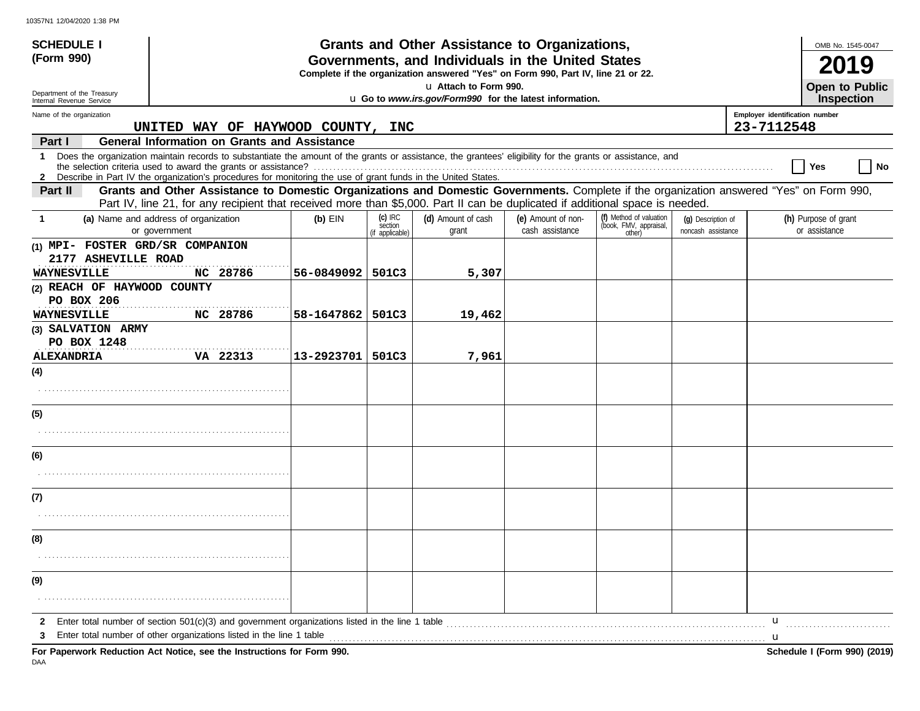| <b>SCHEDULE I</b>                                                             |                                                                                                                                                                                                                                                                                 |                    |                                         | Grants and Other Assistance to Organizations, |                                       |                                                             |                                              |                                            | OMB No. 1545-0047                     |
|-------------------------------------------------------------------------------|---------------------------------------------------------------------------------------------------------------------------------------------------------------------------------------------------------------------------------------------------------------------------------|--------------------|-----------------------------------------|-----------------------------------------------|---------------------------------------|-------------------------------------------------------------|----------------------------------------------|--------------------------------------------|---------------------------------------|
| (Form 990)                                                                    | Governments, and Individuals in the United States<br>Complete if the organization answered "Yes" on Form 990, Part IV, line 21 or 22.                                                                                                                                           |                    |                                         |                                               |                                       |                                                             |                                              |                                            |                                       |
| Department of the Treasury<br>Internal Revenue Service                        | La Attach to Form 990.<br>u Go to www.irs.gov/Form990 for the latest information.                                                                                                                                                                                               |                    |                                         |                                               |                                       |                                                             |                                              | <b>Open to Public</b><br><b>Inspection</b> |                                       |
| Name of the organization                                                      | UNITED WAY OF HAYWOOD COUNTY, INC                                                                                                                                                                                                                                               |                    |                                         |                                               |                                       |                                                             | Employer identification number<br>23-7112548 |                                            |                                       |
| Part I                                                                        | <b>General Information on Grants and Assistance</b>                                                                                                                                                                                                                             |                    |                                         |                                               |                                       |                                                             |                                              |                                            |                                       |
|                                                                               | 1 Does the organization maintain records to substantiate the amount of the grants or assistance, the grantees' eligibility for the grants or assistance, and<br>2 Describe in Part IV the organization's procedures for monitoring the use of grant funds in the United States. |                    |                                         |                                               |                                       |                                                             |                                              |                                            | No<br>Yes                             |
| Part II                                                                       | Grants and Other Assistance to Domestic Organizations and Domestic Governments. Complete if the organization answered "Yes" on Form 990,<br>Part IV, line 21, for any recipient that received more than \$5,000. Part II can be duplicated if additional space is needed.       |                    |                                         |                                               |                                       |                                                             |                                              |                                            |                                       |
| -1                                                                            | (a) Name and address of organization<br>or government                                                                                                                                                                                                                           | $(b)$ EIN          | $(c)$ IRC<br>section<br>(if applicable) | (d) Amount of cash<br>grant                   | (e) Amount of non-<br>cash assistance | (f) Method of valuation<br>(book, FMV, appraisal,<br>other) | (q) Description of<br>noncash assistance     |                                            | (h) Purpose of grant<br>or assistance |
| (1) MPI- FOSTER GRD/SR COMPANION<br>2177 ASHEVILLE ROAD<br><b>WAYNESVILLE</b> | NC 28786                                                                                                                                                                                                                                                                        | 56-0849092   501C3 |                                         | 5,307                                         |                                       |                                                             |                                              |                                            |                                       |
| (2) REACH OF HAYWOOD COUNTY<br>PO BOX 206<br><b>WAYNESVILLE</b>               | NC 28786                                                                                                                                                                                                                                                                        | 58-1647862   501C3 |                                         | 19,462                                        |                                       |                                                             |                                              |                                            |                                       |
| (3) SALVATION ARMY<br>PO BOX 1248<br><b>ALEXANDRIA</b>                        | VA 22313                                                                                                                                                                                                                                                                        | 13-2923701         | 501C3                                   | 7,961                                         |                                       |                                                             |                                              |                                            |                                       |
| (4)                                                                           |                                                                                                                                                                                                                                                                                 |                    |                                         |                                               |                                       |                                                             |                                              |                                            |                                       |
| (5)                                                                           |                                                                                                                                                                                                                                                                                 |                    |                                         |                                               |                                       |                                                             |                                              |                                            |                                       |
|                                                                               |                                                                                                                                                                                                                                                                                 |                    |                                         |                                               |                                       |                                                             |                                              |                                            |                                       |
| (6)                                                                           |                                                                                                                                                                                                                                                                                 |                    |                                         |                                               |                                       |                                                             |                                              |                                            |                                       |
|                                                                               |                                                                                                                                                                                                                                                                                 |                    |                                         |                                               |                                       |                                                             |                                              |                                            |                                       |
| (7)                                                                           |                                                                                                                                                                                                                                                                                 |                    |                                         |                                               |                                       |                                                             |                                              |                                            |                                       |
| (8)                                                                           |                                                                                                                                                                                                                                                                                 |                    |                                         |                                               |                                       |                                                             |                                              |                                            |                                       |
|                                                                               |                                                                                                                                                                                                                                                                                 |                    |                                         |                                               |                                       |                                                             |                                              |                                            |                                       |
| (9)                                                                           |                                                                                                                                                                                                                                                                                 |                    |                                         |                                               |                                       |                                                             |                                              |                                            |                                       |
| $\mathbf{2}$                                                                  |                                                                                                                                                                                                                                                                                 |                    |                                         |                                               |                                       |                                                             |                                              | $\mathbf u$                                |                                       |

DAA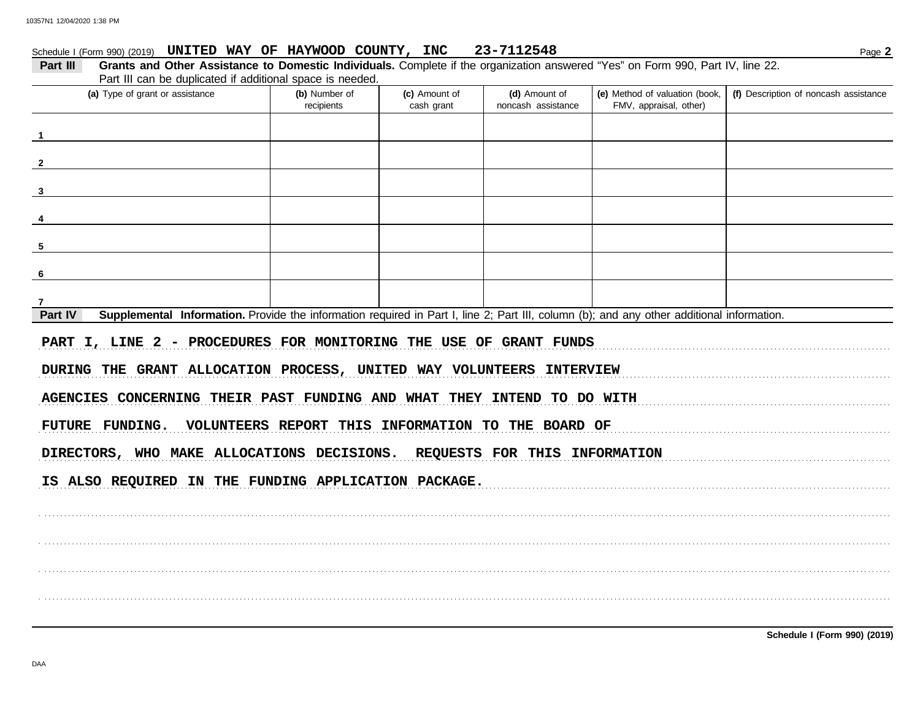#### Schedule I (Form 990) (2019) UNITED WAY OF HAYWOOD COUNTY, INC 23-7112548

| Part III<br>Grants and Other Assistance to Domestic Individuals. Complete if the organization answered "Yes" on Form 990, Part IV, line 22.<br>Part III can be duplicated if additional space is needed. |                             |                             |                                     |                                                          |                                       |  |
|----------------------------------------------------------------------------------------------------------------------------------------------------------------------------------------------------------|-----------------------------|-----------------------------|-------------------------------------|----------------------------------------------------------|---------------------------------------|--|
| (a) Type of grant or assistance                                                                                                                                                                          | (b) Number of<br>recipients | (c) Amount of<br>cash grant | (d) Amount of<br>noncash assistance | (e) Method of valuation (book,<br>FMV, appraisal, other) | (f) Description of noncash assistance |  |
|                                                                                                                                                                                                          |                             |                             |                                     |                                                          |                                       |  |
|                                                                                                                                                                                                          |                             |                             |                                     |                                                          |                                       |  |
|                                                                                                                                                                                                          |                             |                             |                                     |                                                          |                                       |  |
|                                                                                                                                                                                                          |                             |                             |                                     |                                                          |                                       |  |
| 5                                                                                                                                                                                                        |                             |                             |                                     |                                                          |                                       |  |
| 6                                                                                                                                                                                                        |                             |                             |                                     |                                                          |                                       |  |
| 7                                                                                                                                                                                                        |                             |                             |                                     |                                                          |                                       |  |
| Supplemental Information. Provide the information required in Part I, line 2; Part III, column (b); and any other additional information.<br>Part IV                                                     |                             |                             |                                     |                                                          |                                       |  |
| PART I, LINE 2 - PROCEDURES FOR MONITORING THE USE OF GRANT FUNDS<br>DURING THE GRANT ALLOCATION PROCESS, UNITED WAY VOLUNTEERS INTERVIEW                                                                |                             |                             |                                     |                                                          |                                       |  |
| AGENCIES CONCERNING THEIR PAST FUNDING AND WHAT THEY INTEND TO DO WITH                                                                                                                                   |                             |                             |                                     |                                                          |                                       |  |
| VOLUNTEERS REPORT THIS INFORMATION TO THE BOARD OF<br><b>FUTURE FUNDING.</b>                                                                                                                             |                             |                             |                                     |                                                          |                                       |  |
| DIRECTORS, WHO MAKE ALLOCATIONS DECISIONS. REQUESTS FOR THIS INFORMATION                                                                                                                                 |                             |                             |                                     |                                                          |                                       |  |
| IS ALSO REQUIRED IN THE FUNDING APPLICATION PACKAGE.                                                                                                                                                     |                             |                             |                                     |                                                          |                                       |  |
|                                                                                                                                                                                                          |                             |                             |                                     |                                                          |                                       |  |
|                                                                                                                                                                                                          |                             |                             |                                     |                                                          |                                       |  |
|                                                                                                                                                                                                          |                             |                             |                                     |                                                          |                                       |  |
|                                                                                                                                                                                                          |                             |                             |                                     |                                                          |                                       |  |
|                                                                                                                                                                                                          |                             |                             |                                     |                                                          |                                       |  |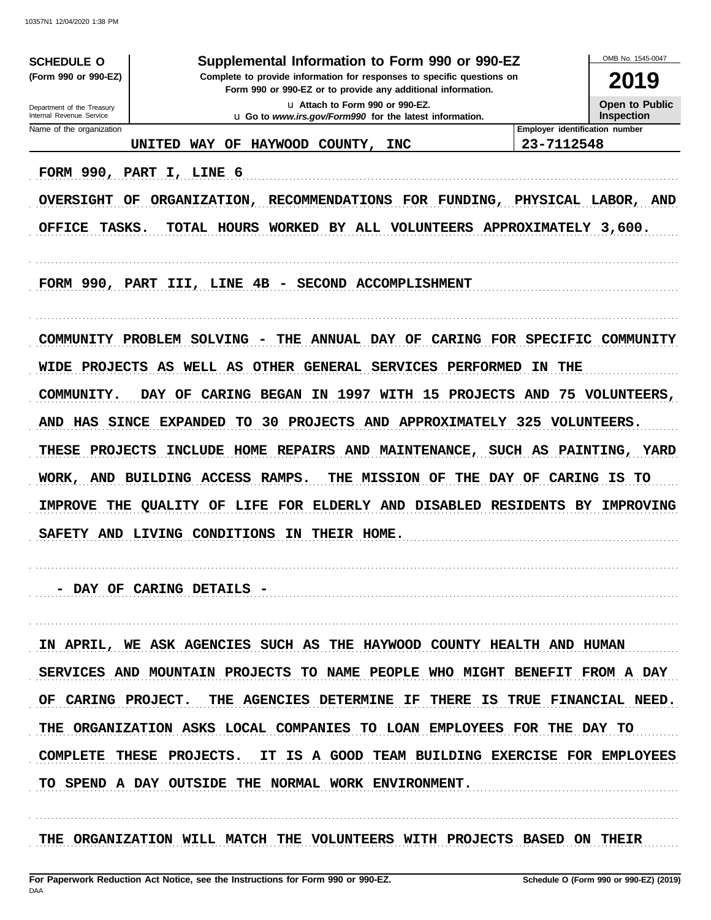| <b>SCHEDULE O</b><br>(Form 990 or 990-EZ)              | Supplemental Information to Form 990 or 990-EZ<br>Complete to provide information for responses to specific questions on<br>Form 990 or 990-EZ or to provide any additional information. |                                              | OMB No. 1545-0047<br>2019 |  |
|--------------------------------------------------------|------------------------------------------------------------------------------------------------------------------------------------------------------------------------------------------|----------------------------------------------|---------------------------|--|
| Department of the Treasury<br>Internal Revenue Service | La Attach to Form 990 or 990-EZ.<br>u Go to www.irs.gov/Form990 for the latest information.                                                                                              |                                              |                           |  |
| Name of the organization<br>UNITED                     | WAY<br>OF<br><b>HAYWOOD</b><br>COUNTY,<br><b>INC</b>                                                                                                                                     | Employer identification number<br>23-7112548 |                           |  |
| FORM 990, PART                                         | I, LINE 6                                                                                                                                                                                |                                              |                           |  |
| <b>OVERSIGHT</b><br>OF                                 | <b>RECOMMENDATIONS</b><br><b>ORGANIZATION,</b>                                                                                                                                           | FOR FUNDING, PHYSICAL LABOR, AND             |                           |  |
| <b>OFFICE</b><br>TASKS.                                | TOTAL HOURS<br><b>WORKED</b><br>BY ALL VOLUNTEERS APPROXIMATELY 3,600.                                                                                                                   |                                              |                           |  |
|                                                        |                                                                                                                                                                                          |                                              |                           |  |
|                                                        | FORM 990, PART III, LINE 4B - SECOND<br>ACCOMPLISHMENT                                                                                                                                   |                                              |                           |  |
|                                                        |                                                                                                                                                                                          |                                              |                           |  |
| COMMUNITY PROBLEM SOLVING                              | ANNUAL DAY OF<br>THE                                                                                                                                                                     | CARING FOR SPECIFIC                          | COMMUNITY                 |  |
| <b>WIDE PROJECTS</b>                                   | WELL AS<br>AS<br><b>OTHER</b><br><b>GENERAL</b><br><b>SERVICES</b>                                                                                                                       | <b>PERFORMED</b><br>ΙN.<br>THE               |                           |  |
| <b>COMMUNITY.</b>                                      | IN 1997 WITH<br><b>CARING</b><br><b>BEGAN</b><br>DAY OF                                                                                                                                  | <b>15 PROJECTS AND</b>                       | 75 VOLUNTEERS,            |  |
| AND HAS<br><b>SINCE</b>                                | <b>EXPANDED</b><br>TO.<br>30<br>PROJECTS AND APPROXIMATELY 325 VOLUNTEERS.                                                                                                               |                                              |                           |  |
| THESE<br><b>PROJECTS</b>                               | <b>INCLUDE</b><br>HOME<br><b>REPAIRS</b><br>AND                                                                                                                                          | MAINTENANCE, SUCH AS PAINTING, YARD          |                           |  |
| WORK,<br>AND                                           | BUILDING ACCESS RAMPS.<br>MISSION OF<br>THE<br>THE                                                                                                                                       | <b>CARING</b><br>DAY OF                      | TO<br>IS                  |  |
| <b>IMPROVE</b><br>THE                                  | FOR ELDERLY AND DISABLED RESIDENTS<br><b>OUALITY</b><br>LIFE.<br>OF                                                                                                                      | BY                                           | IMPROVING                 |  |
| SAFETY AND                                             | LIVING CONDITIONS<br>ΙN<br>THEIR HOME.                                                                                                                                                   |                                              |                           |  |
|                                                        |                                                                                                                                                                                          |                                              |                           |  |
|                                                        | - DAY OF CARING DETAILS -                                                                                                                                                                |                                              |                           |  |
|                                                        |                                                                                                                                                                                          |                                              |                           |  |
|                                                        | IN APRIL, WE ASK AGENCIES SUCH AS THE HAYWOOD COUNTY HEALTH AND HUMAN                                                                                                                    |                                              |                           |  |
|                                                        | SERVICES AND MOUNTAIN PROJECTS TO NAME PEOPLE WHO MIGHT BENEFIT FROM A DAY                                                                                                               |                                              |                           |  |
|                                                        | OF CARING PROJECT. THE AGENCIES DETERMINE IF THERE IS TRUE FINANCIAL NEED.                                                                                                               |                                              |                           |  |
|                                                        | THE ORGANIZATION ASKS LOCAL COMPANIES TO LOAN EMPLOYEES FOR THE DAY TO                                                                                                                   |                                              |                           |  |
|                                                        | COMPLETE THESE PROJECTS. IT IS A GOOD TEAM BUILDING EXERCISE FOR EMPLOYEES                                                                                                               |                                              |                           |  |
|                                                        | TO SPEND A DAY OUTSIDE THE NORMAL WORK ENVIRONMENT.                                                                                                                                      |                                              |                           |  |
|                                                        |                                                                                                                                                                                          |                                              |                           |  |
|                                                        | THE ORGANIZATION WILL MATCH THE VOLUNTEERS WITH PROJECTS BASED ON THEIR                                                                                                                  |                                              |                           |  |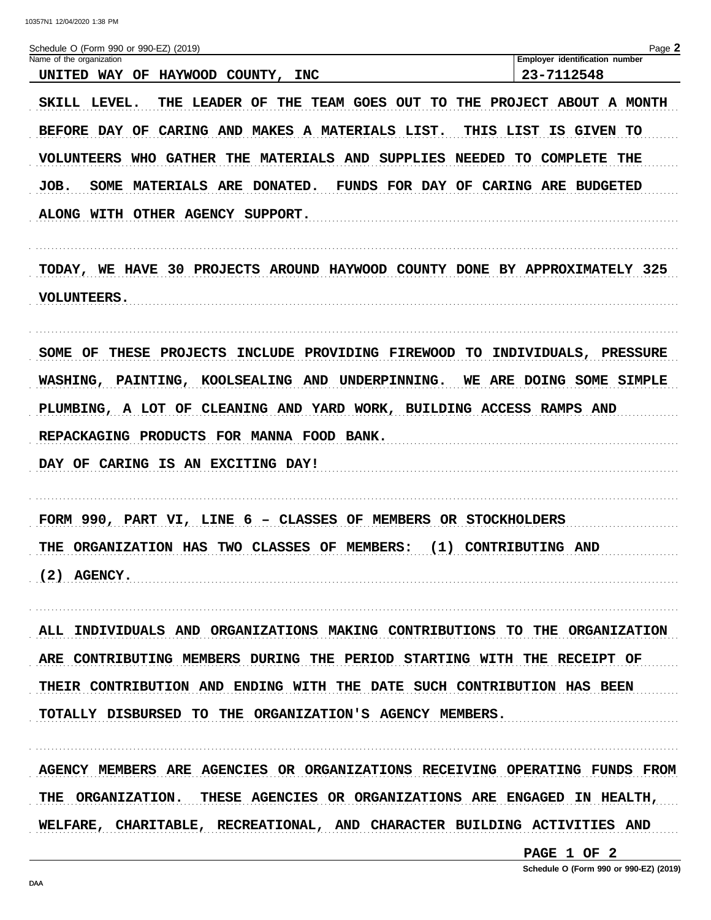Schedule O (Form 990 or 990-EZ) (2019) Page 2 Name of the organization Employer identification number UNITED WAY OF HAYWOOD COUNTY, INC 23-7112548 SKILL LEVEL. THE LEADER OF THE TEAM GOES OUT TO THE PROJECT ABOUT A MONTH BEFORE DAY OF CARING AND MAKES A MATERIALS LIST. THIS LIST IS GIVEN TO VOLUNTEERS WHO GATHER THE MATERIALS AND SUPPLIES NEEDED TO COMPLETE THE JOB. SOME MATERIALS ARE DONATED. FUNDS FOR DAY OF CARING ARE BUDGETED ALONG WITH OTHER AGENCY SUPPORT. TODAY, WE HAVE 30 PROJECTS AROUND HAYWOOD COUNTY DONE BY APPROXIMATELY 325 **VOLUNTEERS.** SOME OF THESE PROJECTS INCLUDE PROVIDING FIREWOOD TO INDIVIDUALS, PRESSURE WASHING, PAINTING, KOOLSEALING AND UNDERPINNING. WE ARE DOING SOME SIMPLE PLUMBING, A LOT OF CLEANING AND YARD WORK, BUILDING ACCESS RAMPS AND REPACKAGING PRODUCTS FOR MANNA FOOD BANK. DAY OF CARING IS AN EXCITING DAY! FORM 990, PART VI, LINE 6 - CLASSES OF MEMBERS OR STOCKHOLDERS THE ORGANIZATION HAS TWO CLASSES OF MEMBERS: (1) CONTRIBUTING AND (2) AGENCY. ALL INDIVIDUALS AND ORGANIZATIONS MAKING CONTRIBUTIONS TO THE ORGANIZATION ARE CONTRIBUTING MEMBERS DURING THE PERIOD STARTING WITH THE RECEIPT OF THEIR CONTRIBUTION AND ENDING WITH THE DATE SUCH CONTRIBUTION HAS BEEN TOTALLY DISBURSED TO THE ORGANIZATION'S AGENCY MEMBERS. AGENCY MEMBERS ARE AGENCIES OR ORGANIZATIONS RECEIVING OPERATING FUNDS FROM THE ORGANIZATION. THESE AGENCIES OR ORGANIZATIONS ARE ENGAGED IN HEALTH,

WELFARE, CHARITABLE, RECREATIONAL, AND CHARACTER BUILDING ACTIVITIES AND

PAGE 1 OF 2

Schedule O (Form 990 or 990-EZ) (2019)